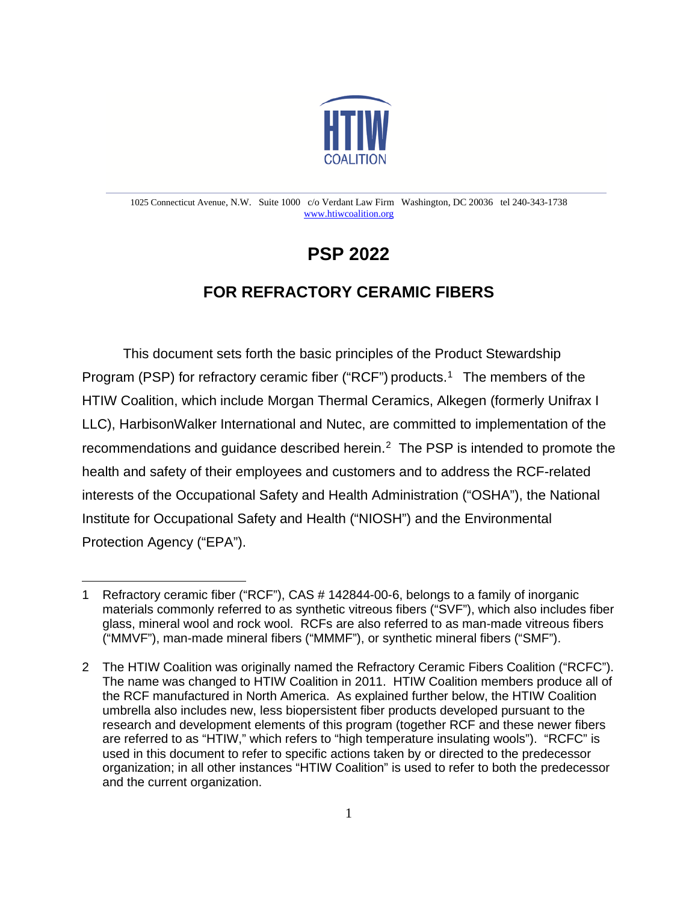

#### 1025 Connecticut Avenue, N.W. Suite 1000 c/o Verdant Law Firm Washington, DC 20036 tel 240-343-1738 [www.htiwcoalition.org](http://www.htiwcoalition.org/)

# **PSP 2022**

# **FOR REFRACTORY CERAMIC FIBERS**

This document sets forth the basic principles of the Product Stewardship Program (PSP) for refractory ceramic fiber ("RCF") products.<sup>[1](#page-0-0)</sup> The members of the HTIW Coalition, which include Morgan Thermal Ceramics, Alkegen (formerly Unifrax I LLC), HarbisonWalker International and Nutec, are committed to implementation of the recommendations and quidance described herein.<sup>[2](#page-0-1)</sup> The PSP is intended to promote the health and safety of their employees and customers and to address the RCF-related interests of the Occupational Safety and Health Administration ("OSHA"), the National Institute for Occupational Safety and Health ("NIOSH") and the Environmental Protection Agency ("EPA").

<span id="page-0-0"></span><sup>1</sup> Refractory ceramic fiber ("RCF"), CAS # 142844-00-6, belongs to a family of inorganic materials commonly referred to as synthetic vitreous fibers ("SVF"), which also includes fiber glass, mineral wool and rock wool. RCFs are also referred to as man-made vitreous fibers ("MMVF"), man-made mineral fibers ("MMMF"), or synthetic mineral fibers ("SMF").

<span id="page-0-1"></span><sup>2</sup> The HTIW Coalition was originally named the Refractory Ceramic Fibers Coalition ("RCFC"). The name was changed to HTIW Coalition in 2011. HTIW Coalition members produce all of the RCF manufactured in North America. As explained further below, the HTIW Coalition umbrella also includes new, less biopersistent fiber products developed pursuant to the research and development elements of this program (together RCF and these newer fibers are referred to as "HTIW," which refers to "high temperature insulating wools"). "RCFC" is used in this document to refer to specific actions taken by or directed to the predecessor organization; in all other instances "HTIW Coalition" is used to refer to both the predecessor and the current organization.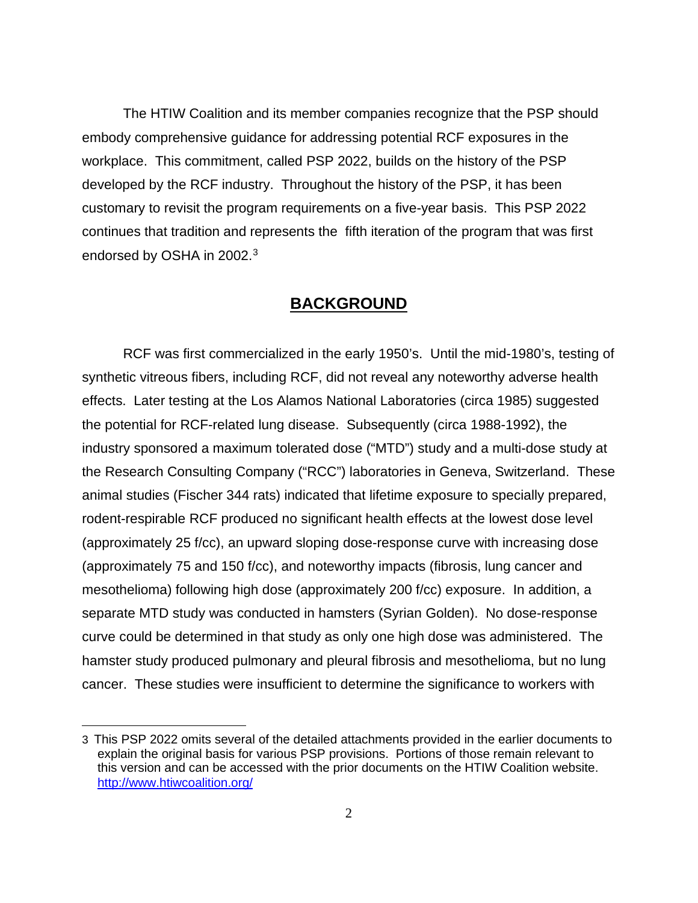The HTIW Coalition and its member companies recognize that the PSP should embody comprehensive guidance for addressing potential RCF exposures in the workplace. This commitment, called PSP 2022, builds on the history of the PSP developed by the RCF industry. Throughout the history of the PSP, it has been customary to revisit the program requirements on a five-year basis. This PSP 2022 continues that tradition and represents the fifth iteration of the program that was first endorsed by OSHA in 2002.[3](#page-1-0)

# **BACKGROUND**

RCF was first commercialized in the early 1950's. Until the mid-1980's, testing of synthetic vitreous fibers, including RCF, did not reveal any noteworthy adverse health effects. Later testing at the Los Alamos National Laboratories (circa 1985) suggested the potential for RCF-related lung disease. Subsequently (circa 1988-1992), the industry sponsored a maximum tolerated dose ("MTD") study and a multi-dose study at the Research Consulting Company ("RCC") laboratories in Geneva, Switzerland. These animal studies (Fischer 344 rats) indicated that lifetime exposure to specially prepared, rodent-respirable RCF produced no significant health effects at the lowest dose level (approximately 25 f/cc), an upward sloping dose-response curve with increasing dose (approximately 75 and 150 f/cc), and noteworthy impacts (fibrosis, lung cancer and mesothelioma) following high dose (approximately 200 f/cc) exposure. In addition, a separate MTD study was conducted in hamsters (Syrian Golden). No dose-response curve could be determined in that study as only one high dose was administered. The hamster study produced pulmonary and pleural fibrosis and mesothelioma, but no lung cancer. These studies were insufficient to determine the significance to workers with

<span id="page-1-0"></span><sup>3</sup> This PSP 2022 omits several of the detailed attachments provided in the earlier documents to explain the original basis for various PSP provisions. Portions of those remain relevant to this version and can be accessed with the prior documents on the HTIW Coalition website. <http://www.htiwcoalition.org/>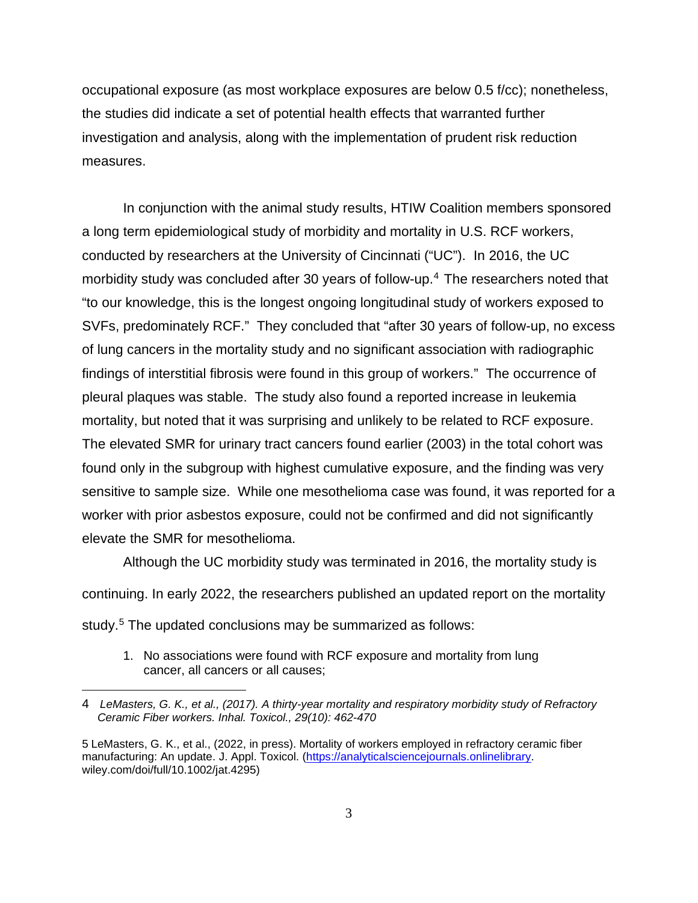occupational exposure (as most workplace exposures are below 0.5 f/cc); nonetheless, the studies did indicate a set of potential health effects that warranted further investigation and analysis, along with the implementation of prudent risk reduction measures.

In conjunction with the animal study results, HTIW Coalition members sponsored a long term epidemiological study of morbidity and mortality in U.S. RCF workers, conducted by researchers at the University of Cincinnati ("UC"). In 2016, the UC morbidity study was concluded after 30 years of follow-up. [4](#page-2-0) The researchers noted that "to our knowledge, this is the longest ongoing longitudinal study of workers exposed to SVFs, predominately RCF." They concluded that "after 30 years of follow-up, no excess of lung cancers in the mortality study and no significant association with radiographic findings of interstitial fibrosis were found in this group of workers." The occurrence of pleural plaques was stable. The study also found a reported increase in leukemia mortality, but noted that it was surprising and unlikely to be related to RCF exposure. The elevated SMR for urinary tract cancers found earlier (2003) in the total cohort was found only in the subgroup with highest cumulative exposure, and the finding was very sensitive to sample size. While one mesothelioma case was found, it was reported for a worker with prior asbestos exposure, could not be confirmed and did not significantly elevate the SMR for mesothelioma.

Although the UC morbidity study was terminated in 2016, the mortality study is continuing. In early 2022, the researchers published an updated report on the mortality study. [5](#page-2-1) The updated conclusions may be summarized as follows:

1. No associations were found with RCF exposure and mortality from lung cancer, all cancers or all causes;

<span id="page-2-1"></span><span id="page-2-0"></span><sup>4</sup> *LeMasters, G. K., et al., (2017). A thirty-year mortality and respiratory morbidity study of Refractory Ceramic Fiber workers. Inhal. Toxicol., 29(10): 462-470*

<sup>5</sup> LeMasters, G. K., et al., (2022, in press). Mortality of workers employed in refractory ceramic fiber manufacturing: An update. J. Appl. Toxicol. [\(https://analyticalsciencejournals.onlinelibrary.](https://analyticalsciencejournals.onlinelibrary/) wiley.com/doi/full/10.1002/jat.4295)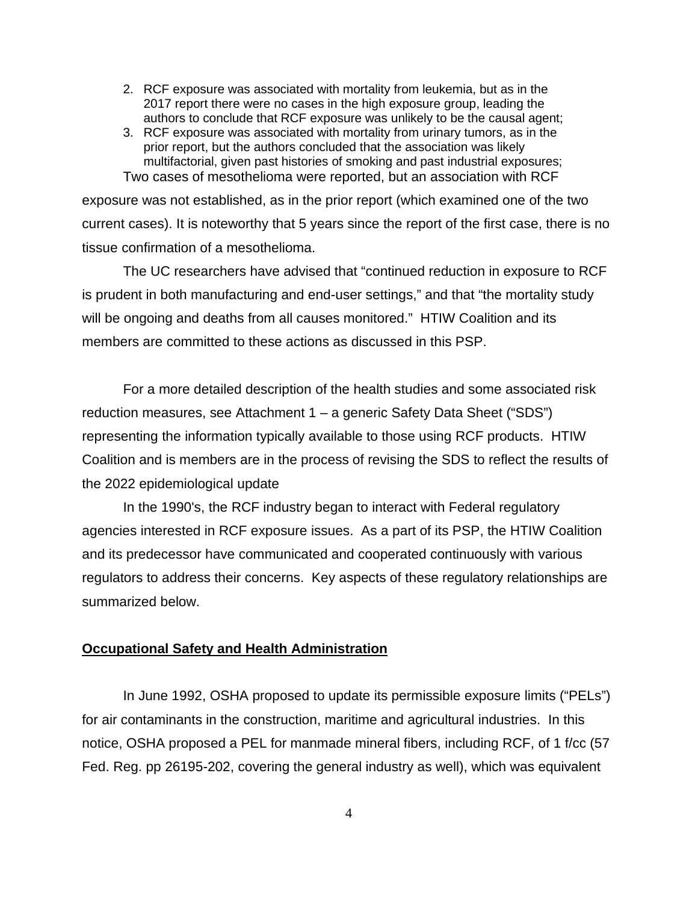- 2. RCF exposure was associated with mortality from leukemia, but as in the 2017 report there were no cases in the high exposure group, leading the authors to conclude that RCF exposure was unlikely to be the causal agent;
- 3. RCF exposure was associated with mortality from urinary tumors, as in the prior report, but the authors concluded that the association was likely multifactorial, given past histories of smoking and past industrial exposures; Two cases of mesothelioma were reported, but an association with RCF

exposure was not established, as in the prior report (which examined one of the two current cases). It is noteworthy that 5 years since the report of the first case, there is no tissue confirmation of a mesothelioma.

The UC researchers have advised that "continued reduction in exposure to RCF is prudent in both manufacturing and end-user settings," and that "the mortality study will be ongoing and deaths from all causes monitored." HTIW Coalition and its members are committed to these actions as discussed in this PSP.

For a more detailed description of the health studies and some associated risk reduction measures, see Attachment 1 – a generic Safety Data Sheet ("SDS") representing the information typically available to those using RCF products. HTIW Coalition and is members are in the process of revising the SDS to reflect the results of the 2022 epidemiological update

In the 1990's, the RCF industry began to interact with Federal regulatory agencies interested in RCF exposure issues. As a part of its PSP, the HTIW Coalition and its predecessor have communicated and cooperated continuously with various regulators to address their concerns. Key aspects of these regulatory relationships are summarized below.

# **Occupational Safety and Health Administration**

In June 1992, OSHA proposed to update its permissible exposure limits ("PELs") for air contaminants in the construction, maritime and agricultural industries. In this notice, OSHA proposed a PEL for manmade mineral fibers, including RCF, of 1 f/cc (57 Fed. Reg. pp 26195-202, covering the general industry as well), which was equivalent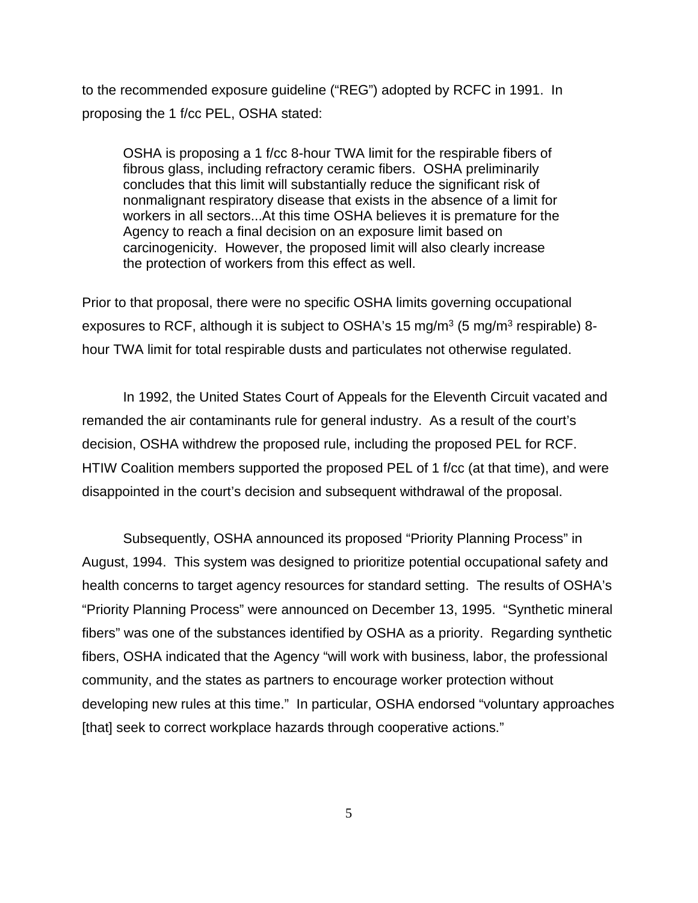to the recommended exposure guideline ("REG") adopted by RCFC in 1991. In proposing the 1 f/cc PEL, OSHA stated:

OSHA is proposing a 1 f/cc 8-hour TWA limit for the respirable fibers of fibrous glass, including refractory ceramic fibers. OSHA preliminarily concludes that this limit will substantially reduce the significant risk of nonmalignant respiratory disease that exists in the absence of a limit for workers in all sectors...At this time OSHA believes it is premature for the Agency to reach a final decision on an exposure limit based on carcinogenicity. However, the proposed limit will also clearly increase the protection of workers from this effect as well.

Prior to that proposal, there were no specific OSHA limits governing occupational exposures to RCF, although it is subject to OSHA's 15 mg/m<sup>3</sup> (5 mg/m<sup>3</sup> respirable) 8hour TWA limit for total respirable dusts and particulates not otherwise regulated.

In 1992, the United States Court of Appeals for the Eleventh Circuit vacated and remanded the air contaminants rule for general industry. As a result of the court's decision, OSHA withdrew the proposed rule, including the proposed PEL for RCF. HTIW Coalition members supported the proposed PEL of 1 f/cc (at that time), and were disappointed in the court's decision and subsequent withdrawal of the proposal.

Subsequently, OSHA announced its proposed "Priority Planning Process" in August, 1994. This system was designed to prioritize potential occupational safety and health concerns to target agency resources for standard setting. The results of OSHA's "Priority Planning Process" were announced on December 13, 1995. "Synthetic mineral fibers" was one of the substances identified by OSHA as a priority. Regarding synthetic fibers, OSHA indicated that the Agency "will work with business, labor, the professional community, and the states as partners to encourage worker protection without developing new rules at this time." In particular, OSHA endorsed "voluntary approaches [that] seek to correct workplace hazards through cooperative actions."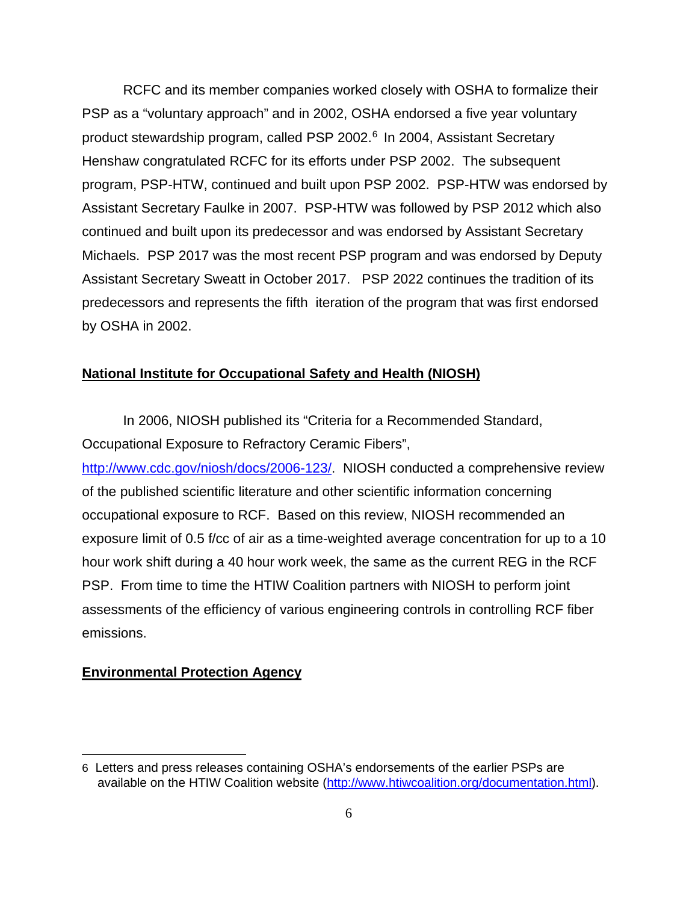RCFC and its member companies worked closely with OSHA to formalize their PSP as a "voluntary approach" and in 2002, OSHA endorsed a five year voluntary product stewardship program, called PSP 2002.<sup>[6](#page-5-0)</sup> In 2004, Assistant Secretary Henshaw congratulated RCFC for its efforts under PSP 2002. The subsequent program, PSP-HTW, continued and built upon PSP 2002. PSP-HTW was endorsed by Assistant Secretary Faulke in 2007. PSP-HTW was followed by PSP 2012 which also continued and built upon its predecessor and was endorsed by Assistant Secretary Michaels. PSP 2017 was the most recent PSP program and was endorsed by Deputy Assistant Secretary Sweatt in October 2017. PSP 2022 continues the tradition of its predecessors and represents the fifth iteration of the program that was first endorsed by OSHA in 2002.

# **National Institute for Occupational Safety and Health (NIOSH)**

In 2006, NIOSH published its "Criteria for a Recommended Standard, Occupational Exposure to Refractory Ceramic Fibers",

[http://www.cdc.gov/niosh/docs/2006-123/.](http://www.cdc.gov/niosh/docs/2006-123/) NIOSH conducted a comprehensive review of the published scientific literature and other scientific information concerning occupational exposure to RCF. Based on this review, NIOSH recommended an exposure limit of 0.5 f/cc of air as a time-weighted average concentration for up to a 10 hour work shift during a 40 hour work week, the same as the current REG in the RCF PSP. From time to time the HTIW Coalition partners with NIOSH to perform joint assessments of the efficiency of various engineering controls in controlling RCF fiber emissions.

# **Environmental Protection Agency**

<span id="page-5-0"></span><sup>6</sup> Letters and press releases containing OSHA's endorsements of the earlier PSPs are available on the HTIW Coalition website [\(http://www.htiwcoalition.org/documentation.html\)](http://www.htiwcoalition.org/documentation.html).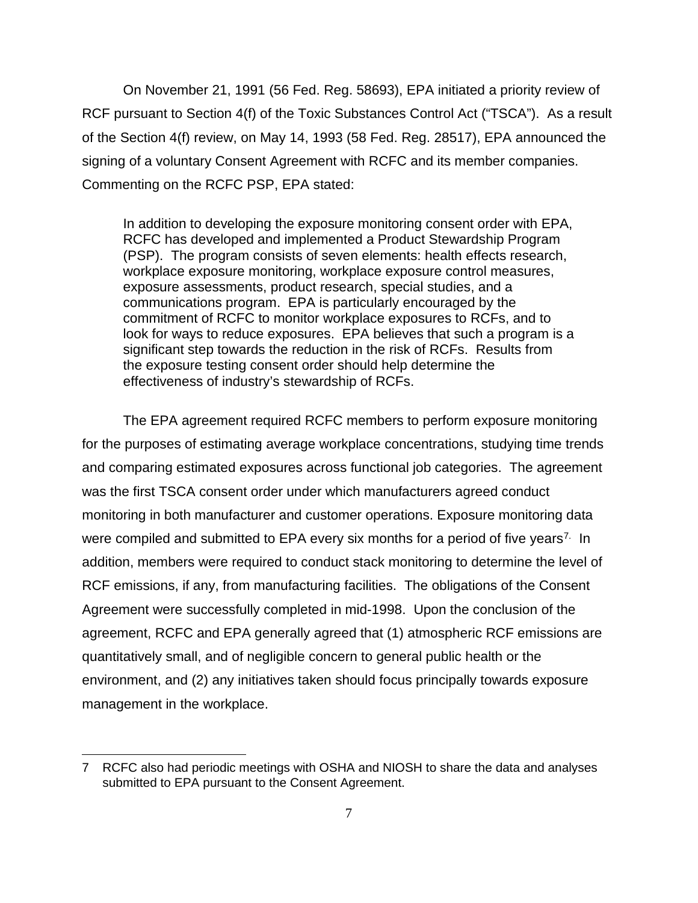On November 21, 1991 (56 Fed. Reg. 58693), EPA initiated a priority review of RCF pursuant to Section 4(f) of the Toxic Substances Control Act ("TSCA"). As a result of the Section 4(f) review, on May 14, 1993 (58 Fed. Reg. 28517), EPA announced the signing of a voluntary Consent Agreement with RCFC and its member companies. Commenting on the RCFC PSP, EPA stated:

In addition to developing the exposure monitoring consent order with EPA, RCFC has developed and implemented a Product Stewardship Program (PSP). The program consists of seven elements: health effects research, workplace exposure monitoring, workplace exposure control measures, exposure assessments, product research, special studies, and a communications program. EPA is particularly encouraged by the commitment of RCFC to monitor workplace exposures to RCFs, and to look for ways to reduce exposures. EPA believes that such a program is a significant step towards the reduction in the risk of RCFs. Results from the exposure testing consent order should help determine the effectiveness of industry's stewardship of RCFs.

The EPA agreement required RCFC members to perform exposure monitoring for the purposes of estimating average workplace concentrations, studying time trends and comparing estimated exposures across functional job categories. The agreement was the first TSCA consent order under which manufacturers agreed conduct monitoring in both manufacturer and customer operations. Exposure monitoring data were compiled and submitted to EPA every six months for a period of five years<sup>[7](#page-6-0).</sup> In addition, members were required to conduct stack monitoring to determine the level of RCF emissions, if any, from manufacturing facilities. The obligations of the Consent Agreement were successfully completed in mid-1998. Upon the conclusion of the agreement, RCFC and EPA generally agreed that (1) atmospheric RCF emissions are quantitatively small, and of negligible concern to general public health or the environment, and (2) any initiatives taken should focus principally towards exposure management in the workplace.

<span id="page-6-0"></span><sup>7</sup> RCFC also had periodic meetings with OSHA and NIOSH to share the data and analyses submitted to EPA pursuant to the Consent Agreement.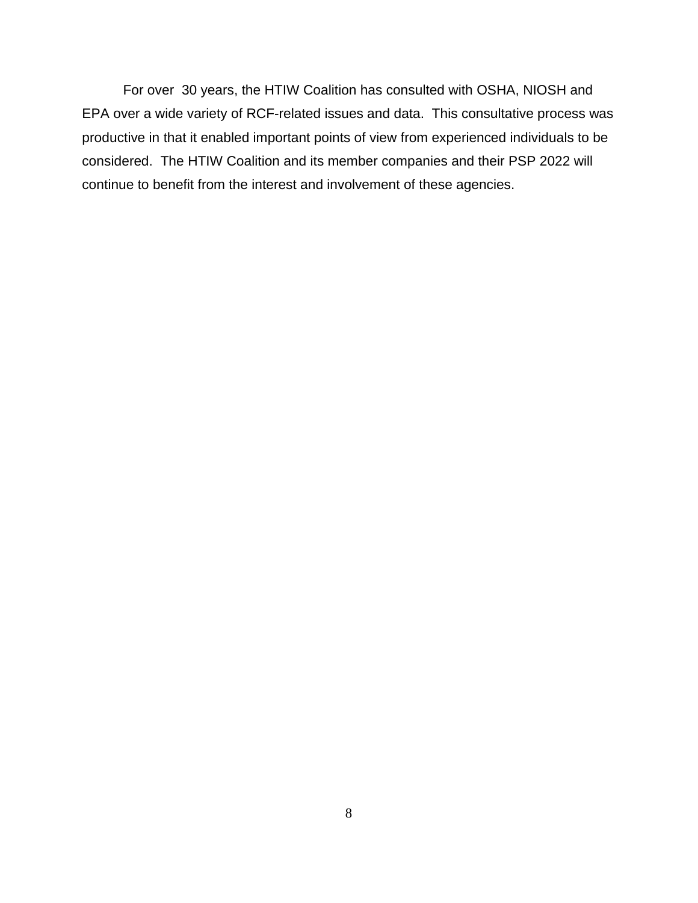For over 30 years, the HTIW Coalition has consulted with OSHA, NIOSH and EPA over a wide variety of RCF-related issues and data. This consultative process was productive in that it enabled important points of view from experienced individuals to be considered. The HTIW Coalition and its member companies and their PSP 2022 will continue to benefit from the interest and involvement of these agencies.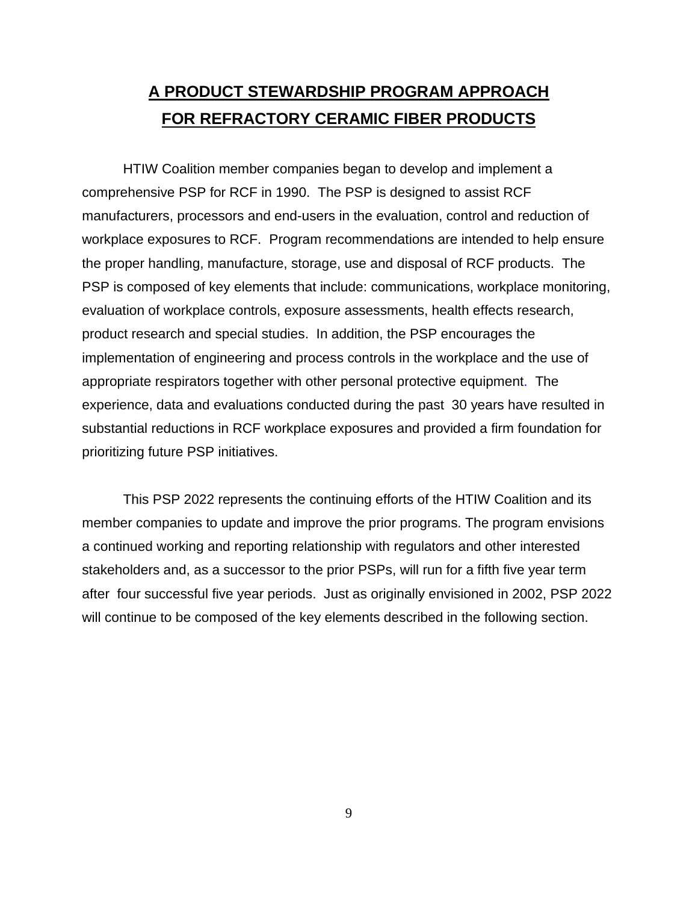# **A PRODUCT STEWARDSHIP PROGRAM APPROACH FOR REFRACTORY CERAMIC FIBER PRODUCTS**

HTIW Coalition member companies began to develop and implement a comprehensive PSP for RCF in 1990. The PSP is designed to assist RCF manufacturers, processors and end-users in the evaluation, control and reduction of workplace exposures to RCF. Program recommendations are intended to help ensure the proper handling, manufacture, storage, use and disposal of RCF products. The PSP is composed of key elements that include: communications, workplace monitoring, evaluation of workplace controls, exposure assessments, health effects research, product research and special studies. In addition, the PSP encourages the implementation of engineering and process controls in the workplace and the use of appropriate respirators together with other personal protective equipment. The experience, data and evaluations conducted during the past 30 years have resulted in substantial reductions in RCF workplace exposures and provided a firm foundation for prioritizing future PSP initiatives.

This PSP 2022 represents the continuing efforts of the HTIW Coalition and its member companies to update and improve the prior programs. The program envisions a continued working and reporting relationship with regulators and other interested stakeholders and, as a successor to the prior PSPs, will run for a fifth five year term after four successful five year periods. Just as originally envisioned in 2002, PSP 2022 will continue to be composed of the key elements described in the following section.

9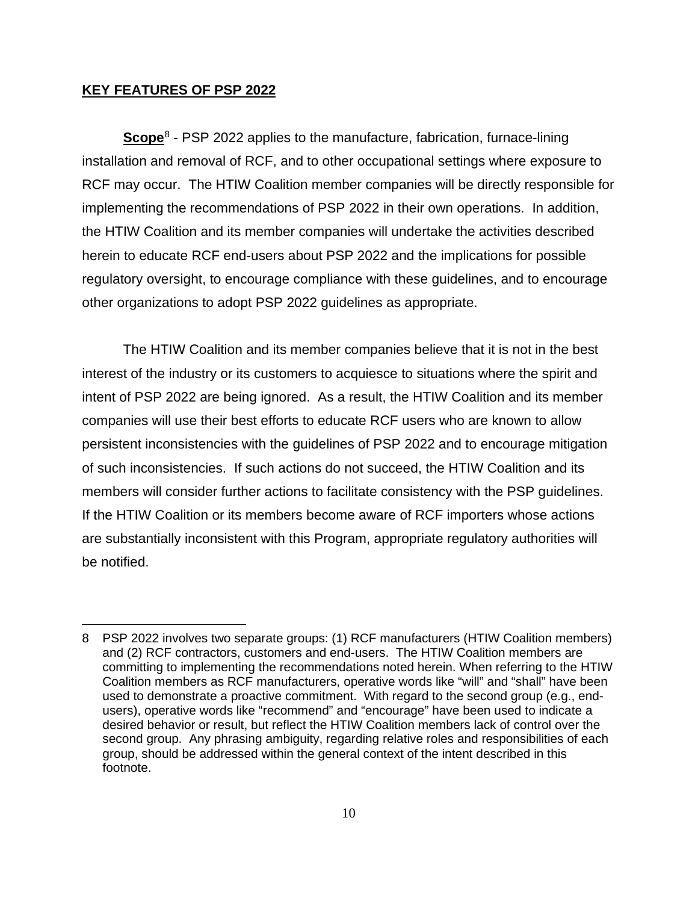### **KEY FEATURES OF PSP 2022**

**Scope**[8](#page-9-0) - PSP 2022 applies to the manufacture, fabrication, furnace-lining installation and removal of RCF, and to other occupational settings where exposure to RCF may occur. The HTIW Coalition member companies will be directly responsible for implementing the recommendations of PSP 2022 in their own operations. In addition, the HTIW Coalition and its member companies will undertake the activities described herein to educate RCF end-users about PSP 2022 and the implications for possible regulatory oversight, to encourage compliance with these guidelines, and to encourage other organizations to adopt PSP 2022 guidelines as appropriate.

The HTIW Coalition and its member companies believe that it is not in the best interest of the industry or its customers to acquiesce to situations where the spirit and intent of PSP 2022 are being ignored. As a result, the HTIW Coalition and its member companies will use their best efforts to educate RCF users who are known to allow persistent inconsistencies with the guidelines of PSP 2022 and to encourage mitigation of such inconsistencies. If such actions do not succeed, the HTIW Coalition and its members will consider further actions to facilitate consistency with the PSP guidelines. If the HTIW Coalition or its members become aware of RCF importers whose actions are substantially inconsistent with this Program, appropriate regulatory authorities will be notified.

<span id="page-9-0"></span><sup>8</sup> PSP 2022 involves two separate groups: (1) RCF manufacturers (HTIW Coalition members) and (2) RCF contractors, customers and end-users. The HTIW Coalition members are committing to implementing the recommendations noted herein. When referring to the HTIW Coalition members as RCF manufacturers, operative words like "will" and "shall" have been used to demonstrate a proactive commitment. With regard to the second group (e.g., endusers), operative words like "recommend" and "encourage" have been used to indicate a desired behavior or result, but reflect the HTIW Coalition members lack of control over the second group. Any phrasing ambiguity, regarding relative roles and responsibilities of each group, should be addressed within the general context of the intent described in this footnote.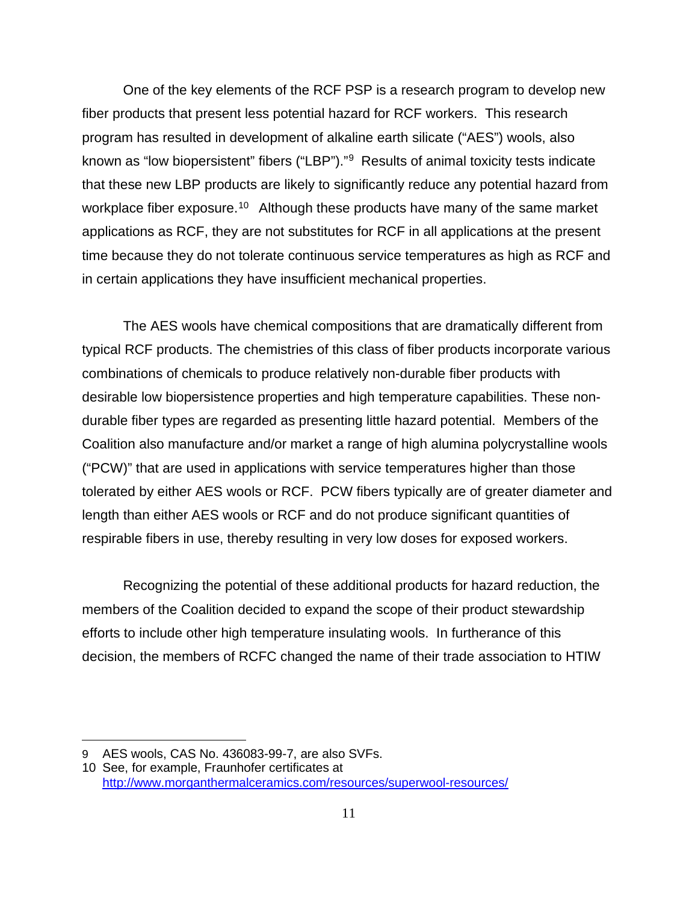One of the key elements of the RCF PSP is a research program to develop new fiber products that present less potential hazard for RCF workers. This research program has resulted in development of alkaline earth silicate ("AES") wools, also known as "low biopersistent" fibers ("LBP")."[9](#page-10-0) Results of animal toxicity tests indicate that these new LBP products are likely to significantly reduce any potential hazard from workplace fiber exposure.<sup>[10](#page-10-1)</sup> Although these products have many of the same market applications as RCF, they are not substitutes for RCF in all applications at the present time because they do not tolerate continuous service temperatures as high as RCF and in certain applications they have insufficient mechanical properties.

The AES wools have chemical compositions that are dramatically different from typical RCF products. The chemistries of this class of fiber products incorporate various combinations of chemicals to produce relatively non-durable fiber products with desirable low biopersistence properties and high temperature capabilities. These nondurable fiber types are regarded as presenting little hazard potential. Members of the Coalition also manufacture and/or market a range of high alumina polycrystalline wools ("PCW)" that are used in applications with service temperatures higher than those tolerated by either AES wools or RCF. PCW fibers typically are of greater diameter and length than either AES wools or RCF and do not produce significant quantities of respirable fibers in use, thereby resulting in very low doses for exposed workers.

Recognizing the potential of these additional products for hazard reduction, the members of the Coalition decided to expand the scope of their product stewardship efforts to include other high temperature insulating wools. In furtherance of this decision, the members of RCFC changed the name of their trade association to HTIW

<span id="page-10-0"></span><sup>9</sup> AES wools, CAS No. 436083-99-7, are also SVFs.

<span id="page-10-1"></span><sup>10</sup> See, for example, Fraunhofer certificates at <http://www.morganthermalceramics.com/resources/superwool-resources/>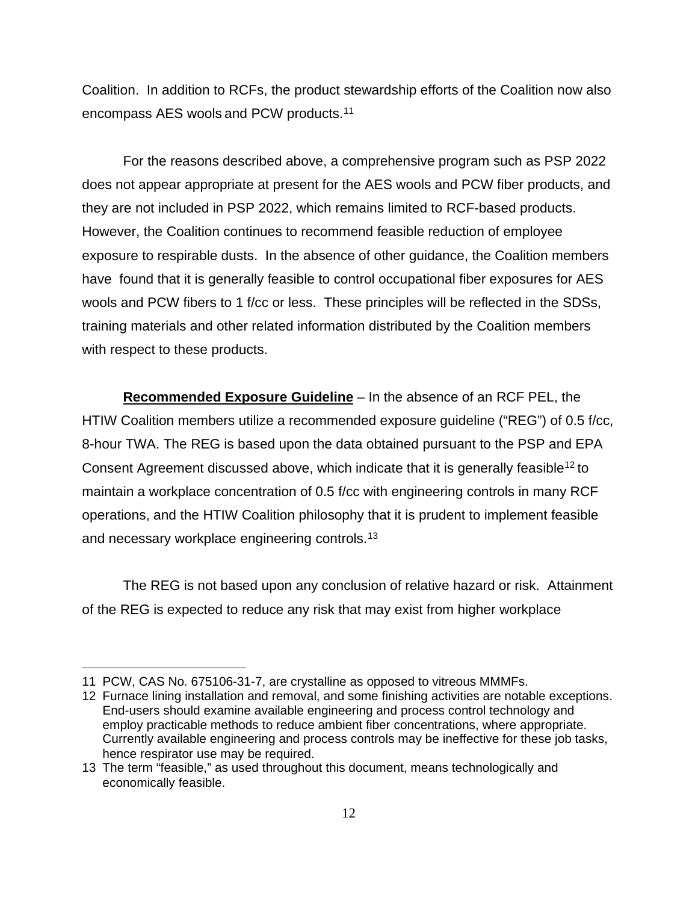Coalition. In addition to RCFs, the product stewardship efforts of the Coalition now also encompass AES wools and PCW products.[11](#page-11-0)

For the reasons described above, a comprehensive program such as PSP 2022 does not appear appropriate at present for the AES wools and PCW fiber products, and they are not included in PSP 2022, which remains limited to RCF-based products. However, the Coalition continues to recommend feasible reduction of employee exposure to respirable dusts. In the absence of other guidance, the Coalition members have found that it is generally feasible to control occupational fiber exposures for AES wools and PCW fibers to 1 f/cc or less. These principles will be reflected in the SDSs, training materials and other related information distributed by the Coalition members with respect to these products.

**Recommended Exposure Guideline** – In the absence of an RCF PEL, the HTIW Coalition members utilize a recommended exposure guideline ("REG") of 0.5 f/cc, 8-hour TWA. The REG is based upon the data obtained pursuant to the PSP and EPA Consent Agreement discussed above, which indicate that it is generally feasible<sup>12</sup> to maintain a workplace concentration of 0.5 f/cc with engineering controls in many RCF operations, and the HTIW Coalition philosophy that it is prudent to implement feasible and necessary workplace engineering controls.<sup>13</sup>

The REG is not based upon any conclusion of relative hazard or risk. Attainment of the REG is expected to reduce any risk that may exist from higher workplace

<span id="page-11-0"></span><sup>11</sup> PCW, CAS No. 675106-31-7, are crystalline as opposed to vitreous MMMFs.

<span id="page-11-1"></span><sup>12</sup> Furnace lining installation and removal, and some finishing activities are notable exceptions. End-users should examine available engineering and process control technology and employ practicable methods to reduce ambient fiber concentrations, where appropriate. Currently available engineering and process controls may be ineffective for these job tasks, hence respirator use may be required.

<span id="page-11-2"></span><sup>13</sup> The term "feasible," as used throughout this document, means technologically and economically feasible.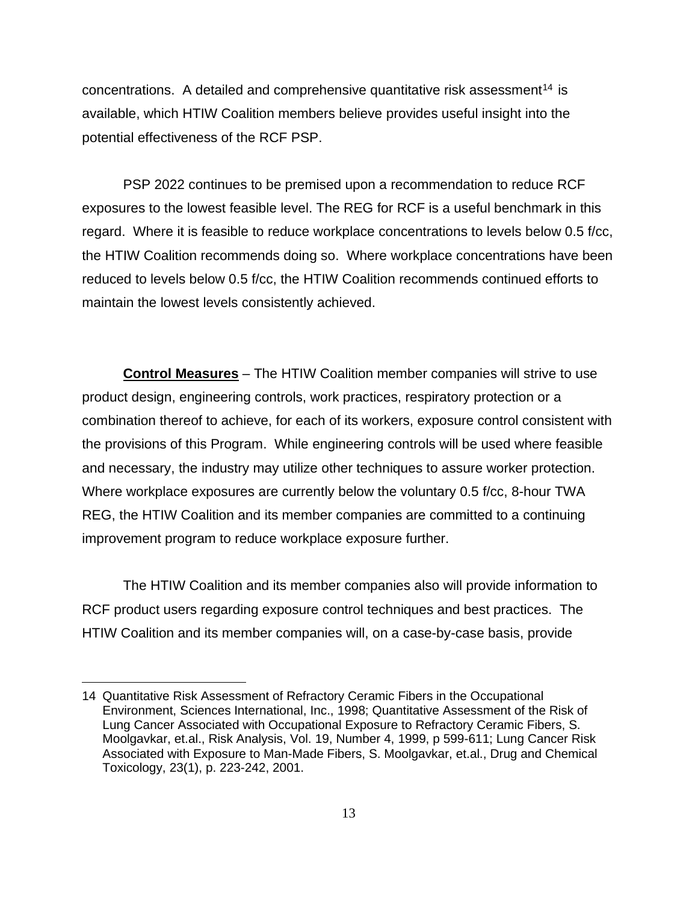concentrations. A detailed and comprehensive quantitative risk assessment<sup>[14](#page-12-0)</sup> is available, which HTIW Coalition members believe provides useful insight into the potential effectiveness of the RCF PSP.

PSP 2022 continues to be premised upon a recommendation to reduce RCF exposures to the lowest feasible level. The REG for RCF is a useful benchmark in this regard. Where it is feasible to reduce workplace concentrations to levels below 0.5 f/cc, the HTIW Coalition recommends doing so. Where workplace concentrations have been reduced to levels below 0.5 f/cc, the HTIW Coalition recommends continued efforts to maintain the lowest levels consistently achieved.

**Control Measures** – The HTIW Coalition member companies will strive to use product design, engineering controls, work practices, respiratory protection or a combination thereof to achieve, for each of its workers, exposure control consistent with the provisions of this Program. While engineering controls will be used where feasible and necessary, the industry may utilize other techniques to assure worker protection. Where workplace exposures are currently below the voluntary 0.5 f/cc, 8-hour TWA REG, the HTIW Coalition and its member companies are committed to a continuing improvement program to reduce workplace exposure further.

The HTIW Coalition and its member companies also will provide information to RCF product users regarding exposure control techniques and best practices. The HTIW Coalition and its member companies will, on a case-by-case basis, provide

<span id="page-12-0"></span><sup>14</sup> Quantitative Risk Assessment of Refractory Ceramic Fibers in the Occupational Environment, Sciences International, Inc., 1998; Quantitative Assessment of the Risk of Lung Cancer Associated with Occupational Exposure to Refractory Ceramic Fibers, S. Moolgavkar, et.al., Risk Analysis, Vol. 19, Number 4, 1999, p 599-611; Lung Cancer Risk Associated with Exposure to Man-Made Fibers, S. Moolgavkar, et.al., Drug and Chemical Toxicology, 23(1), p. 223-242, 2001.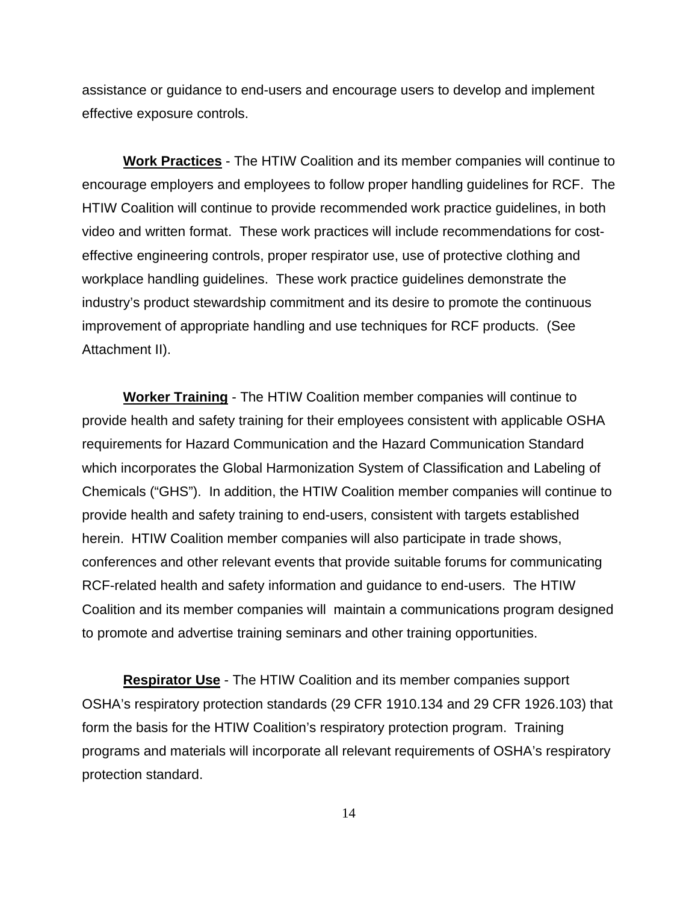assistance or guidance to end-users and encourage users to develop and implement effective exposure controls.

**Work Practices** - The HTIW Coalition and its member companies will continue to encourage employers and employees to follow proper handling guidelines for RCF. The HTIW Coalition will continue to provide recommended work practice guidelines, in both video and written format. These work practices will include recommendations for costeffective engineering controls, proper respirator use, use of protective clothing and workplace handling guidelines. These work practice guidelines demonstrate the industry's product stewardship commitment and its desire to promote the continuous improvement of appropriate handling and use techniques for RCF products. (See Attachment II).

**Worker Training** - The HTIW Coalition member companies will continue to provide health and safety training for their employees consistent with applicable OSHA requirements for Hazard Communication and the Hazard Communication Standard which incorporates the Global Harmonization System of Classification and Labeling of Chemicals ("GHS"). In addition, the HTIW Coalition member companies will continue to provide health and safety training to end-users, consistent with targets established herein. HTIW Coalition member companies will also participate in trade shows, conferences and other relevant events that provide suitable forums for communicating RCF-related health and safety information and guidance to end-users. The HTIW Coalition and its member companies will maintain a communications program designed to promote and advertise training seminars and other training opportunities.

**Respirator Use** - The HTIW Coalition and its member companies support OSHA's respiratory protection standards (29 CFR 1910.134 and 29 CFR 1926.103) that form the basis for the HTIW Coalition's respiratory protection program. Training programs and materials will incorporate all relevant requirements of OSHA's respiratory protection standard.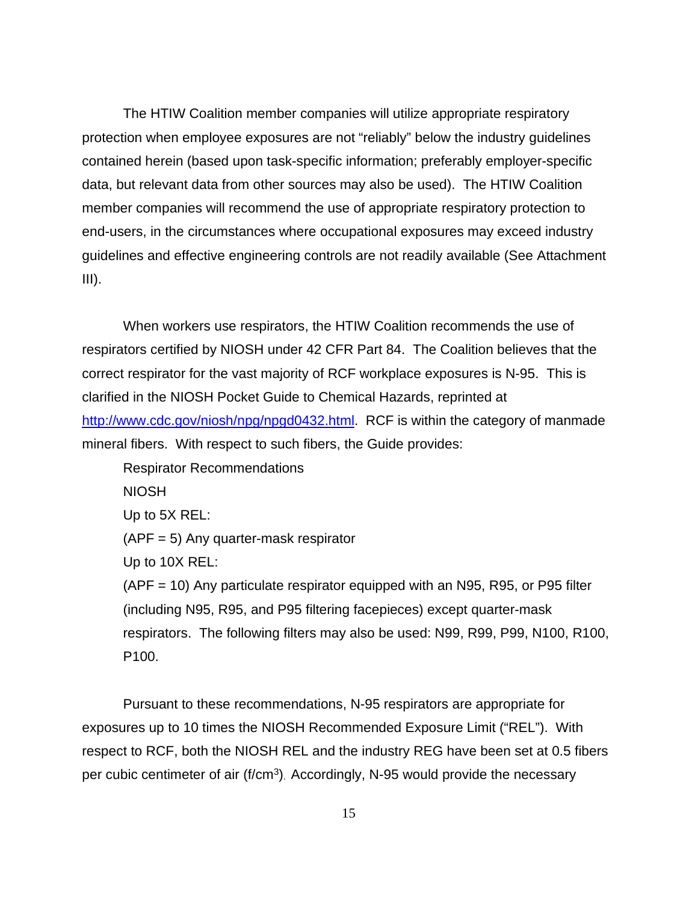The HTIW Coalition member companies will utilize appropriate respiratory protection when employee exposures are not "reliably" below the industry guidelines contained herein (based upon task-specific information; preferably employer-specific data, but relevant data from other sources may also be used). The HTIW Coalition member companies will recommend the use of appropriate respiratory protection to end-users, in the circumstances where occupational exposures may exceed industry guidelines and effective engineering controls are not readily available (See Attachment  $III$ ).

When workers use respirators, the HTIW Coalition recommends the use of respirators certified by NIOSH under 42 CFR Part 84. The Coalition believes that the correct respirator for the vast majority of RCF workplace exposures is N-95. This is clarified in the NIOSH Pocket Guide to Chemical Hazards, reprinted at [http://www.cdc.gov/niosh/npg/npgd0432.html.](http://www.cdc.gov/niosh/npg/npgd0432.html) RCF is within the category of manmade mineral fibers. With respect to such fibers, the Guide provides:

Respirator Recommendations

NIOSH

Up to 5X REL:

(APF = 5) Any quarter-mask respirator

Up to 10X REL:

(APF = 10) Any particulate respirator equipped with an N95, R95, or P95 filter (including N95, R95, and P95 filtering facepieces) except quarter-mask respirators. The following filters may also be used: N99, R99, P99, N100, R100, P100.

Pursuant to these recommendations, N-95 respirators are appropriate for exposures up to 10 times the NIOSH Recommended Exposure Limit ("REL"). With respect to RCF, both the NIOSH REL and the industry REG have been set at 0.5 fibers per cubic centimeter of air (f/cm<sup>3</sup>). Accordingly, N-95 would provide the necessary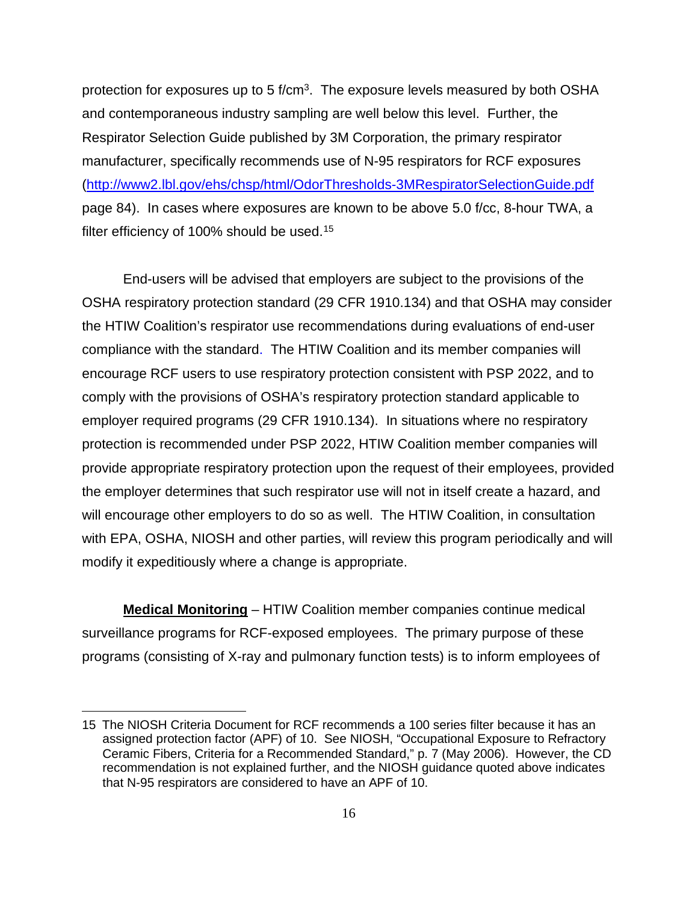protection for exposures up to 5 f/cm<sup>3</sup>. The exposure levels measured by both OSHA and contemporaneous industry sampling are well below this level. Further, the Respirator Selection Guide published by 3M Corporation, the primary respirator manufacturer, specifically recommends use of N-95 respirators for RCF exposures [\(http://www2.lbl.gov/ehs/chsp/html/OdorThresholds-3MRespiratorSelectionGuide.pdf](http://www2.lbl.gov/ehs/chsp/html/OdorThresholds-3MRespiratorSelectionGuide.pdf) page 84). In cases where exposures are known to be above 5.0 f/cc, 8-hour TWA, a filter efficiency of 100% should be used.<sup>[15](#page-15-0)</sup>

End-users will be advised that employers are subject to the provisions of the OSHA respiratory protection standard (29 CFR 1910.134) and that OSHA may consider the HTIW Coalition's respirator use recommendations during evaluations of end-user compliance with the standard. The HTIW Coalition and its member companies will encourage RCF users to use respiratory protection consistent with PSP 2022, and to comply with the provisions of OSHA's respiratory protection standard applicable to employer required programs (29 CFR 1910.134). In situations where no respiratory protection is recommended under PSP 2022, HTIW Coalition member companies will provide appropriate respiratory protection upon the request of their employees, provided the employer determines that such respirator use will not in itself create a hazard, and will encourage other employers to do so as well. The HTIW Coalition, in consultation with EPA, OSHA, NIOSH and other parties, will review this program periodically and will modify it expeditiously where a change is appropriate.

**Medical Monitoring** – HTIW Coalition member companies continue medical surveillance programs for RCF-exposed employees. The primary purpose of these programs (consisting of X-ray and pulmonary function tests) is to inform employees of

<span id="page-15-0"></span><sup>15</sup> The NIOSH Criteria Document for RCF recommends a 100 series filter because it has an assigned protection factor (APF) of 10. See NIOSH, "Occupational Exposure to Refractory Ceramic Fibers, Criteria for a Recommended Standard," p. 7 (May 2006). However, the CD recommendation is not explained further, and the NIOSH guidance quoted above indicates that N-95 respirators are considered to have an APF of 10.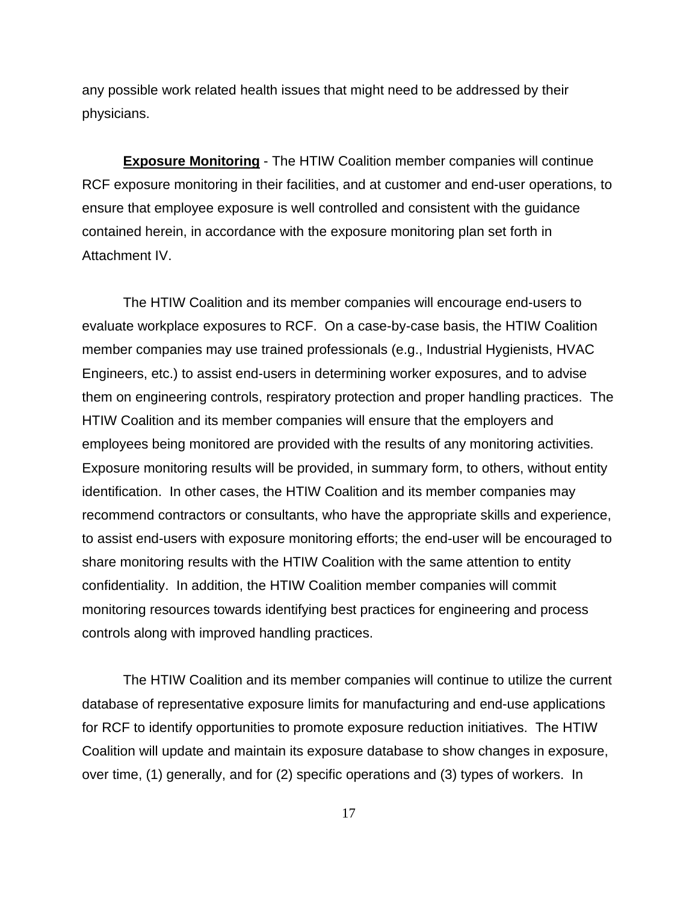any possible work related health issues that might need to be addressed by their physicians.

**Exposure Monitoring** - The HTIW Coalition member companies will continue RCF exposure monitoring in their facilities, and at customer and end-user operations, to ensure that employee exposure is well controlled and consistent with the guidance contained herein, in accordance with the exposure monitoring plan set forth in Attachment IV.

The HTIW Coalition and its member companies will encourage end-users to evaluate workplace exposures to RCF. On a case-by-case basis, the HTIW Coalition member companies may use trained professionals (e.g., Industrial Hygienists, HVAC Engineers, etc.) to assist end-users in determining worker exposures, and to advise them on engineering controls, respiratory protection and proper handling practices. The HTIW Coalition and its member companies will ensure that the employers and employees being monitored are provided with the results of any monitoring activities. Exposure monitoring results will be provided, in summary form, to others, without entity identification. In other cases, the HTIW Coalition and its member companies may recommend contractors or consultants, who have the appropriate skills and experience, to assist end-users with exposure monitoring efforts; the end-user will be encouraged to share monitoring results with the HTIW Coalition with the same attention to entity confidentiality. In addition, the HTIW Coalition member companies will commit monitoring resources towards identifying best practices for engineering and process controls along with improved handling practices.

The HTIW Coalition and its member companies will continue to utilize the current database of representative exposure limits for manufacturing and end-use applications for RCF to identify opportunities to promote exposure reduction initiatives. The HTIW Coalition will update and maintain its exposure database to show changes in exposure, over time, (1) generally, and for (2) specific operations and (3) types of workers. In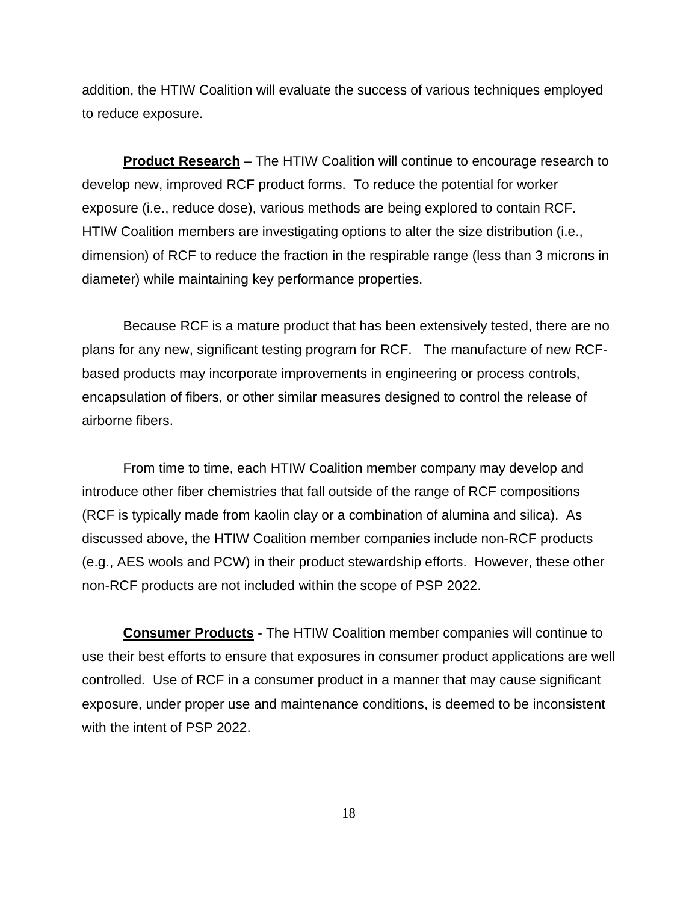addition, the HTIW Coalition will evaluate the success of various techniques employed to reduce exposure.

**Product Research** – The HTIW Coalition will continue to encourage research to develop new, improved RCF product forms. To reduce the potential for worker exposure (i.e., reduce dose), various methods are being explored to contain RCF. HTIW Coalition members are investigating options to alter the size distribution (i.e., dimension) of RCF to reduce the fraction in the respirable range (less than 3 microns in diameter) while maintaining key performance properties.

Because RCF is a mature product that has been extensively tested, there are no plans for any new, significant testing program for RCF. The manufacture of new RCFbased products may incorporate improvements in engineering or process controls, encapsulation of fibers, or other similar measures designed to control the release of airborne fibers.

From time to time, each HTIW Coalition member company may develop and introduce other fiber chemistries that fall outside of the range of RCF compositions (RCF is typically made from kaolin clay or a combination of alumina and silica). As discussed above, the HTIW Coalition member companies include non-RCF products (e.g., AES wools and PCW) in their product stewardship efforts. However, these other non-RCF products are not included within the scope of PSP 2022.

**Consumer Products** - The HTIW Coalition member companies will continue to use their best efforts to ensure that exposures in consumer product applications are well controlled. Use of RCF in a consumer product in a manner that may cause significant exposure, under proper use and maintenance conditions, is deemed to be inconsistent with the intent of PSP 2022.

18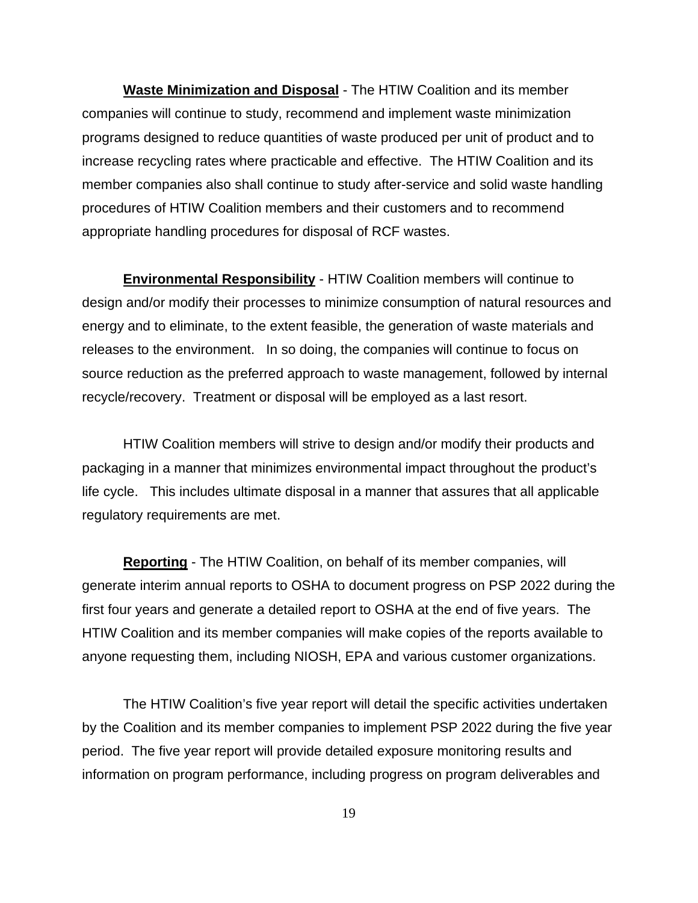**Waste Minimization and Disposal** - The HTIW Coalition and its member companies will continue to study, recommend and implement waste minimization programs designed to reduce quantities of waste produced per unit of product and to increase recycling rates where practicable and effective. The HTIW Coalition and its member companies also shall continue to study after-service and solid waste handling procedures of HTIW Coalition members and their customers and to recommend appropriate handling procedures for disposal of RCF wastes.

**Environmental Responsibility** - HTIW Coalition members will continue to design and/or modify their processes to minimize consumption of natural resources and energy and to eliminate, to the extent feasible, the generation of waste materials and releases to the environment. In so doing, the companies will continue to focus on source reduction as the preferred approach to waste management, followed by internal recycle/recovery. Treatment or disposal will be employed as a last resort.

HTIW Coalition members will strive to design and/or modify their products and packaging in a manner that minimizes environmental impact throughout the product's life cycle. This includes ultimate disposal in a manner that assures that all applicable regulatory requirements are met.

**Reporting** - The HTIW Coalition, on behalf of its member companies, will generate interim annual reports to OSHA to document progress on PSP 2022 during the first four years and generate a detailed report to OSHA at the end of five years. The HTIW Coalition and its member companies will make copies of the reports available to anyone requesting them, including NIOSH, EPA and various customer organizations.

The HTIW Coalition's five year report will detail the specific activities undertaken by the Coalition and its member companies to implement PSP 2022 during the five year period. The five year report will provide detailed exposure monitoring results and information on program performance, including progress on program deliverables and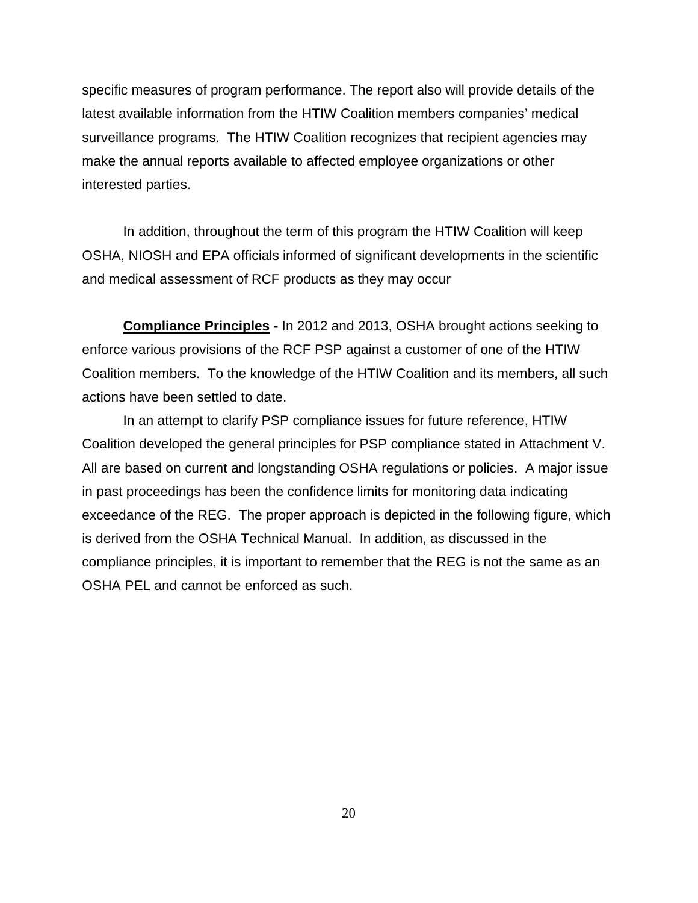specific measures of program performance. The report also will provide details of the latest available information from the HTIW Coalition members companies' medical surveillance programs. The HTIW Coalition recognizes that recipient agencies may make the annual reports available to affected employee organizations or other interested parties.

In addition, throughout the term of this program the HTIW Coalition will keep OSHA, NIOSH and EPA officials informed of significant developments in the scientific and medical assessment of RCF products as they may occur

**Compliance Principles -** In 2012 and 2013, OSHA brought actions seeking to enforce various provisions of the RCF PSP against a customer of one of the HTIW Coalition members. To the knowledge of the HTIW Coalition and its members, all such actions have been settled to date.

In an attempt to clarify PSP compliance issues for future reference, HTIW Coalition developed the general principles for PSP compliance stated in Attachment V. All are based on current and longstanding OSHA regulations or policies. A major issue in past proceedings has been the confidence limits for monitoring data indicating exceedance of the REG. The proper approach is depicted in the following figure, which is derived from the OSHA Technical Manual. In addition, as discussed in the compliance principles, it is important to remember that the REG is not the same as an OSHA PEL and cannot be enforced as such.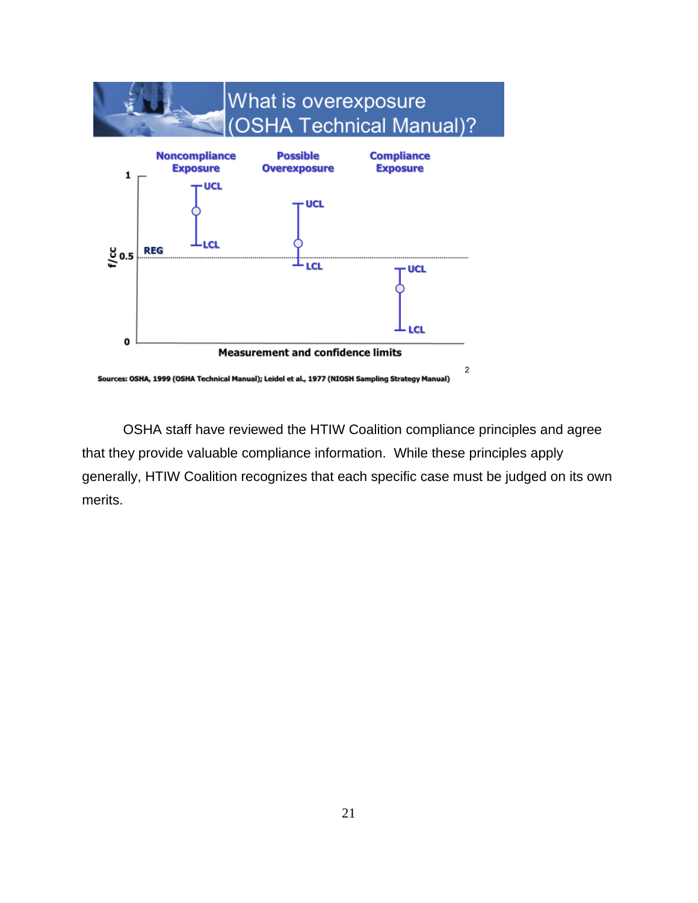

OSHA staff have reviewed the HTIW Coalition compliance principles and agree that they provide valuable compliance information. While these principles apply generally, HTIW Coalition recognizes that each specific case must be judged on its own merits.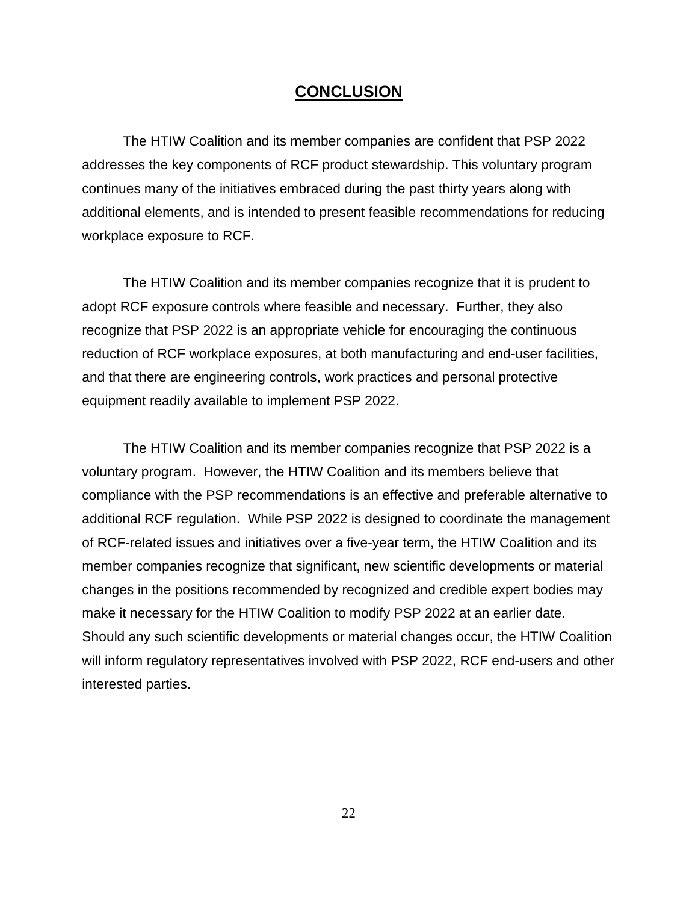# **CONCLUSION**

The HTIW Coalition and its member companies are confident that PSP 2022 addresses the key components of RCF product stewardship. This voluntary program continues many of the initiatives embraced during the past thirty years along with additional elements, and is intended to present feasible recommendations for reducing workplace exposure to RCF.

The HTIW Coalition and its member companies recognize that it is prudent to adopt RCF exposure controls where feasible and necessary. Further, they also recognize that PSP 2022 is an appropriate vehicle for encouraging the continuous reduction of RCF workplace exposures, at both manufacturing and end-user facilities, and that there are engineering controls, work practices and personal protective equipment readily available to implement PSP 2022.

The HTIW Coalition and its member companies recognize that PSP 2022 is a voluntary program. However, the HTIW Coalition and its members believe that compliance with the PSP recommendations is an effective and preferable alternative to additional RCF regulation. While PSP 2022 is designed to coordinate the management of RCF-related issues and initiatives over a five-year term, the HTIW Coalition and its member companies recognize that significant, new scientific developments or material changes in the positions recommended by recognized and credible expert bodies may make it necessary for the HTIW Coalition to modify PSP 2022 at an earlier date. Should any such scientific developments or material changes occur, the HTIW Coalition will inform regulatory representatives involved with PSP 2022, RCF end-users and other interested parties.

22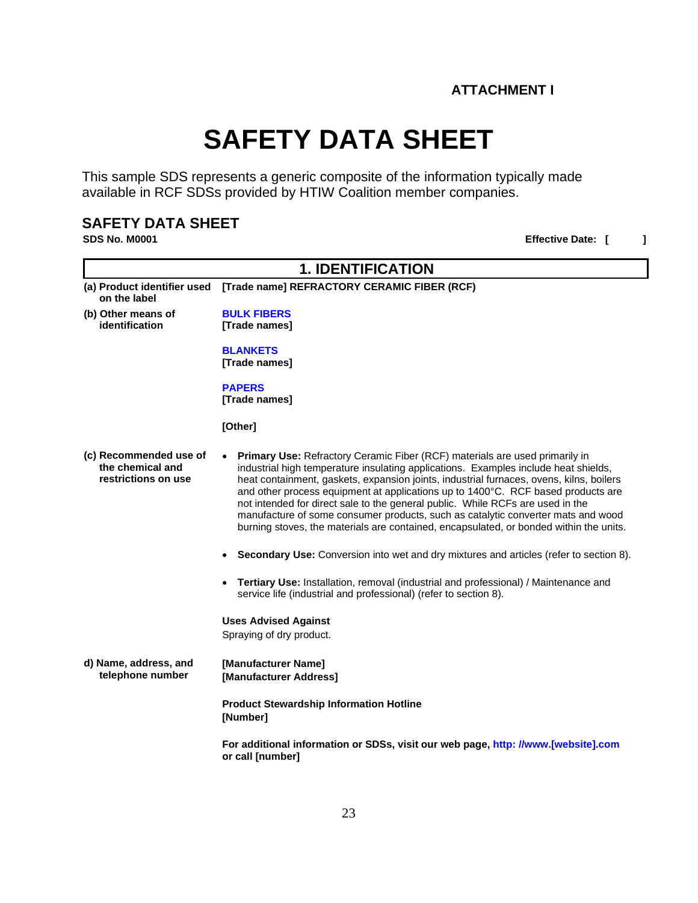# **SAFETY DATA SHEET**

This sample SDS represents a generic composite of the information typically made available in RCF SDSs provided by HTIW Coalition member companies.

# **SAFETY DATA SHEET**<br>SDS No. M0001

# **Effective Date:** [ ]

| <b>1. IDENTIFICATION</b>                                          |                                                                                                                                                                                                                                                                                                                                                                                                                                                                                                                                                                                                                   |  |
|-------------------------------------------------------------------|-------------------------------------------------------------------------------------------------------------------------------------------------------------------------------------------------------------------------------------------------------------------------------------------------------------------------------------------------------------------------------------------------------------------------------------------------------------------------------------------------------------------------------------------------------------------------------------------------------------------|--|
| (a) Product identifier used<br>on the label                       | [Trade name] REFRACTORY CERAMIC FIBER (RCF)                                                                                                                                                                                                                                                                                                                                                                                                                                                                                                                                                                       |  |
| (b) Other means of<br>identification                              | <b>BULK FIBERS</b><br>[Trade names]                                                                                                                                                                                                                                                                                                                                                                                                                                                                                                                                                                               |  |
|                                                                   | <b>BLANKETS</b><br>[Trade names]                                                                                                                                                                                                                                                                                                                                                                                                                                                                                                                                                                                  |  |
|                                                                   | <b>PAPERS</b><br>[Trade names]                                                                                                                                                                                                                                                                                                                                                                                                                                                                                                                                                                                    |  |
|                                                                   | [Other]                                                                                                                                                                                                                                                                                                                                                                                                                                                                                                                                                                                                           |  |
| (c) Recommended use of<br>the chemical and<br>restrictions on use | Primary Use: Refractory Ceramic Fiber (RCF) materials are used primarily in<br>industrial high temperature insulating applications. Examples include heat shields,<br>heat containment, gaskets, expansion joints, industrial furnaces, ovens, kilns, boilers<br>and other process equipment at applications up to 1400°C. RCF based products are<br>not intended for direct sale to the general public. While RCFs are used in the<br>manufacture of some consumer products, such as catalytic converter mats and wood<br>burning stoves, the materials are contained, encapsulated, or bonded within the units. |  |
|                                                                   | Secondary Use: Conversion into wet and dry mixtures and articles (refer to section 8).                                                                                                                                                                                                                                                                                                                                                                                                                                                                                                                            |  |
|                                                                   | Tertiary Use: Installation, removal (industrial and professional) / Maintenance and<br>service life (industrial and professional) (refer to section 8).                                                                                                                                                                                                                                                                                                                                                                                                                                                           |  |
|                                                                   | <b>Uses Advised Against</b><br>Spraying of dry product.                                                                                                                                                                                                                                                                                                                                                                                                                                                                                                                                                           |  |
| d) Name, address, and<br>telephone number                         | [Manufacturer Name]<br>[Manufacturer Address]                                                                                                                                                                                                                                                                                                                                                                                                                                                                                                                                                                     |  |
|                                                                   | <b>Product Stewardship Information Hotline</b><br>[Number]                                                                                                                                                                                                                                                                                                                                                                                                                                                                                                                                                        |  |
|                                                                   | For additional information or SDSs, visit our web page, http: //www.[website].com<br>or call [number]                                                                                                                                                                                                                                                                                                                                                                                                                                                                                                             |  |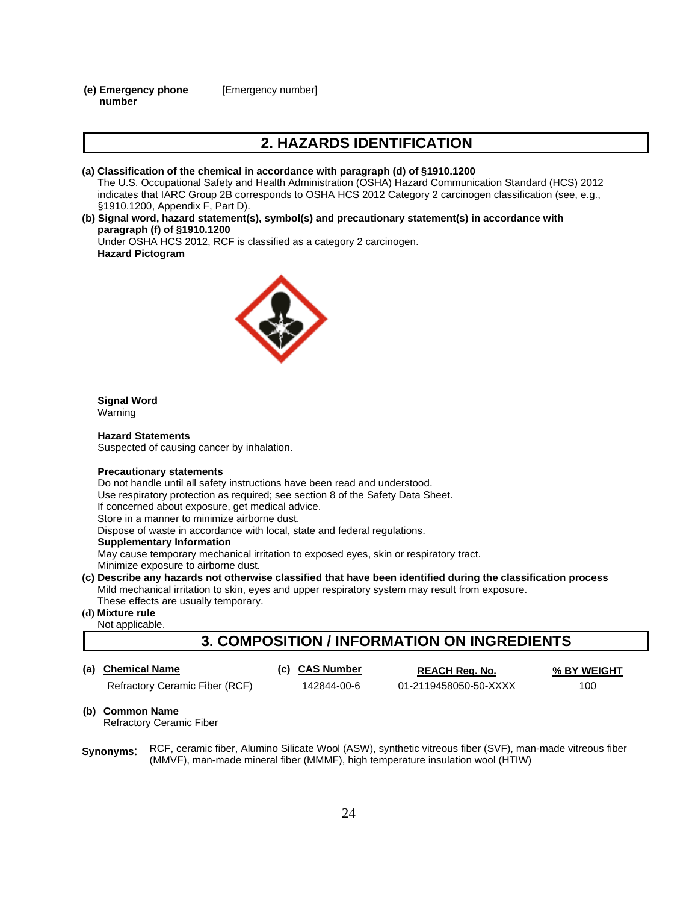**(e) Emergency phone number** [Emergency number]

# **2. HAZARDS IDENTIFICATION**

#### **(a) Classification of the chemical in accordance with paragraph (d) of §1910.1200**

The U.S. Occupational Safety and Health Administration (OSHA) Hazard Communication Standard (HCS) 2012 indicates that IARC Group 2B corresponds to OSHA HCS 2012 Category 2 carcinogen classification (see, e.g., §1910.1200, Appendix F, Part D).

#### **(b) Signal word, hazard statement(s), symbol(s) and precautionary statement(s) in accordance with paragraph (f) of §1910.1200**

Under OSHA HCS 2012, RCF is classified as a category 2 carcinogen. **Hazard Pictogram**



#### **Signal Word** Warning

**Hazard Statements** Suspected of causing cancer by inhalation.

#### **Precautionary statements**

Do not handle until all safety instructions have been read and understood. Use respiratory protection as required; see section 8 of the Safety Data Sheet. If concerned about exposure, get medical advice. Store in a manner to minimize airborne dust.

Dispose of waste in accordance with local, state and federal regulations.

#### **Supplementary Information**

May cause temporary mechanical irritation to exposed eyes, skin or respiratory tract. Minimize exposure to airborne dust.

**(c) Describe any hazards not otherwise classified that have been identified during the classification process** Mild mechanical irritation to skin, eyes and upper respiratory system may result from exposure. These effects are usually temporary.

#### **(d) Mixture rule**

Not applicable.

# **3. COMPOSITION / INFORMATION ON INGREDIENTS**

**(a) Chemical Name (c) CAS Number REACH Reg. No. % BY WEIGHT**

Refractory Ceramic Fiber (RCF)  $142844-00-6$  01-2119458050-50-XXXX 100

**(b) Common Name** 

Refractory Ceramic Fiber

**Synonyms**: RCF, ceramic fiber, Alumino Silicate Wool (ASW), synthetic vitreous fiber (SVF), man-made vitreous fiber (MMVF), man-made mineral fiber (MMMF), high temperature insulation wool (HTIW)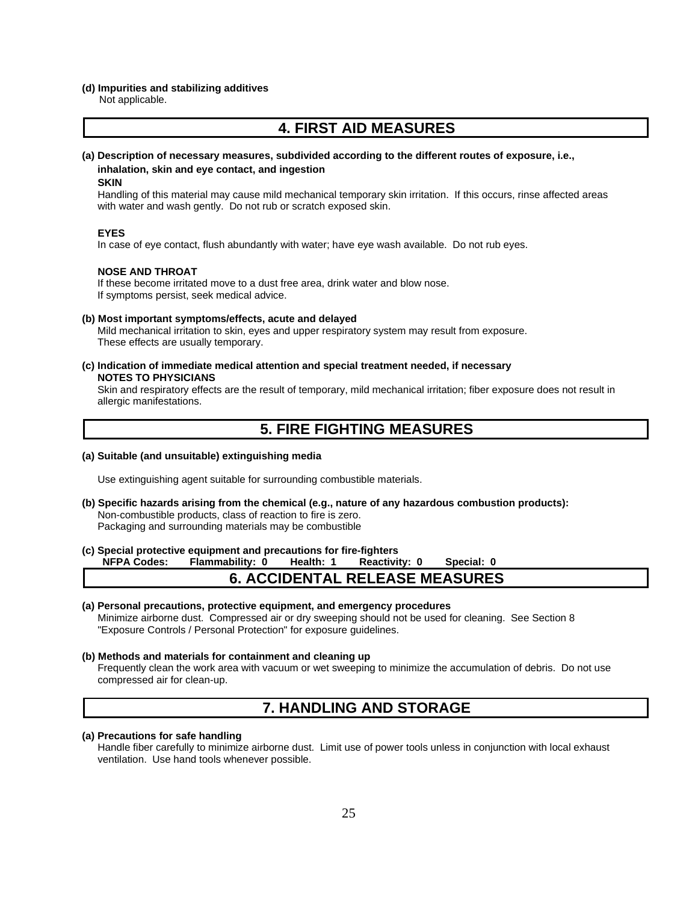#### **(d) Impurities and stabilizing additives**

Not applicable.

# **4. FIRST AID MEASURES**

#### **(a) Description of necessary measures, subdivided according to the different routes of exposure, i.e., inhalation, skin and eye contact, and ingestion**

#### **SKIN**

Handling of this material may cause mild mechanical temporary skin irritation. If this occurs, rinse affected areas with water and wash gently. Do not rub or scratch exposed skin.

#### **EYES**

In case of eye contact, flush abundantly with water; have eye wash available. Do not rub eyes.

#### **NOSE AND THROAT**

If these become irritated move to a dust free area, drink water and blow nose. If symptoms persist, seek medical advice.

#### **(b) Most important symptoms/effects, acute and delayed**

Mild mechanical irritation to skin, eyes and upper respiratory system may result from exposure. These effects are usually temporary.

**(c) Indication of immediate medical attention and special treatment needed, if necessary NOTES TO PHYSICIANS**

Skin and respiratory effects are the result of temporary, mild mechanical irritation; fiber exposure does not result in allergic manifestations.

# **5. FIRE FIGHTING MEASURES**

#### **(a) Suitable (and unsuitable) extinguishing media**

Use extinguishing agent suitable for surrounding combustible materials.

**(b) Specific hazards arising from the chemical (e.g., nature of any hazardous combustion products):** Non-combustible products, class of reaction to fire is zero. Packaging and surrounding materials may be combustible

#### **(c) Special protective equipment and precautions for fire-fighters**

**NFPA Codes: Flammability: 0 Health: 1 Reactivity: 0 Special: 0**

#### **6. ACCIDENTAL RELEASE MEASURES**

#### **(a) Personal precautions, protective equipment, and emergency procedures**

Minimize airborne dust. Compressed air or dry sweeping should not be used for cleaning. See Section 8 "Exposure Controls / Personal Protection" for exposure guidelines.

#### **(b) Methods and materials for containment and cleaning up**

Frequently clean the work area with vacuum or wet sweeping to minimize the accumulation of debris. Do not use compressed air for clean-up.

# **7. HANDLING AND STORAGE**

#### **(a) Precautions for safe handling**

Handle fiber carefully to minimize airborne dust. Limit use of power tools unless in conjunction with local exhaust ventilation. Use hand tools whenever possible.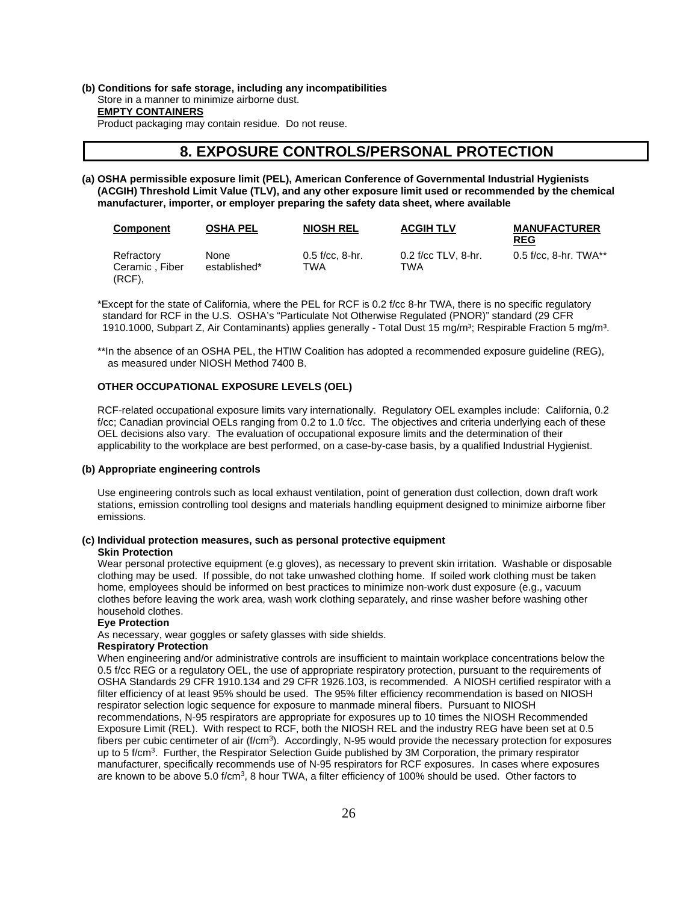#### **(b) Conditions for safe storage, including any incompatibilities** Store in a manner to minimize airborne dust. **EMPTY CONTAINERS** Product packaging may contain residue. Do not reuse.

# **8. EXPOSURE CONTROLS/PERSONAL PROTECTION**

**(a) OSHA permissible exposure limit (PEL), American Conference of Governmental Industrial Hygienists (ACGIH) Threshold Limit Value (TLV), and any other exposure limit used or recommended by the chemical manufacturer, importer, or employer preparing the safety data sheet, where available**

| <b>Component</b>                      | <b>OSHA PEL</b>      | <b>NIOSH REL</b>         | <b>ACGIH TLV</b>           | <b>MANUFACTURER</b><br><b>REG</b> |
|---------------------------------------|----------------------|--------------------------|----------------------------|-----------------------------------|
| Refractory<br>Ceramic, Fiber<br>(RCF) | None<br>established* | $0.5$ f/cc. 8-hr.<br>TWA | 0.2 f/cc TLV, 8-hr.<br>TWA | $0.5$ f/cc. 8-hr. TWA**           |

\*Except for the state of California, where the PEL for RCF is 0.2 f/cc 8-hr TWA, there is no specific regulatory standard for RCF in the U.S. OSHA's "Particulate Not Otherwise Regulated (PNOR)" standard (29 CFR 1910.1000, Subpart Z, Air Contaminants) applies generally - Total Dust 15 mg/m<sup>3</sup>; Respirable Fraction 5 mg/m<sup>3</sup>.

\*\*In the absence of an OSHA PEL, the HTIW Coalition has adopted a recommended exposure guideline (REG), as measured under NIOSH Method 7400 B.

#### **OTHER OCCUPATIONAL EXPOSURE LEVELS (OEL)**

RCF-related occupational exposure limits vary internationally. Regulatory OEL examples include: California, 0.2 f/cc; Canadian provincial OELs ranging from 0.2 to 1.0 f/cc. The objectives and criteria underlying each of these OEL decisions also vary. The evaluation of occupational exposure limits and the determination of their applicability to the workplace are best performed, on a case-by-case basis, by a qualified Industrial Hygienist.

#### **(b) Appropriate engineering controls**

Use engineering controls such as local exhaust ventilation, point of generation dust collection, down draft work stations, emission controlling tool designs and materials handling equipment designed to minimize airborne fiber emissions.

#### **(c) Individual protection measures, such as personal protective equipment**

#### **Skin Protection**

Wear personal protective equipment (e.g gloves), as necessary to prevent skin irritation. Washable or disposable clothing may be used. If possible, do not take unwashed clothing home. If soiled work clothing must be taken home, employees should be informed on best practices to minimize non-work dust exposure (e.g., vacuum clothes before leaving the work area, wash work clothing separately, and rinse washer before washing other household clothes.

#### **Eye Protection**

As necessary, wear goggles or safety glasses with side shields.

#### **Respiratory Protection**

When engineering and/or administrative controls are insufficient to maintain workplace concentrations below the 0.5 f/cc REG or a regulatory OEL, the use of appropriate respiratory protection, pursuant to the requirements of OSHA Standards 29 CFR 1910.134 and 29 CFR 1926.103, is recommended. A NIOSH certified respirator with a filter efficiency of at least 95% should be used. The 95% filter efficiency recommendation is based on NIOSH respirator selection logic sequence for exposure to manmade mineral fibers. Pursuant to NIOSH recommendations, N-95 respirators are appropriate for exposures up to 10 times the NIOSH Recommended Exposure Limit (REL). With respect to RCF, both the NIOSH REL and the industry REG have been set at 0.5 fibers per cubic centimeter of air (f/cm<sup>3</sup>). Accordingly, N-95 would provide the necessary protection for exposures up to 5 f/cm<sup>3</sup>. Further, the Respirator Selection Guide published by 3M Corporation, the primary respirator manufacturer, specifically recommends use of N-95 respirators for RCF exposures. In cases where exposures are known to be above 5.0 f/cm<sup>3</sup>, 8 hour TWA, a filter efficiency of 100% should be used. Other factors to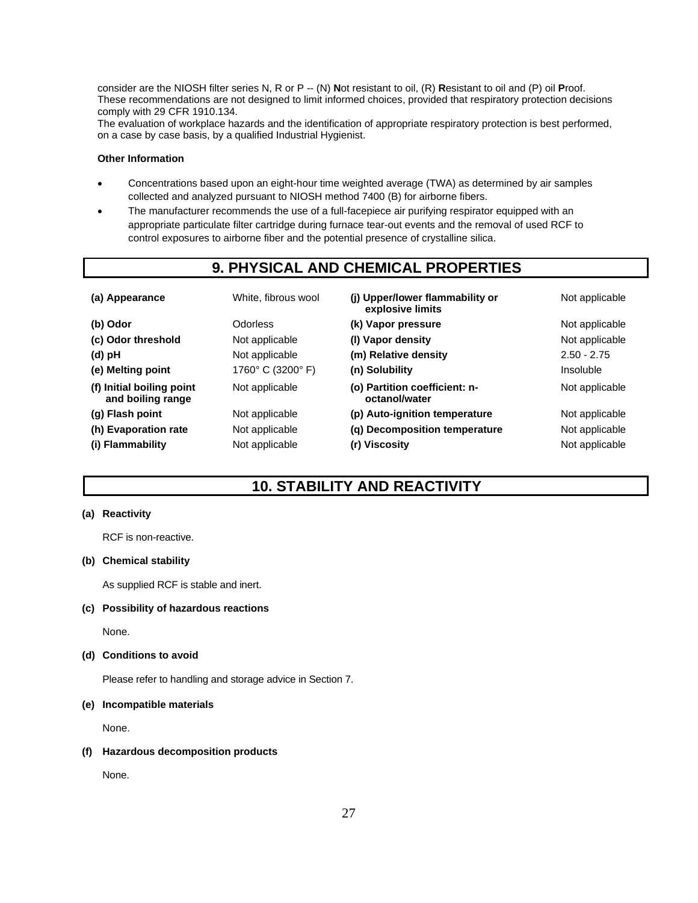consider are the NIOSH filter series N, R or P -- (N) **N**ot resistant to oil, (R) **R**esistant to oil and (P) oil **P**roof. These recommendations are not designed to limit informed choices, provided that respiratory protection decisions comply with 29 CFR 1910.134.

The evaluation of workplace hazards and the identification of appropriate respiratory protection is best performed, on a case by case basis, by a qualified Industrial Hygienist.

#### **Other Information**

- Concentrations based upon an eight-hour time weighted average (TWA) as determined by air samples collected and analyzed pursuant to NIOSH method 7400 (B) for airborne fibers.
- The manufacturer recommends the use of a full-facepiece air purifying respirator equipped with an appropriate particulate filter cartridge during furnace tear-out events and the removal of used RCF to control exposures to airborne fiber and the potential presence of crystalline silica.

# **9. PHYSICAL AND CHEMICAL PROPERTIES**

| (a) Appearance                                 | White, fibrous wool | (i) Upper/lower flammability or<br>explosive limits | Not applicable |
|------------------------------------------------|---------------------|-----------------------------------------------------|----------------|
| (b) Odor                                       | <b>Odorless</b>     | (k) Vapor pressure                                  | Not applicable |
| (c) Odor threshold                             | Not applicable      | (I) Vapor density                                   | Not applicable |
| (d) pH                                         | Not applicable      | (m) Relative density                                | $2.50 - 2.75$  |
| (e) Melting point                              | 1760° C (3200° F)   | (n) Solubility                                      | Insoluble      |
| (f) Initial boiling point<br>and boiling range | Not applicable      | (o) Partition coefficient: n-<br>octanol/water      | Not applicable |
| (g) Flash point                                | Not applicable      | (p) Auto-ignition temperature                       | Not applicable |
| (h) Evaporation rate                           | Not applicable      | (g) Decomposition temperature                       | Not applicable |
| (i) Flammability                               | Not applicable      | (r) Viscosity                                       | Not applicable |

# **10. STABILITY AND REACTIVITY**

#### **(a) Reactivity**

RCF is non-reactive.

#### **(b) Chemical stability**

As supplied RCF is stable and inert.

#### **(c) Possibility of hazardous reactions**

None.

#### **(d) Conditions to avoid**

Please refer to handling and storage advice in Section 7.

#### **(e) Incompatible materials**

None.

#### **(f) Hazardous decomposition products**

None.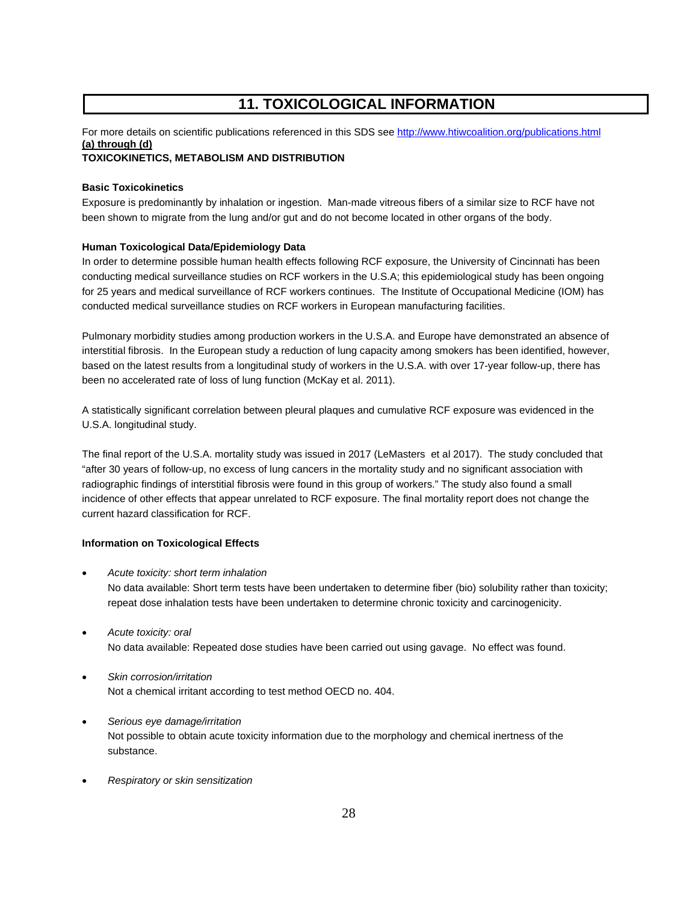# **11. TOXICOLOGICAL INFORMATION**

# For more details on scientific publications referenced in this SDS se[e http://www.htiwcoalition.org/publications.html](http://www.htiwcoalition.org/publications.html) **(a) through (d)**

#### **TOXICOKINETICS, METABOLISM AND DISTRIBUTION**

#### **Basic Toxicokinetics**

Exposure is predominantly by inhalation or ingestion. Man-made vitreous fibers of a similar size to RCF have not been shown to migrate from the lung and/or gut and do not become located in other organs of the body.

#### **Human Toxicological Data/Epidemiology Data**

In order to determine possible human health effects following RCF exposure, the University of Cincinnati has been conducting medical surveillance studies on RCF workers in the U.S.A; this epidemiological study has been ongoing for 25 years and medical surveillance of RCF workers continues. The Institute of Occupational Medicine (IOM) has conducted medical surveillance studies on RCF workers in European manufacturing facilities.

Pulmonary morbidity studies among production workers in the U.S.A. and Europe have demonstrated an absence of interstitial fibrosis. In the European study a reduction of lung capacity among smokers has been identified, however, based on the latest results from a longitudinal study of workers in the U.S.A. with over 17-year follow-up, there has been no accelerated rate of loss of lung function (McKay et al. 2011).

A statistically significant correlation between pleural plaques and cumulative RCF exposure was evidenced in the U.S.A. longitudinal study.

The final report of the U.S.A. mortality study was issued in 2017 (LeMasters et al 2017). The study concluded that "after 30 years of follow-up, no excess of lung cancers in the mortality study and no significant association with radiographic findings of interstitial fibrosis were found in this group of workers." The study also found a small incidence of other effects that appear unrelated to RCF exposure. The final mortality report does not change the current hazard classification for RCF.

#### **Information on Toxicological Effects**

- *Acute toxicity: short term inhalation* No data available: Short term tests have been undertaken to determine fiber (bio) solubility rather than toxicity; repeat dose inhalation tests have been undertaken to determine chronic toxicity and carcinogenicity.
- *Acute toxicity: oral* No data available: Repeated dose studies have been carried out using gavage. No effect was found.
- *Skin corrosion/irritation* Not a chemical irritant according to test method OECD no. 404.
- *Serious eye damage/irritation* Not possible to obtain acute toxicity information due to the morphology and chemical inertness of the substance.
- *Respiratory or skin sensitization*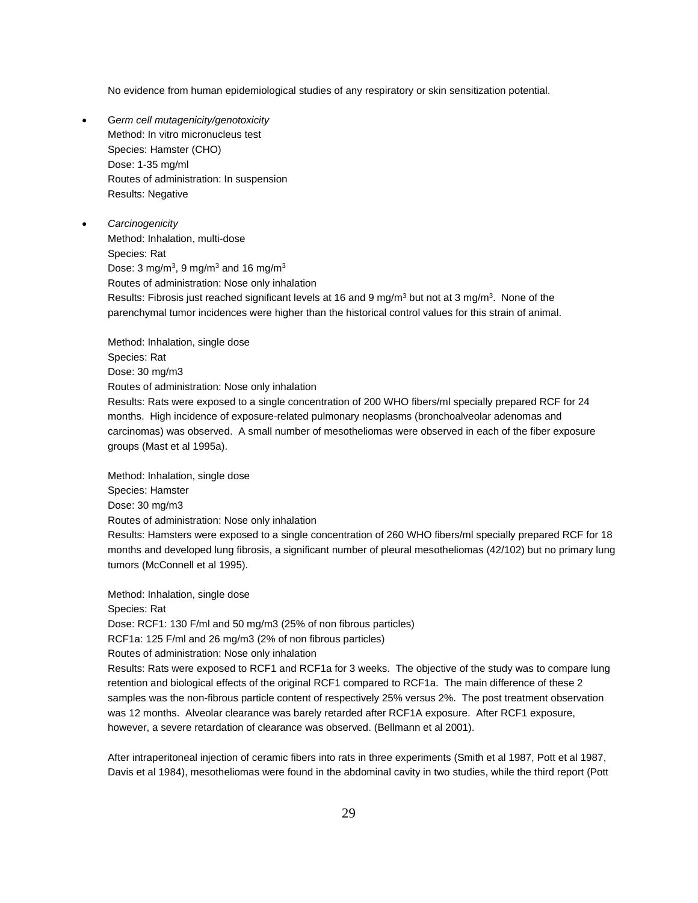No evidence from human epidemiological studies of any respiratory or skin sensitization potential.

• G*erm cell mutagenicity/genotoxicity* Method: In vitro micronucleus test Species: Hamster (CHO) Dose: 1-35 mg/ml Routes of administration: In suspension Results: Negative

• *Carcinogenicity* Method: Inhalation, multi-dose Species: Rat Dose: 3 mg/m<sup>3</sup>, 9 mg/m<sup>3</sup> and 16 mg/m<sup>3</sup> Routes of administration: Nose only inhalation Results: Fibrosis just reached significant levels at 16 and 9 mg/m<sup>3</sup> but not at 3 mg/m<sup>3</sup>. None of the parenchymal tumor incidences were higher than the historical control values for this strain of animal.

Method: Inhalation, single dose Species: Rat Dose: 30 mg/m3 Routes of administration: Nose only inhalation Results: Rats were exposed to a single concentration of 200 WHO fibers/ml specially prepared RCF for 24 months. High incidence of exposure-related pulmonary neoplasms (bronchoalveolar adenomas and carcinomas) was observed. A small number of mesotheliomas were observed in each of the fiber exposure groups (Mast et al 1995a).

Method: Inhalation, single dose Species: Hamster Dose: 30 mg/m3 Routes of administration: Nose only inhalation Results: Hamsters were exposed to a single concentration of 260 WHO fibers/ml specially prepared RCF for 18 months and developed lung fibrosis, a significant number of pleural mesotheliomas (42/102) but no primary lung tumors (McConnell et al 1995).

Method: Inhalation, single dose Species: Rat Dose: RCF1: 130 F/ml and 50 mg/m3 (25% of non fibrous particles)

RCF1a: 125 F/ml and 26 mg/m3 (2% of non fibrous particles)

Routes of administration: Nose only inhalation

Results: Rats were exposed to RCF1 and RCF1a for 3 weeks. The objective of the study was to compare lung retention and biological effects of the original RCF1 compared to RCF1a. The main difference of these 2 samples was the non-fibrous particle content of respectively 25% versus 2%. The post treatment observation was 12 months. Alveolar clearance was barely retarded after RCF1A exposure. After RCF1 exposure, however, a severe retardation of clearance was observed. (Bellmann et al 2001).

After intraperitoneal injection of ceramic fibers into rats in three experiments (Smith et al 1987, Pott et al 1987, Davis et al 1984), mesotheliomas were found in the abdominal cavity in two studies, while the third report (Pott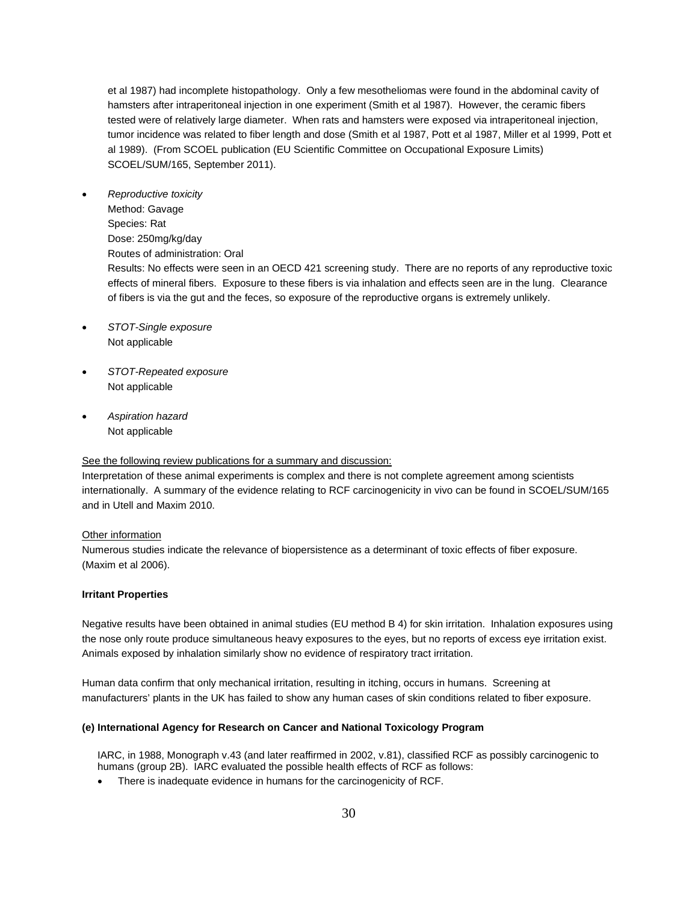et al 1987) had incomplete histopathology. Only a few mesotheliomas were found in the abdominal cavity of hamsters after intraperitoneal injection in one experiment (Smith et al 1987). However, the ceramic fibers tested were of relatively large diameter. When rats and hamsters were exposed via intraperitoneal injection, tumor incidence was related to fiber length and dose (Smith et al 1987, Pott et al 1987, Miller et al 1999, Pott et al 1989). (From SCOEL publication (EU Scientific Committee on Occupational Exposure Limits) SCOEL/SUM/165, September 2011).

- *Reproductive toxicity* Method: Gavage Species: Rat Dose: 250mg/kg/day Routes of administration: Oral Results: No effects were seen in an OECD 421 screening study. There are no reports of any reproductive toxic effects of mineral fibers. Exposure to these fibers is via inhalation and effects seen are in the lung. Clearance
	- of fibers is via the gut and the feces, so exposure of the reproductive organs is extremely unlikely. • *STOT-Single exposure*
- Not applicable
- *STOT-Repeated exposure* Not applicable
- *Aspiration hazard*  Not applicable

#### See the following review publications for a summary and discussion:

Interpretation of these animal experiments is complex and there is not complete agreement among scientists internationally. A summary of the evidence relating to RCF carcinogenicity in vivo can be found in SCOEL/SUM/165 and in Utell and Maxim 2010.

#### Other information

Numerous studies indicate the relevance of biopersistence as a determinant of toxic effects of fiber exposure. (Maxim et al 2006).

#### **Irritant Properties**

Negative results have been obtained in animal studies (EU method B 4) for skin irritation. Inhalation exposures using the nose only route produce simultaneous heavy exposures to the eyes, but no reports of excess eye irritation exist. Animals exposed by inhalation similarly show no evidence of respiratory tract irritation.

Human data confirm that only mechanical irritation, resulting in itching, occurs in humans. Screening at manufacturers' plants in the UK has failed to show any human cases of skin conditions related to fiber exposure.

#### **(e) International Agency for Research on Cancer and National Toxicology Program**

IARC, in 1988, Monograph v.43 (and later reaffirmed in 2002, v.81), classified RCF as possibly carcinogenic to humans (group 2B). IARC evaluated the possible health effects of RCF as follows:

• There is inadequate evidence in humans for the carcinogenicity of RCF.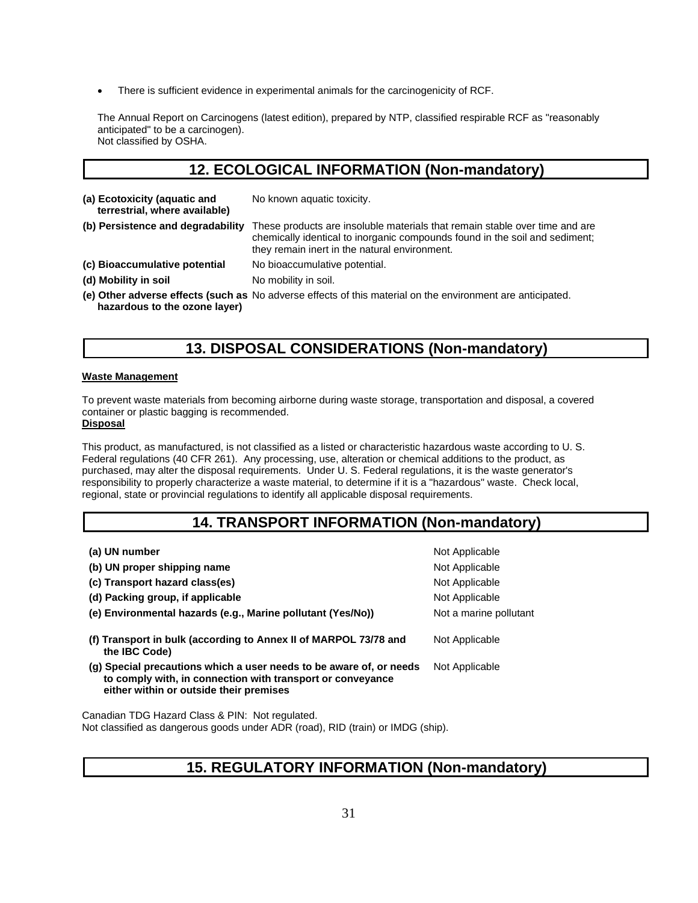• There is sufficient evidence in experimental animals for the carcinogenicity of RCF.

The Annual Report on Carcinogens (latest edition), prepared by NTP, classified respirable RCF as "reasonably anticipated" to be a carcinogen). Not classified by OSHA.

# **12. ECOLOGICAL INFORMATION (Non-mandatory)**

| (a) Ecotoxicity (aquatic and<br>terrestrial, where available) | No known aquatic toxicity.                                                                                                                                                                                  |
|---------------------------------------------------------------|-------------------------------------------------------------------------------------------------------------------------------------------------------------------------------------------------------------|
| (b) Persistence and degradability                             | These products are insoluble materials that remain stable over time and are<br>chemically identical to inorganic compounds found in the soil and sediment;<br>they remain inert in the natural environment. |
| (c) Bioaccumulative potential                                 | No bioaccumulative potential.                                                                                                                                                                               |
| (d) Mobility in soil                                          | No mobility in soil.                                                                                                                                                                                        |
| hazardous to the ozone layer)                                 | (e) Other adverse effects (such as No adverse effects of this material on the environment are anticipated.                                                                                                  |

# **13. DISPOSAL CONSIDERATIONS (Non-mandatory)**

#### **Waste Management**

To prevent waste materials from becoming airborne during waste storage, transportation and disposal, a covered container or plastic bagging is recommended.

#### **Disposal**

This product, as manufactured, is not classified as a listed or characteristic hazardous waste according to U. S. Federal regulations (40 CFR 261). Any processing, use, alteration or chemical additions to the product, as purchased, may alter the disposal requirements. Under U. S. Federal regulations, it is the waste generator's responsibility to properly characterize a waste material, to determine if it is a "hazardous" waste. Check local, regional, state or provincial regulations to identify all applicable disposal requirements.

# **14. TRANSPORT INFORMATION (Non-mandatory)**

| (a) UN number                                                                                                                                                                | Not Applicable         |
|------------------------------------------------------------------------------------------------------------------------------------------------------------------------------|------------------------|
| (b) UN proper shipping name                                                                                                                                                  | Not Applicable         |
| (c) Transport hazard class(es)                                                                                                                                               | Not Applicable         |
| (d) Packing group, if applicable                                                                                                                                             | Not Applicable         |
| (e) Environmental hazards (e.g., Marine pollutant (Yes/No))                                                                                                                  | Not a marine pollutant |
| (f) Transport in bulk (according to Annex II of MARPOL 73/78 and<br>the IBC Code)                                                                                            | Not Applicable         |
| (g) Special precautions which a user needs to be aware of, or needs<br>to comply with, in connection with transport or conveyance<br>either within or outside their premises | Not Applicable         |
|                                                                                                                                                                              |                        |

Canadian TDG Hazard Class & PIN: Not regulated. Not classified as dangerous goods under ADR (road), RID (train) or IMDG (ship).

# **15. REGULATORY INFORMATION (Non-mandatory)**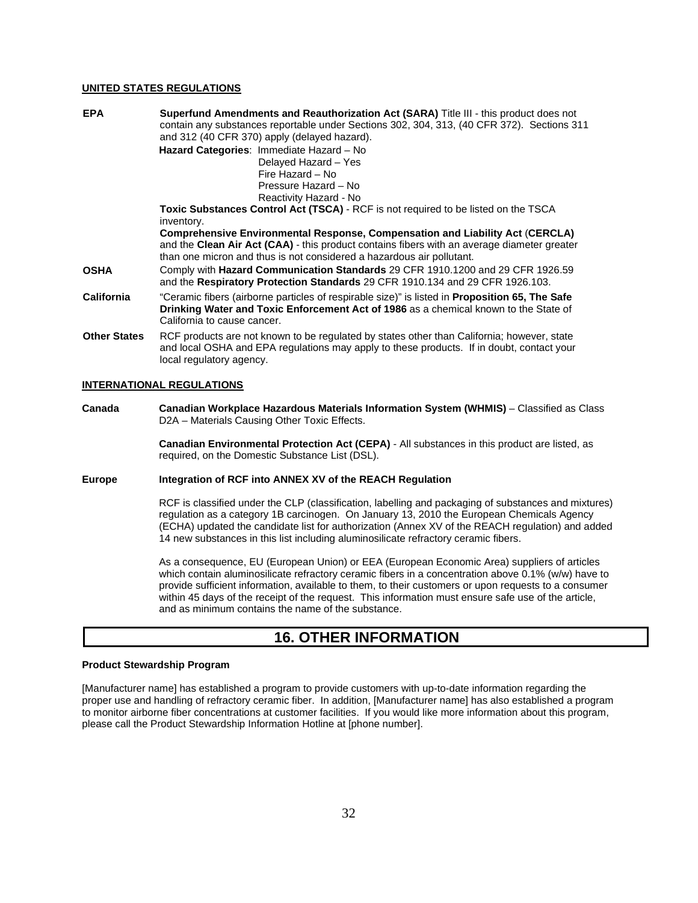#### **UNITED STATES REGULATIONS**

| <b>EPA</b>          | <b>Superfund Amendments and Reauthorization Act (SARA)</b> Title III - this product does not                                                                                                                                                                 |
|---------------------|--------------------------------------------------------------------------------------------------------------------------------------------------------------------------------------------------------------------------------------------------------------|
|                     | contain any substances reportable under Sections 302, 304, 313, (40 CFR 372). Sections 311                                                                                                                                                                   |
|                     | and 312 (40 CFR 370) apply (delayed hazard).                                                                                                                                                                                                                 |
|                     | Hazard Categories: Immediate Hazard - No                                                                                                                                                                                                                     |
|                     | Delayed Hazard - Yes                                                                                                                                                                                                                                         |
|                     | Fire Hazard - No                                                                                                                                                                                                                                             |
|                     | Pressure Hazard - No                                                                                                                                                                                                                                         |
|                     | Reactivity Hazard - No                                                                                                                                                                                                                                       |
|                     | Toxic Substances Control Act (TSCA) - RCF is not required to be listed on the TSCA                                                                                                                                                                           |
|                     | inventory.                                                                                                                                                                                                                                                   |
|                     | <b>Comprehensive Environmental Response, Compensation and Liability Act (CERCLA)</b><br>and the Clean Air Act (CAA) - this product contains fibers with an average diameter greater<br>than one micron and thus is not considered a hazardous air pollutant. |
| OSHA                | Comply with Hazard Communication Standards 29 CFR 1910.1200 and 29 CFR 1926.59<br>and the Respiratory Protection Standards 29 CFR 1910.134 and 29 CFR 1926.103.                                                                                              |
| California          | "Ceramic fibers (airborne particles of respirable size)" is listed in <b>Proposition 65, The Safe</b><br>Drinking Water and Toxic Enforcement Act of 1986 as a chemical known to the State of<br>California to cause cancer.                                 |
| <b>Other States</b> | RCF products are not known to be regulated by states other than California; however, state<br>and local OSHA and EPA regulations may apply to these products. If in doubt, contact your<br>local regulatory agency.                                          |

#### **INTERNATIONAL REGULATIONS**

**Canada Canadian Workplace Hazardous Materials Information System (WHMIS)** – Classified as Class D2A – Materials Causing Other Toxic Effects.

> **Canadian Environmental Protection Act (CEPA)** - All substances in this product are listed, as required, on the Domestic Substance List (DSL).

#### **Europe Integration of RCF into ANNEX XV of the REACH Regulation**

RCF is classified under the CLP (classification, labelling and packaging of substances and mixtures) regulation as a category 1B carcinogen. On January 13, 2010 the European Chemicals Agency (ECHA) updated the candidate list for authorization (Annex XV of the REACH regulation) and added 14 new substances in this list including aluminosilicate refractory ceramic fibers.

As a consequence, EU (European Union) or EEA (European Economic Area) suppliers of articles which contain aluminosilicate refractory ceramic fibers in a concentration above 0.1% (w/w) have to provide sufficient information, available to them, to their customers or upon requests to a consumer within 45 days of the receipt of the request. This information must ensure safe use of the article, and as minimum contains the name of the substance.

# **16. OTHER INFORMATION**

#### **Product Stewardship Program**

[Manufacturer name] has established a program to provide customers with up-to-date information regarding the proper use and handling of refractory ceramic fiber. In addition, [Manufacturer name] has also established a program to monitor airborne fiber concentrations at customer facilities. If you would like more information about this program, please call the Product Stewardship Information Hotline at [phone number].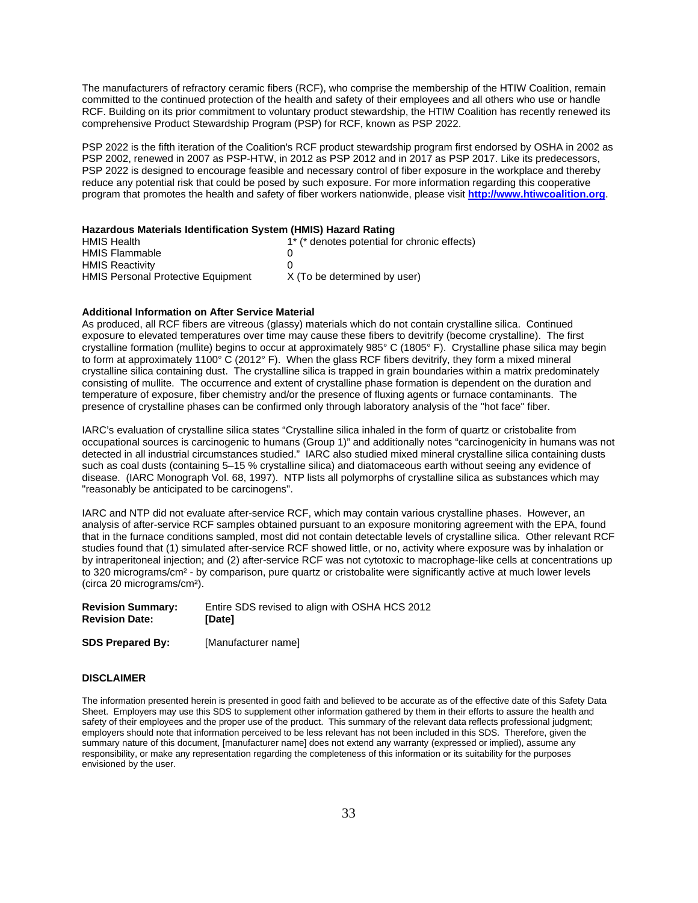The manufacturers of refractory ceramic fibers (RCF), who comprise the membership of the HTIW Coalition, remain committed to the continued protection of the health and safety of their employees and all others who use or handle RCF. Building on its prior commitment to voluntary product stewardship, the HTIW Coalition has recently renewed its comprehensive Product Stewardship Program (PSP) for RCF, known as PSP 2022.

PSP 2022 is the fifth iteration of the Coalition's RCF product stewardship program first endorsed by OSHA in 2002 as PSP 2002, renewed in 2007 as PSP-HTW, in 2012 as PSP 2012 and in 2017 as PSP 2017. Like its predecessors, PSP 2022 is designed to encourage feasible and necessary control of fiber exposure in the workplace and thereby reduce any potential risk that could be posed by such exposure. For more information regarding this cooperative program that promotes the health and safety of fiber workers nationwide, please visit **[http://www.htiwcoalition.org](https://protect-us.mimecast.com/s/ar6RBZt0XNMGID)**.

#### **Hazardous Materials Identification System (HMIS) Hazard Rating**

| <b>HMIS Health</b>                        | 1* (* denotes potential for chronic effects) |
|-------------------------------------------|----------------------------------------------|
| <b>HMIS Flammable</b>                     |                                              |
| <b>HMIS Reactivity</b>                    |                                              |
| <b>HMIS Personal Protective Equipment</b> | X (To be determined by user)                 |

#### **Additional Information on After Service Material**

As produced, all RCF fibers are vitreous (glassy) materials which do not contain crystalline silica. Continued exposure to elevated temperatures over time may cause these fibers to devitrify (become crystalline). The first crystalline formation (mullite) begins to occur at approximately 985° C (1805° F). Crystalline phase silica may begin to form at approximately 1100 $^{\circ}$  C (2012 $^{\circ}$  F). When the glass RCF fibers devitrify, they form a mixed mineral crystalline silica containing dust. The crystalline silica is trapped in grain boundaries within a matrix predominately consisting of mullite. The occurrence and extent of crystalline phase formation is dependent on the duration and temperature of exposure, fiber chemistry and/or the presence of fluxing agents or furnace contaminants. The presence of crystalline phases can be confirmed only through laboratory analysis of the "hot face" fiber.

IARC's evaluation of crystalline silica states "Crystalline silica inhaled in the form of quartz or cristobalite from occupational sources is carcinogenic to humans (Group 1)" and additionally notes "carcinogenicity in humans was not detected in all industrial circumstances studied." IARC also studied mixed mineral crystalline silica containing dusts such as coal dusts (containing 5–15 % crystalline silica) and diatomaceous earth without seeing any evidence of disease. (IARC Monograph Vol. 68, 1997). NTP lists all polymorphs of crystalline silica as substances which may "reasonably be anticipated to be carcinogens".

IARC and NTP did not evaluate after-service RCF, which may contain various crystalline phases. However, an analysis of after-service RCF samples obtained pursuant to an exposure monitoring agreement with the EPA, found that in the furnace conditions sampled, most did not contain detectable levels of crystalline silica. Other relevant RCF studies found that (1) simulated after-service RCF showed little, or no, activity where exposure was by inhalation or by intraperitoneal injection; and (2) after-service RCF was not cytotoxic to macrophage-like cells at concentrations up to 320 micrograms/cm<sup>2</sup> - by comparison, pure quartz or cristobalite were significantly active at much lower levels (circa 20 micrograms/cm²).

| <b>Revision Summary:</b> | Entire SDS revised to align with OSHA HCS 2012 |
|--------------------------|------------------------------------------------|
| <b>Revision Date:</b>    | [Date]                                         |

**SDS Prepared By:** [Manufacturer name]

#### **DISCLAIMER**

The information presented herein is presented in good faith and believed to be accurate as of the effective date of this Safety Data Sheet. Employers may use this SDS to supplement other information gathered by them in their efforts to assure the health and safety of their employees and the proper use of the product. This summary of the relevant data reflects professional judgment; employers should note that information perceived to be less relevant has not been included in this SDS. Therefore, given the summary nature of this document, [manufacturer name] does not extend any warranty (expressed or implied), assume any responsibility, or make any representation regarding the completeness of this information or its suitability for the purposes envisioned by the user.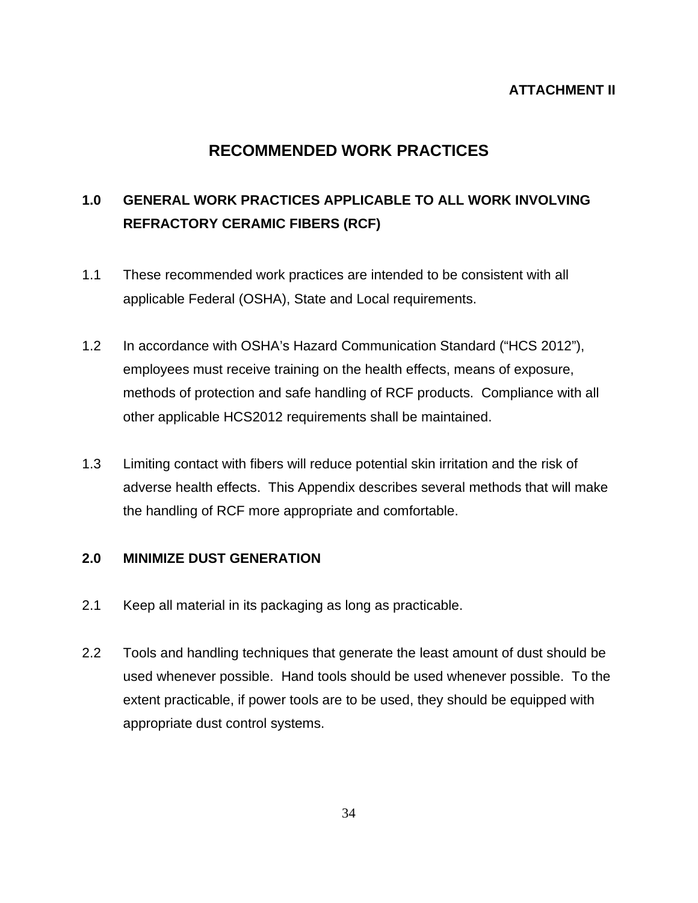# **ATTACHMENT II**

# **RECOMMENDED WORK PRACTICES**

# **1.0 GENERAL WORK PRACTICES APPLICABLE TO ALL WORK INVOLVING REFRACTORY CERAMIC FIBERS (RCF)**

- 1.1 These recommended work practices are intended to be consistent with all applicable Federal (OSHA), State and Local requirements.
- 1.2 In accordance with OSHA's Hazard Communication Standard ("HCS 2012"), employees must receive training on the health effects, means of exposure, methods of protection and safe handling of RCF products. Compliance with all other applicable HCS2012 requirements shall be maintained.
- 1.3 Limiting contact with fibers will reduce potential skin irritation and the risk of adverse health effects. This Appendix describes several methods that will make the handling of RCF more appropriate and comfortable.

# **2.0 MINIMIZE DUST GENERATION**

- 2.1 Keep all material in its packaging as long as practicable.
- 2.2 Tools and handling techniques that generate the least amount of dust should be used whenever possible. Hand tools should be used whenever possible. To the extent practicable, if power tools are to be used, they should be equipped with appropriate dust control systems.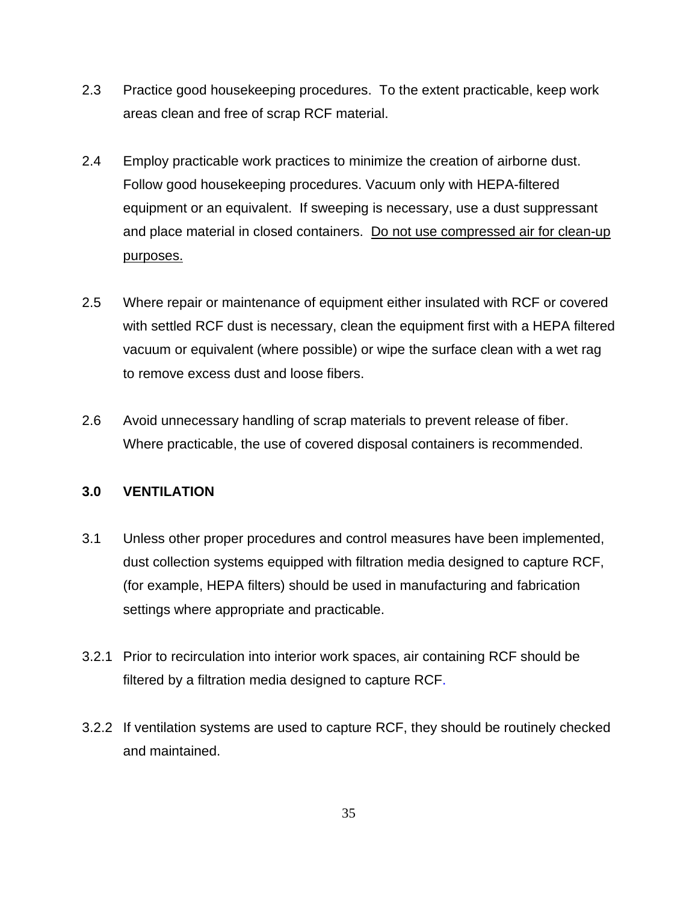- 2.3 Practice good housekeeping procedures. To the extent practicable, keep work areas clean and free of scrap RCF material.
- 2.4 Employ practicable work practices to minimize the creation of airborne dust. Follow good housekeeping procedures. Vacuum only with HEPA-filtered equipment or an equivalent. If sweeping is necessary, use a dust suppressant and place material in closed containers. Do not use compressed air for clean-up purposes.
- 2.5 Where repair or maintenance of equipment either insulated with RCF or covered with settled RCF dust is necessary, clean the equipment first with a HEPA filtered vacuum or equivalent (where possible) or wipe the surface clean with a wet rag to remove excess dust and loose fibers.
- 2.6 Avoid unnecessary handling of scrap materials to prevent release of fiber. Where practicable, the use of covered disposal containers is recommended.

# **3.0 VENTILATION**

- 3.1 Unless other proper procedures and control measures have been implemented, dust collection systems equipped with filtration media designed to capture RCF, (for example, HEPA filters) should be used in manufacturing and fabrication settings where appropriate and practicable.
- 3.2.1 Prior to recirculation into interior work spaces, air containing RCF should be filtered by a filtration media designed to capture RCF.
- 3.2.2 If ventilation systems are used to capture RCF, they should be routinely checked and maintained.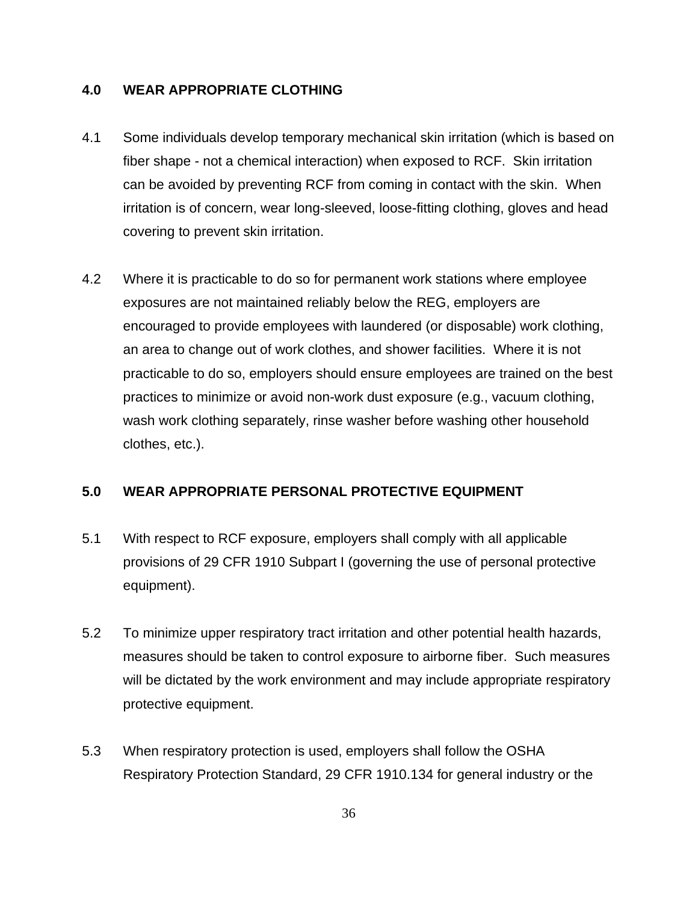# **4.0 WEAR APPROPRIATE CLOTHING**

- 4.1 Some individuals develop temporary mechanical skin irritation (which is based on fiber shape - not a chemical interaction) when exposed to RCF. Skin irritation can be avoided by preventing RCF from coming in contact with the skin. When irritation is of concern, wear long-sleeved, loose-fitting clothing, gloves and head covering to prevent skin irritation.
- 4.2 Where it is practicable to do so for permanent work stations where employee exposures are not maintained reliably below the REG, employers are encouraged to provide employees with laundered (or disposable) work clothing, an area to change out of work clothes, and shower facilities. Where it is not practicable to do so, employers should ensure employees are trained on the best practices to minimize or avoid non-work dust exposure (e.g., vacuum clothing, wash work clothing separately, rinse washer before washing other household clothes, etc.).

# **5.0 WEAR APPROPRIATE PERSONAL PROTECTIVE EQUIPMENT**

- 5.1 With respect to RCF exposure, employers shall comply with all applicable provisions of 29 CFR 1910 Subpart I (governing the use of personal protective equipment).
- 5.2 To minimize upper respiratory tract irritation and other potential health hazards, measures should be taken to control exposure to airborne fiber. Such measures will be dictated by the work environment and may include appropriate respiratory protective equipment.
- 5.3 When respiratory protection is used, employers shall follow the OSHA Respiratory Protection Standard, 29 CFR 1910.134 for general industry or the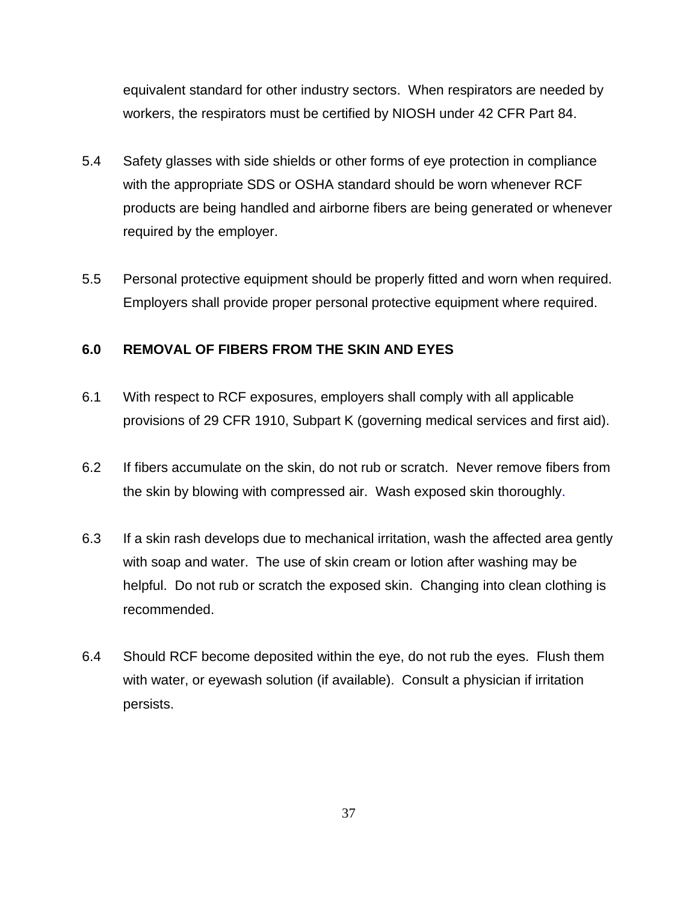equivalent standard for other industry sectors. When respirators are needed by workers, the respirators must be certified by NIOSH under 42 CFR Part 84.

- 5.4 Safety glasses with side shields or other forms of eye protection in compliance with the appropriate SDS or OSHA standard should be worn whenever RCF products are being handled and airborne fibers are being generated or whenever required by the employer.
- 5.5 Personal protective equipment should be properly fitted and worn when required. Employers shall provide proper personal protective equipment where required.

# **6.0 REMOVAL OF FIBERS FROM THE SKIN AND EYES**

- 6.1 With respect to RCF exposures, employers shall comply with all applicable provisions of 29 CFR 1910, Subpart K (governing medical services and first aid).
- 6.2 If fibers accumulate on the skin, do not rub or scratch. Never remove fibers from the skin by blowing with compressed air. Wash exposed skin thoroughly.
- 6.3 If a skin rash develops due to mechanical irritation, wash the affected area gently with soap and water. The use of skin cream or lotion after washing may be helpful. Do not rub or scratch the exposed skin. Changing into clean clothing is recommended.
- 6.4 Should RCF become deposited within the eye, do not rub the eyes. Flush them with water, or eyewash solution (if available). Consult a physician if irritation persists.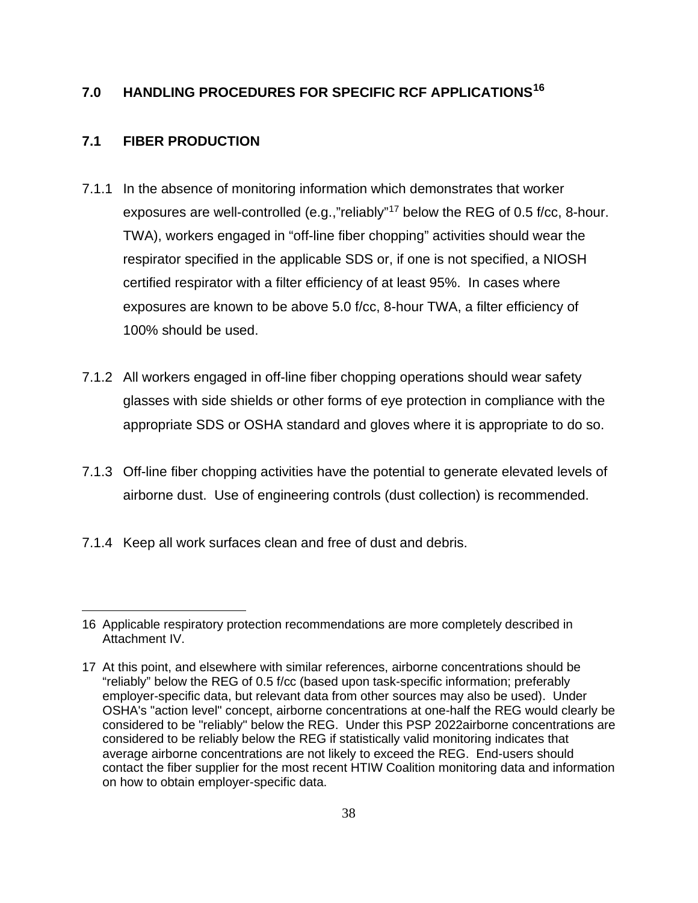# **7.0 HANDLING PROCEDURES FOR SPECIFIC RCF APPLICATIONS[16](#page-38-0)**

# **7.1 FIBER PRODUCTION**

- 7.1.1 In the absence of monitoring information which demonstrates that worker exposures are well-controlled (e.g.,"reliably"[17](#page-38-1) below the REG of 0.5 f/cc, 8-hour. TWA), workers engaged in "off-line fiber chopping" activities should wear the respirator specified in the applicable SDS or, if one is not specified, a NIOSH certified respirator with a filter efficiency of at least 95%. In cases where exposures are known to be above 5.0 f/cc, 8-hour TWA, a filter efficiency of 100% should be used.
- 7.1.2 All workers engaged in off-line fiber chopping operations should wear safety glasses with side shields or other forms of eye protection in compliance with the appropriate SDS or OSHA standard and gloves where it is appropriate to do so.
- 7.1.3 Off-line fiber chopping activities have the potential to generate elevated levels of airborne dust. Use of engineering controls (dust collection) is recommended.
- 7.1.4 Keep all work surfaces clean and free of dust and debris.

<sup>16</sup> Applicable respiratory protection recommendations are more completely described in Attachment IV.

<sup>17</sup> At this point, and elsewhere with similar references, airborne concentrations should be "reliably" below the REG of 0.5 f/cc (based upon task-specific information; preferably employer-specific data, but relevant data from other sources may also be used). Under OSHA's "action level" concept, airborne concentrations at one-half the REG would clearly be considered to be "reliably" below the REG. Under this PSP 2022airborne concentrations are considered to be reliably below the REG if statistically valid monitoring indicates that average airborne concentrations are not likely to exceed the REG. End-users should contact the fiber supplier for the most recent HTIW Coalition monitoring data and information on how to obtain employer-specific data.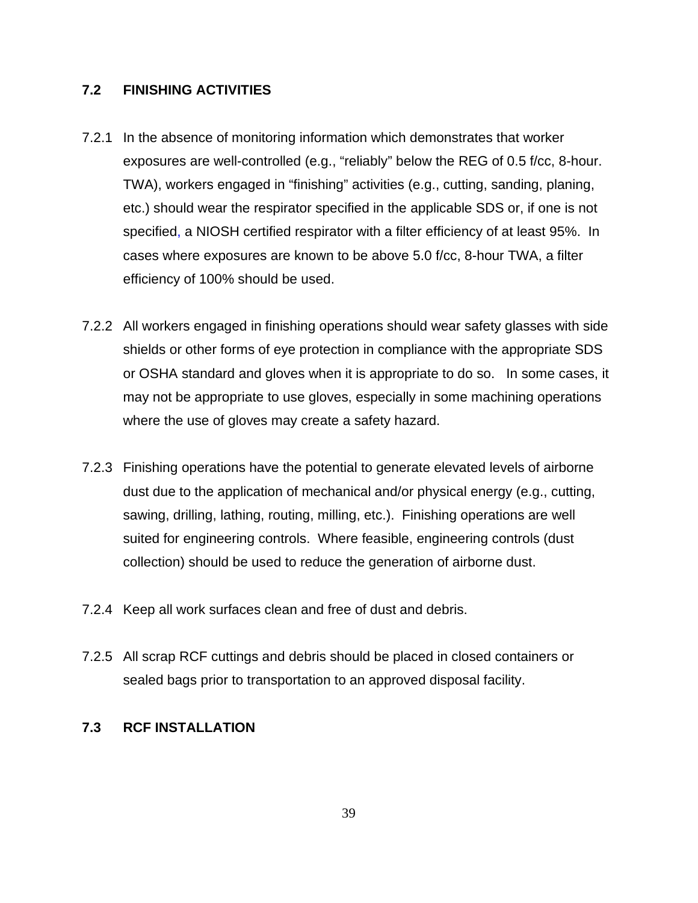# **7.2 FINISHING ACTIVITIES**

- 7.2.1 In the absence of monitoring information which demonstrates that worker exposures are well-controlled (e.g., "reliably" below the REG of 0.5 f/cc, 8-hour. TWA), workers engaged in "finishing" activities (e.g., cutting, sanding, planing, etc.) should wear the respirator specified in the applicable SDS or, if one is not specified, a NIOSH certified respirator with a filter efficiency of at least 95%. In cases where exposures are known to be above 5.0 f/cc, 8-hour TWA, a filter efficiency of 100% should be used.
- 7.2.2 All workers engaged in finishing operations should wear safety glasses with side shields or other forms of eye protection in compliance with the appropriate SDS or OSHA standard and gloves when it is appropriate to do so. In some cases, it may not be appropriate to use gloves, especially in some machining operations where the use of gloves may create a safety hazard.
- 7.2.3 Finishing operations have the potential to generate elevated levels of airborne dust due to the application of mechanical and/or physical energy (e.g., cutting, sawing, drilling, lathing, routing, milling, etc.). Finishing operations are well suited for engineering controls. Where feasible, engineering controls (dust collection) should be used to reduce the generation of airborne dust.
- <span id="page-38-0"></span>7.2.4 Keep all work surfaces clean and free of dust and debris.
- <span id="page-38-1"></span>7.2.5 All scrap RCF cuttings and debris should be placed in closed containers or sealed bags prior to transportation to an approved disposal facility.

# **7.3 RCF INSTALLATION**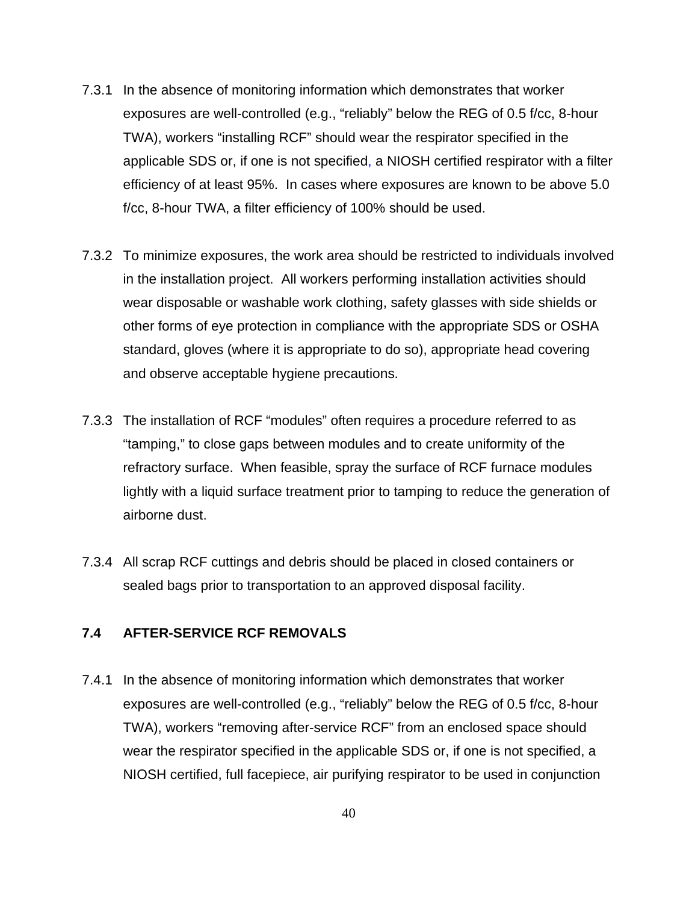- 7.3.1 In the absence of monitoring information which demonstrates that worker exposures are well-controlled (e.g., "reliably" below the REG of 0.5 f/cc, 8-hour TWA), workers "installing RCF" should wear the respirator specified in the applicable SDS or, if one is not specified, a NIOSH certified respirator with a filter efficiency of at least 95%. In cases where exposures are known to be above 5.0 f/cc, 8-hour TWA, a filter efficiency of 100% should be used.
- 7.3.2 To minimize exposures, the work area should be restricted to individuals involved in the installation project. All workers performing installation activities should wear disposable or washable work clothing, safety glasses with side shields or other forms of eye protection in compliance with the appropriate SDS or OSHA standard, gloves (where it is appropriate to do so), appropriate head covering and observe acceptable hygiene precautions.
- 7.3.3 The installation of RCF "modules" often requires a procedure referred to as "tamping," to close gaps between modules and to create uniformity of the refractory surface. When feasible, spray the surface of RCF furnace modules lightly with a liquid surface treatment prior to tamping to reduce the generation of airborne dust.
- 7.3.4 All scrap RCF cuttings and debris should be placed in closed containers or sealed bags prior to transportation to an approved disposal facility.

# **7.4 AFTER-SERVICE RCF REMOVALS**

7.4.1 In the absence of monitoring information which demonstrates that worker exposures are well-controlled (e.g., "reliably" below the REG of 0.5 f/cc, 8-hour TWA), workers "removing after-service RCF" from an enclosed space should wear the respirator specified in the applicable SDS or, if one is not specified, a NIOSH certified, full facepiece, air purifying respirator to be used in conjunction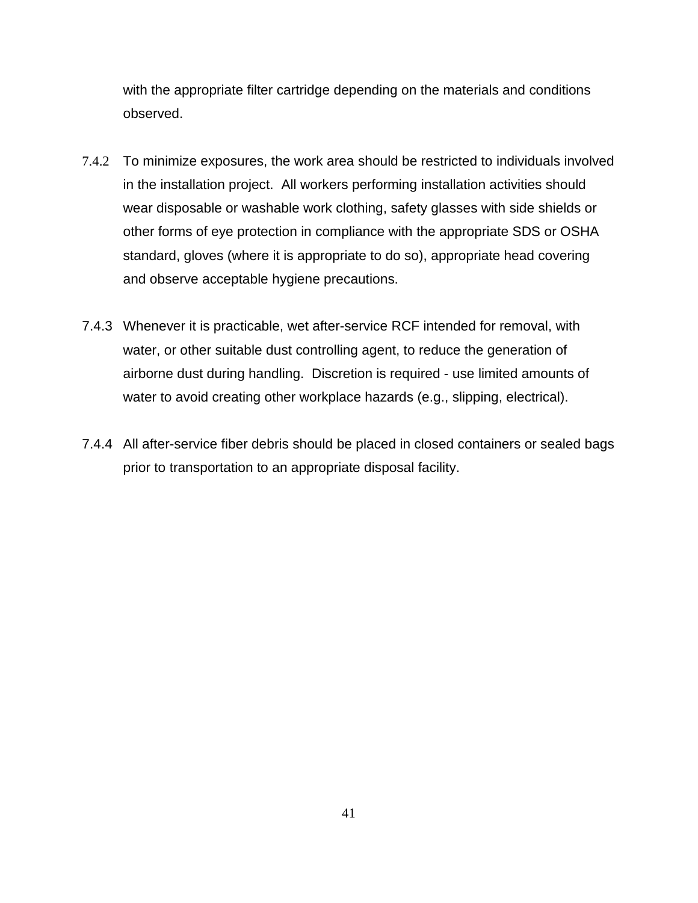with the appropriate filter cartridge depending on the materials and conditions observed.

- 7.4.2 To minimize exposures, the work area should be restricted to individuals involved in the installation project. All workers performing installation activities should wear disposable or washable work clothing, safety glasses with side shields or other forms of eye protection in compliance with the appropriate SDS or OSHA standard, gloves (where it is appropriate to do so), appropriate head covering and observe acceptable hygiene precautions.
- 7.4.3 Whenever it is practicable, wet after-service RCF intended for removal, with water, or other suitable dust controlling agent, to reduce the generation of airborne dust during handling. Discretion is required - use limited amounts of water to avoid creating other workplace hazards (e.g., slipping, electrical).
- 7.4.4 All after-service fiber debris should be placed in closed containers or sealed bags prior to transportation to an appropriate disposal facility.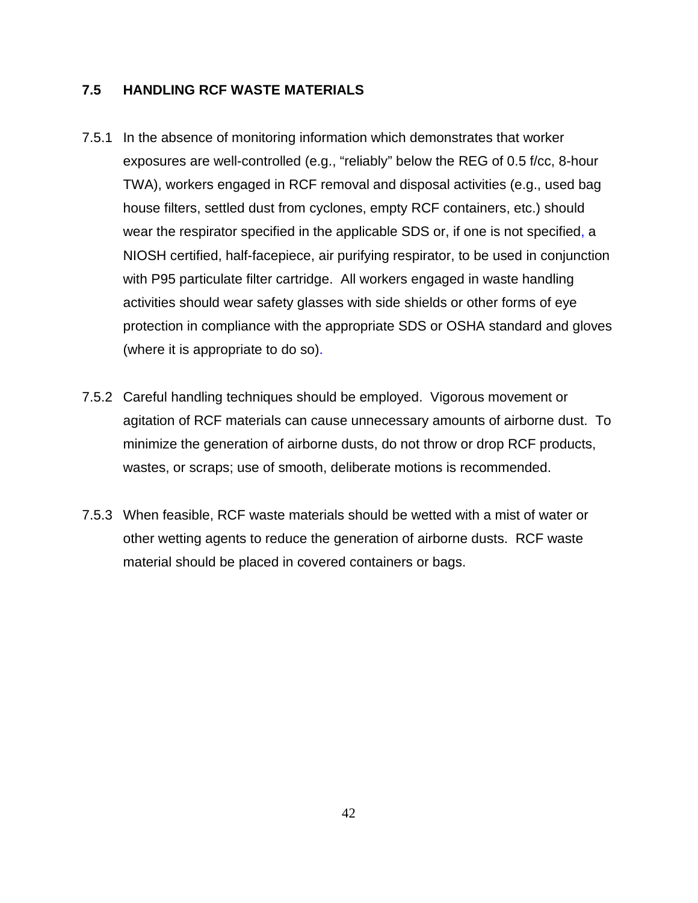# **7.5 HANDLING RCF WASTE MATERIALS**

- 7.5.1 In the absence of monitoring information which demonstrates that worker exposures are well-controlled (e.g., "reliably" below the REG of 0.5 f/cc, 8-hour TWA), workers engaged in RCF removal and disposal activities (e.g., used bag house filters, settled dust from cyclones, empty RCF containers, etc.) should wear the respirator specified in the applicable SDS or, if one is not specified, a NIOSH certified, half-facepiece, air purifying respirator, to be used in conjunction with P95 particulate filter cartridge. All workers engaged in waste handling activities should wear safety glasses with side shields or other forms of eye protection in compliance with the appropriate SDS or OSHA standard and gloves (where it is appropriate to do so).
- 7.5.2 Careful handling techniques should be employed. Vigorous movement or agitation of RCF materials can cause unnecessary amounts of airborne dust. To minimize the generation of airborne dusts, do not throw or drop RCF products, wastes, or scraps; use of smooth, deliberate motions is recommended.
- 7.5.3 When feasible, RCF waste materials should be wetted with a mist of water or other wetting agents to reduce the generation of airborne dusts. RCF waste material should be placed in covered containers or bags.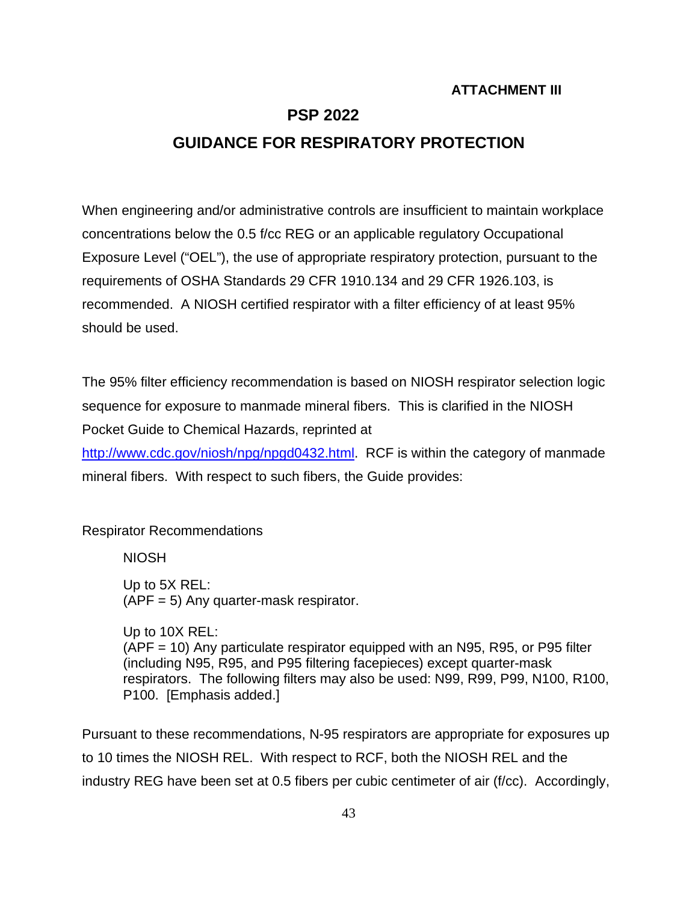# **ATTACHMENT III**

# **PSP 2022**

# **GUIDANCE FOR RESPIRATORY PROTECTION**

When engineering and/or administrative controls are insufficient to maintain workplace concentrations below the 0.5 f/cc REG or an applicable regulatory Occupational Exposure Level ("OEL"), the use of appropriate respiratory protection, pursuant to the requirements of OSHA Standards 29 CFR 1910.134 and 29 CFR 1926.103, is recommended. A NIOSH certified respirator with a filter efficiency of at least 95% should be used.

The 95% filter efficiency recommendation is based on NIOSH respirator selection logic sequence for exposure to manmade mineral fibers. This is clarified in the NIOSH Pocket Guide to Chemical Hazards, reprinted at

[http://www.cdc.gov/niosh/npg/npgd0432.html.](http://www.cdc.gov/niosh/npg/npgd0432.html) RCF is within the category of manmade mineral fibers. With respect to such fibers, the Guide provides:

Respirator Recommendations

NIOSH

Up to 5X REL: (APF = 5) Any quarter-mask respirator.

Up to 10X REL: (APF = 10) Any particulate respirator equipped with an N95, R95, or P95 filter (including N95, R95, and P95 filtering facepieces) except quarter-mask respirators. The following filters may also be used: N99, R99, P99, N100, R100, P100. [Emphasis added.]

Pursuant to these recommendations, N-95 respirators are appropriate for exposures up to 10 times the NIOSH REL. With respect to RCF, both the NIOSH REL and the industry REG have been set at 0.5 fibers per cubic centimeter of air (f/cc). Accordingly,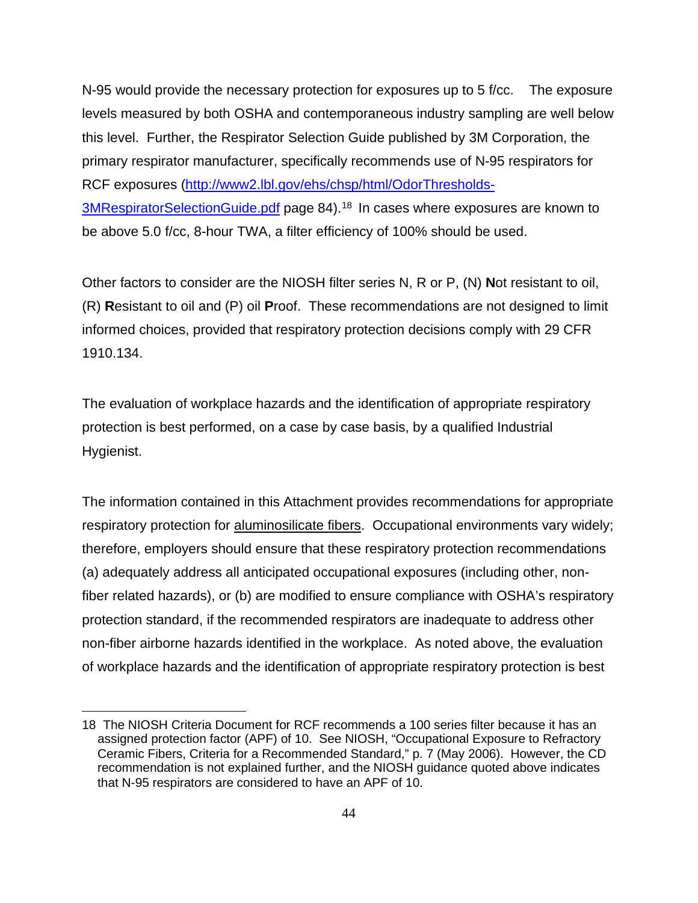N-95 would provide the necessary protection for exposures up to 5 f/cc. The exposure levels measured by both OSHA and contemporaneous industry sampling are well below this level. Further, the Respirator Selection Guide published by 3M Corporation, the primary respirator manufacturer, specifically recommends use of N-95 respirators for RCF exposures [\(http://www2.lbl.gov/ehs/chsp/html/OdorThresholds-](http://www2.lbl.gov/ehs/chsp/html/OdorThresholds-3MRespiratorSelectionGuide.pdf)[3MRespiratorSelectionGuide.pdf](http://www2.lbl.gov/ehs/chsp/html/OdorThresholds-3MRespiratorSelectionGuide.pdf) page 84). [18](#page-44-0) In cases where exposures are known to be above 5.0 f/cc, 8-hour TWA, a filter efficiency of 100% should be used.

Other factors to consider are the NIOSH filter series N, R or P, (N) **N**ot resistant to oil, (R) **R**esistant to oil and (P) oil **P**roof. These recommendations are not designed to limit informed choices, provided that respiratory protection decisions comply with 29 CFR 1910.134.

The evaluation of workplace hazards and the identification of appropriate respiratory protection is best performed, on a case by case basis, by a qualified Industrial Hygienist.

The information contained in this Attachment provides recommendations for appropriate respiratory protection for aluminosilicate fibers. Occupational environments vary widely; therefore, employers should ensure that these respiratory protection recommendations (a) adequately address all anticipated occupational exposures (including other, nonfiber related hazards), or (b) are modified to ensure compliance with OSHA's respiratory protection standard, if the recommended respirators are inadequate to address other non-fiber airborne hazards identified in the workplace. As noted above, the evaluation of workplace hazards and the identification of appropriate respiratory protection is best

<sup>18</sup> The NIOSH Criteria Document for RCF recommends a 100 series filter because it has an assigned protection factor (APF) of 10. See NIOSH, "Occupational Exposure to Refractory Ceramic Fibers, Criteria for a Recommended Standard," p. 7 (May 2006). However, the CD recommendation is not explained further, and the NIOSH guidance quoted above indicates that N-95 respirators are considered to have an APF of 10.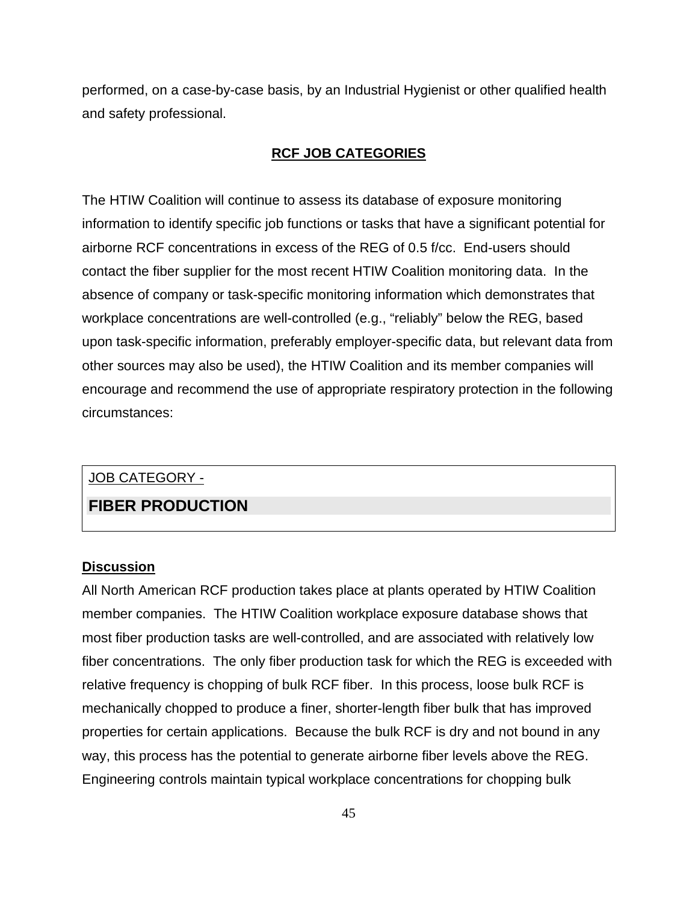performed, on a case-by-case basis, by an Industrial Hygienist or other qualified health and safety professional.

# **RCF JOB CATEGORIES**

The HTIW Coalition will continue to assess its database of exposure monitoring information to identify specific job functions or tasks that have a significant potential for airborne RCF concentrations in excess of the REG of 0.5 f/cc. End-users should contact the fiber supplier for the most recent HTIW Coalition monitoring data. In the absence of company or task-specific monitoring information which demonstrates that workplace concentrations are well-controlled (e.g., "reliably" below the REG, based upon task-specific information, preferably employer-specific data, but relevant data from other sources may also be used), the HTIW Coalition and its member companies will encourage and recommend the use of appropriate respiratory protection in the following circumstances:

# JOB CATEGORY -

# **FIBER PRODUCTION**

### **Discussion**

<span id="page-44-0"></span>All North American RCF production takes place at plants operated by HTIW Coalition member companies. The HTIW Coalition workplace exposure database shows that most fiber production tasks are well-controlled, and are associated with relatively low fiber concentrations. The only fiber production task for which the REG is exceeded with relative frequency is chopping of bulk RCF fiber. In this process, loose bulk RCF is mechanically chopped to produce a finer, shorter-length fiber bulk that has improved properties for certain applications. Because the bulk RCF is dry and not bound in any way, this process has the potential to generate airborne fiber levels above the REG. Engineering controls maintain typical workplace concentrations for chopping bulk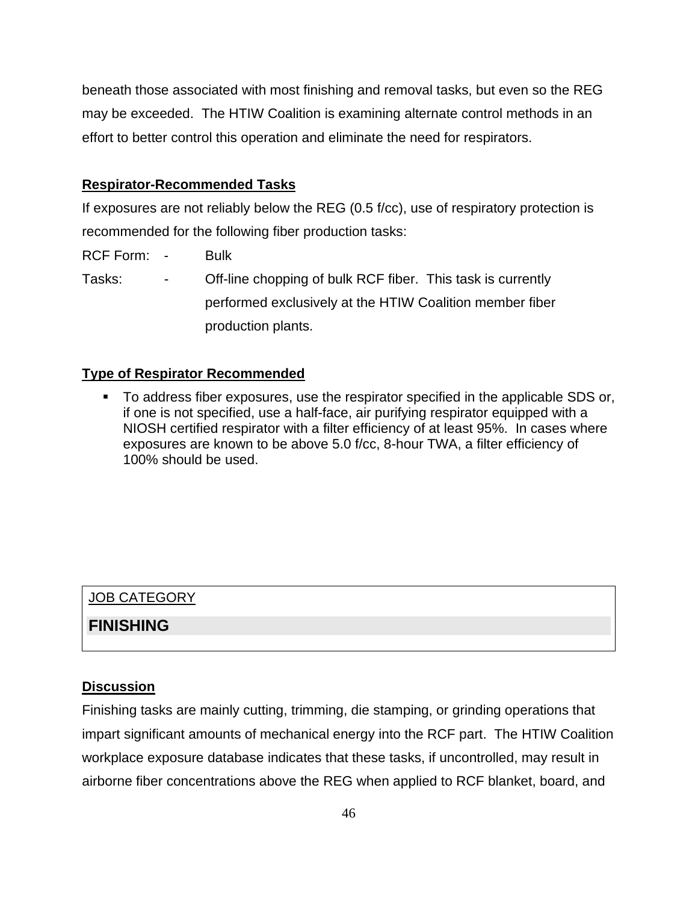beneath those associated with most finishing and removal tasks, but even so the REG may be exceeded. The HTIW Coalition is examining alternate control methods in an effort to better control this operation and eliminate the need for respirators.

# **Respirator-Recommended Tasks**

If exposures are not reliably below the REG (0.5 f/cc), use of respiratory protection is recommended for the following fiber production tasks:

RCF Form: - Bulk

Tasks: - Off-line chopping of bulk RCF fiber. This task is currently performed exclusively at the HTIW Coalition member fiber production plants.

# **Type of Respirator Recommended**

 To address fiber exposures, use the respirator specified in the applicable SDS or, if one is not specified, use a half-face, air purifying respirator equipped with a NIOSH certified respirator with a filter efficiency of at least 95%. In cases where exposures are known to be above 5.0 f/cc, 8-hour TWA, a filter efficiency of 100% should be used.

# JOB CATEGORY

# **FINISHING**

## **Discussion**

Finishing tasks are mainly cutting, trimming, die stamping, or grinding operations that impart significant amounts of mechanical energy into the RCF part. The HTIW Coalition workplace exposure database indicates that these tasks, if uncontrolled, may result in airborne fiber concentrations above the REG when applied to RCF blanket, board, and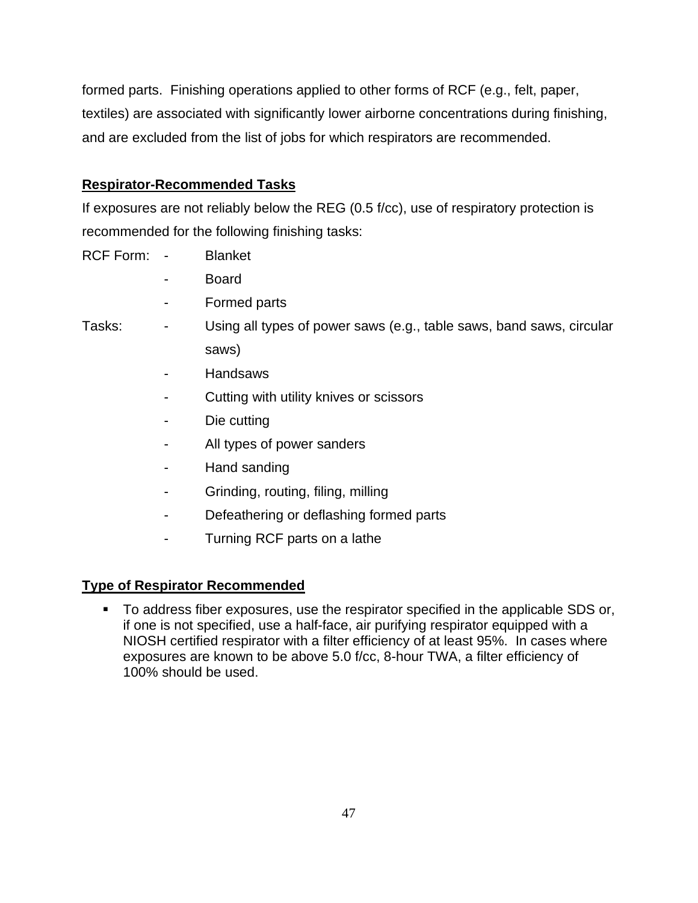formed parts. Finishing operations applied to other forms of RCF (e.g., felt, paper, textiles) are associated with significantly lower airborne concentrations during finishing, and are excluded from the list of jobs for which respirators are recommended.

# **Respirator-Recommended Tasks**

If exposures are not reliably below the REG (0.5 f/cc), use of respiratory protection is recommended for the following finishing tasks:

RCF Form: - Blanket

- Board
- Formed parts

Tasks: - Using all types of power saws (e.g., table saws, band saws, circular saws)

- **Handsaws**
- Cutting with utility knives or scissors
- Die cutting
- All types of power sanders
- Hand sanding
- Grinding, routing, filing, milling
- Defeathering or deflashing formed parts
- Turning RCF parts on a lathe

# **Type of Respirator Recommended**

 To address fiber exposures, use the respirator specified in the applicable SDS or, if one is not specified, use a half-face, air purifying respirator equipped with a NIOSH certified respirator with a filter efficiency of at least 95%. In cases where exposures are known to be above 5.0 f/cc, 8-hour TWA, a filter efficiency of 100% should be used.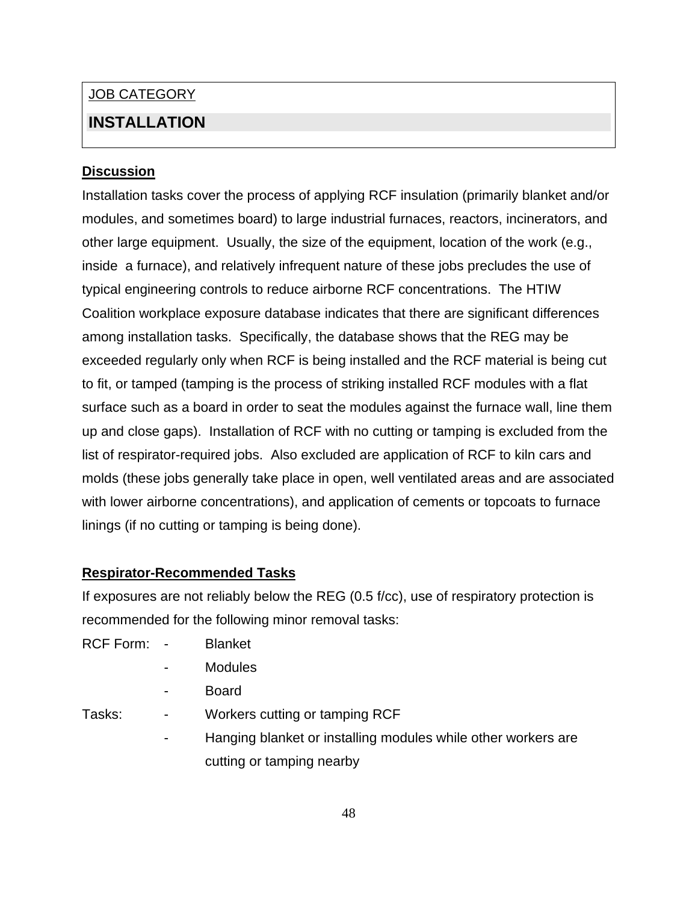# JOB CATEGORY

# **INSTALLATION**

# **Discussion**

Installation tasks cover the process of applying RCF insulation (primarily blanket and/or modules, and sometimes board) to large industrial furnaces, reactors, incinerators, and other large equipment. Usually, the size of the equipment, location of the work (e.g., inside a furnace), and relatively infrequent nature of these jobs precludes the use of typical engineering controls to reduce airborne RCF concentrations. The HTIW Coalition workplace exposure database indicates that there are significant differences among installation tasks. Specifically, the database shows that the REG may be exceeded regularly only when RCF is being installed and the RCF material is being cut to fit, or tamped (tamping is the process of striking installed RCF modules with a flat surface such as a board in order to seat the modules against the furnace wall, line them up and close gaps). Installation of RCF with no cutting or tamping is excluded from the list of respirator-required jobs. Also excluded are application of RCF to kiln cars and molds (these jobs generally take place in open, well ventilated areas and are associated with lower airborne concentrations), and application of cements or topcoats to furnace linings (if no cutting or tamping is being done).

# **Respirator-Recommended Tasks**

If exposures are not reliably below the REG (0.5 f/cc), use of respiratory protection is recommended for the following minor removal tasks:

- RCF Form: Blanket
	- **Modules**
	- **Board**

- Tasks: Tasks: Tasks: Tasks: Tasks: Tasks: Tasks: Tasks: Tasks: Tasks: Tasks: Tasks: Tasks: Tasks: Ta
	- Hanging blanket or installing modules while other workers are cutting or tamping nearby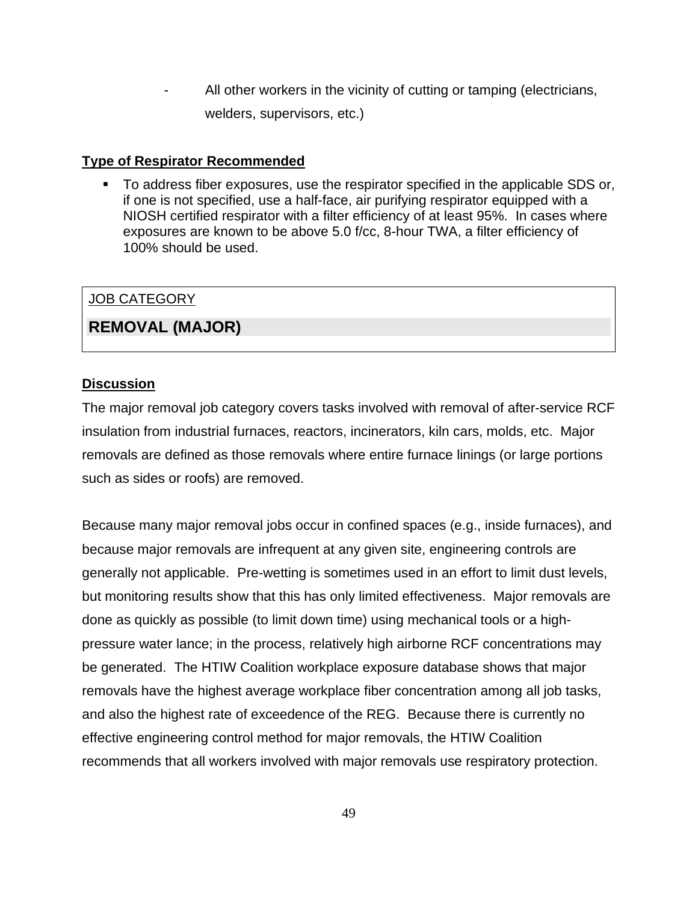All other workers in the vicinity of cutting or tamping (electricians, welders, supervisors, etc.)

# **Type of Respirator Recommended**

 To address fiber exposures, use the respirator specified in the applicable SDS or, if one is not specified, use a half-face, air purifying respirator equipped with a NIOSH certified respirator with a filter efficiency of at least 95%. In cases where exposures are known to be above 5.0 f/cc, 8-hour TWA, a filter efficiency of 100% should be used.

# JOB CATEGORY

# **REMOVAL (MAJOR)**

# **Discussion**

The major removal job category covers tasks involved with removal of after-service RCF insulation from industrial furnaces, reactors, incinerators, kiln cars, molds, etc. Major removals are defined as those removals where entire furnace linings (or large portions such as sides or roofs) are removed.

Because many major removal jobs occur in confined spaces (e.g., inside furnaces), and because major removals are infrequent at any given site, engineering controls are generally not applicable. Pre-wetting is sometimes used in an effort to limit dust levels, but monitoring results show that this has only limited effectiveness. Major removals are done as quickly as possible (to limit down time) using mechanical tools or a highpressure water lance; in the process, relatively high airborne RCF concentrations may be generated. The HTIW Coalition workplace exposure database shows that major removals have the highest average workplace fiber concentration among all job tasks, and also the highest rate of exceedence of the REG. Because there is currently no effective engineering control method for major removals, the HTIW Coalition recommends that all workers involved with major removals use respiratory protection.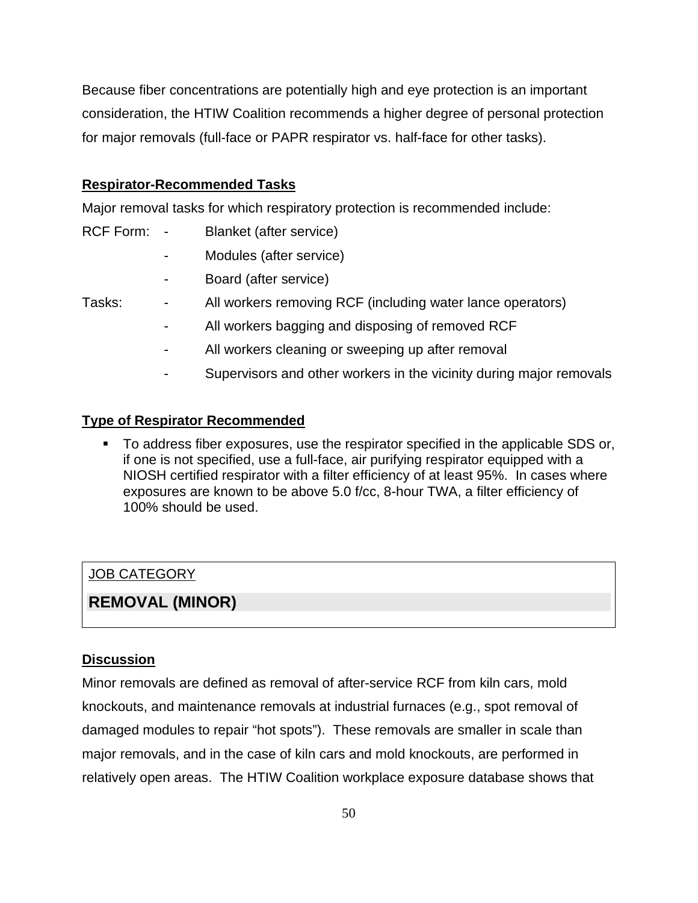Because fiber concentrations are potentially high and eye protection is an important consideration, the HTIW Coalition recommends a higher degree of personal protection for major removals (full-face or PAPR respirator vs. half-face for other tasks).

# **Respirator-Recommended Tasks**

Major removal tasks for which respiratory protection is recommended include:

- RCF Form: Blanket (after service)
	- Modules (after service)
	- Board (after service)

Tasks: - All workers removing RCF (including water lance operators)

- All workers bagging and disposing of removed RCF
- All workers cleaning or sweeping up after removal
- Supervisors and other workers in the vicinity during major removals

# **Type of Respirator Recommended**

 To address fiber exposures, use the respirator specified in the applicable SDS or, if one is not specified, use a full-face, air purifying respirator equipped with a NIOSH certified respirator with a filter efficiency of at least 95%. In cases where exposures are known to be above 5.0 f/cc, 8-hour TWA, a filter efficiency of 100% should be used.

# JOB CATEGORY

# **REMOVAL (MINOR)**

# **Discussion**

Minor removals are defined as removal of after-service RCF from kiln cars, mold knockouts, and maintenance removals at industrial furnaces (e.g., spot removal of damaged modules to repair "hot spots"). These removals are smaller in scale than major removals, and in the case of kiln cars and mold knockouts, are performed in relatively open areas. The HTIW Coalition workplace exposure database shows that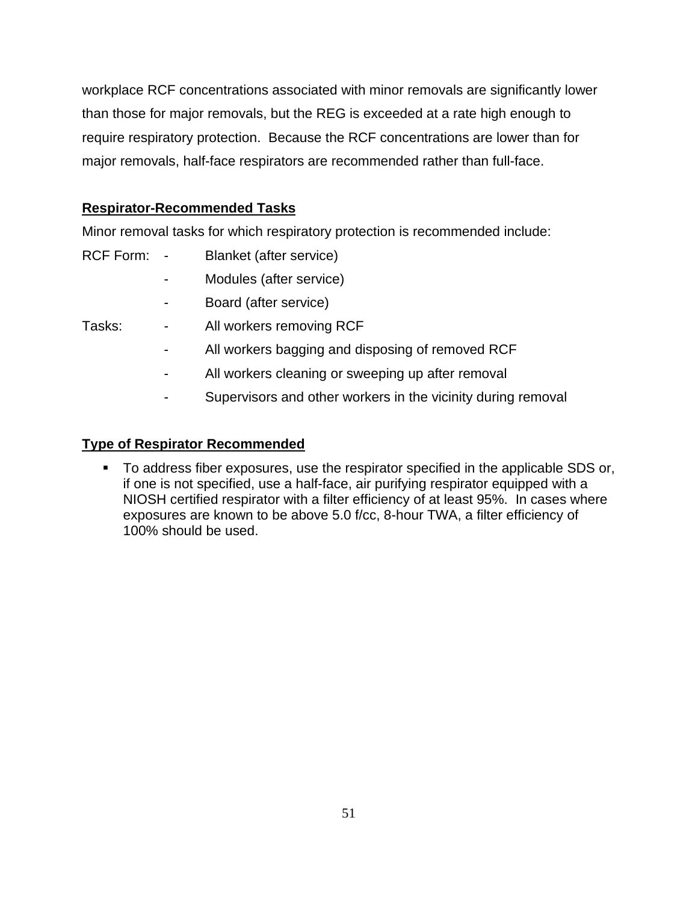workplace RCF concentrations associated with minor removals are significantly lower than those for major removals, but the REG is exceeded at a rate high enough to require respiratory protection. Because the RCF concentrations are lower than for major removals, half-face respirators are recommended rather than full-face.

# **Respirator-Recommended Tasks**

Minor removal tasks for which respiratory protection is recommended include:

- RCF Form: Blanket (after service)
	- Modules (after service)
	- Board (after service)
- Tasks: All workers removing RCF
	- All workers bagging and disposing of removed RCF
	- All workers cleaning or sweeping up after removal
	- Supervisors and other workers in the vicinity during removal

# **Type of Respirator Recommended**

 To address fiber exposures, use the respirator specified in the applicable SDS or, if one is not specified, use a half-face, air purifying respirator equipped with a NIOSH certified respirator with a filter efficiency of at least 95%. In cases where exposures are known to be above 5.0 f/cc, 8-hour TWA, a filter efficiency of 100% should be used.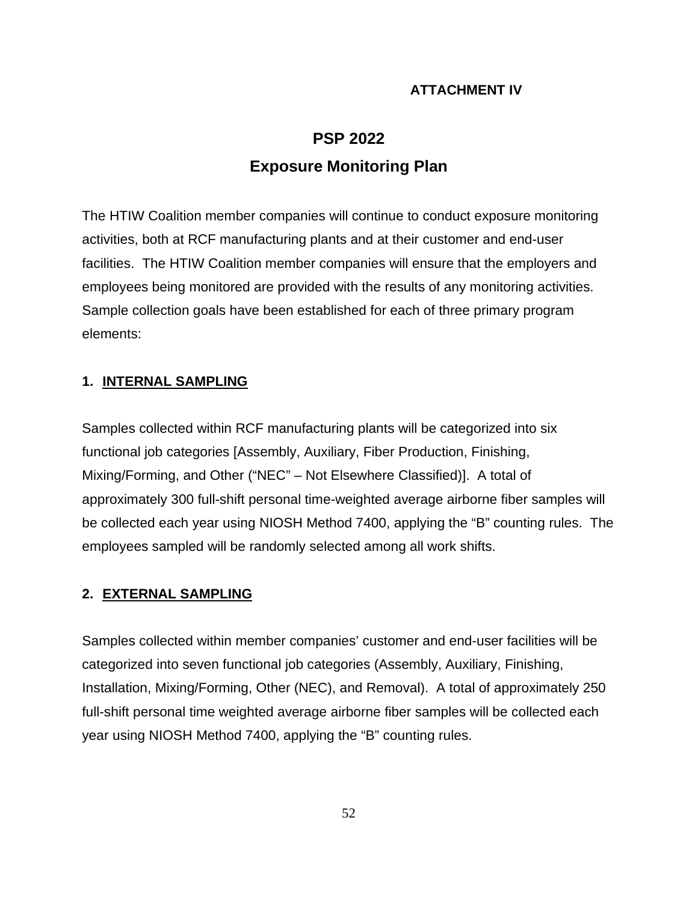# **ATTACHMENT IV**

# **PSP 2022 Exposure Monitoring Plan**

The HTIW Coalition member companies will continue to conduct exposure monitoring activities, both at RCF manufacturing plants and at their customer and end-user facilities. The HTIW Coalition member companies will ensure that the employers and employees being monitored are provided with the results of any monitoring activities. Sample collection goals have been established for each of three primary program elements:

# **1. INTERNAL SAMPLING**

Samples collected within RCF manufacturing plants will be categorized into six functional job categories [Assembly, Auxiliary, Fiber Production, Finishing, Mixing/Forming, and Other ("NEC" – Not Elsewhere Classified)]. A total of approximately 300 full-shift personal time-weighted average airborne fiber samples will be collected each year using NIOSH Method 7400, applying the "B" counting rules. The employees sampled will be randomly selected among all work shifts.

# **2. EXTERNAL SAMPLING**

Samples collected within member companies' customer and end-user facilities will be categorized into seven functional job categories (Assembly, Auxiliary, Finishing, Installation, Mixing/Forming, Other (NEC), and Removal). A total of approximately 250 full-shift personal time weighted average airborne fiber samples will be collected each year using NIOSH Method 7400, applying the "B" counting rules.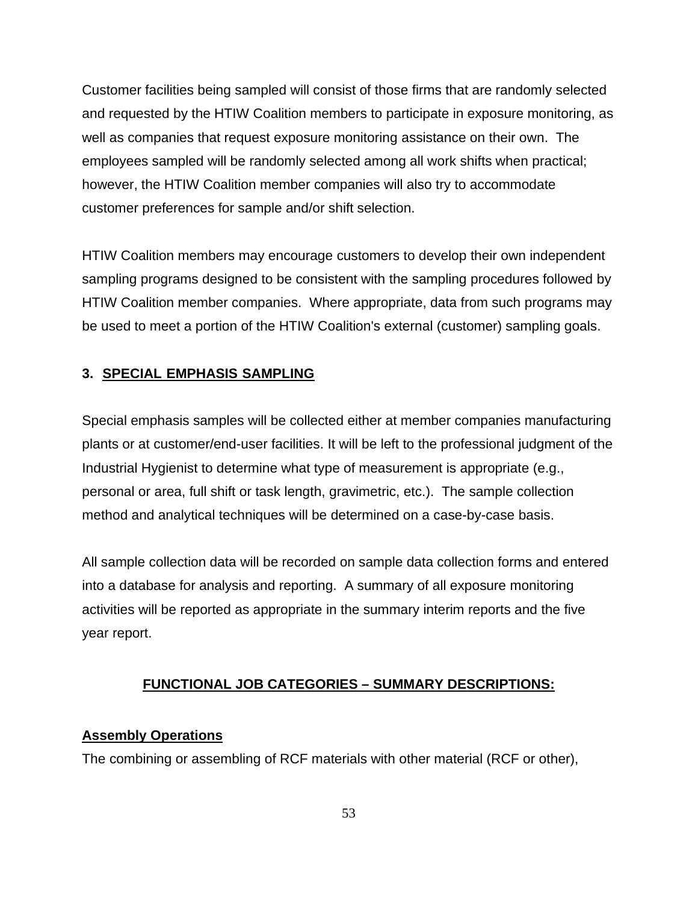Customer facilities being sampled will consist of those firms that are randomly selected and requested by the HTIW Coalition members to participate in exposure monitoring, as well as companies that request exposure monitoring assistance on their own. The employees sampled will be randomly selected among all work shifts when practical; however, the HTIW Coalition member companies will also try to accommodate customer preferences for sample and/or shift selection.

HTIW Coalition members may encourage customers to develop their own independent sampling programs designed to be consistent with the sampling procedures followed by HTIW Coalition member companies. Where appropriate, data from such programs may be used to meet a portion of the HTIW Coalition's external (customer) sampling goals.

# **3. SPECIAL EMPHASIS SAMPLING**

Special emphasis samples will be collected either at member companies manufacturing plants or at customer/end-user facilities. It will be left to the professional judgment of the Industrial Hygienist to determine what type of measurement is appropriate (e.g., personal or area, full shift or task length, gravimetric, etc.). The sample collection method and analytical techniques will be determined on a case-by-case basis.

All sample collection data will be recorded on sample data collection forms and entered into a database for analysis and reporting. A summary of all exposure monitoring activities will be reported as appropriate in the summary interim reports and the five year report.

# **FUNCTIONAL JOB CATEGORIES – SUMMARY DESCRIPTIONS:**

# **Assembly Operations**

The combining or assembling of RCF materials with other material (RCF or other),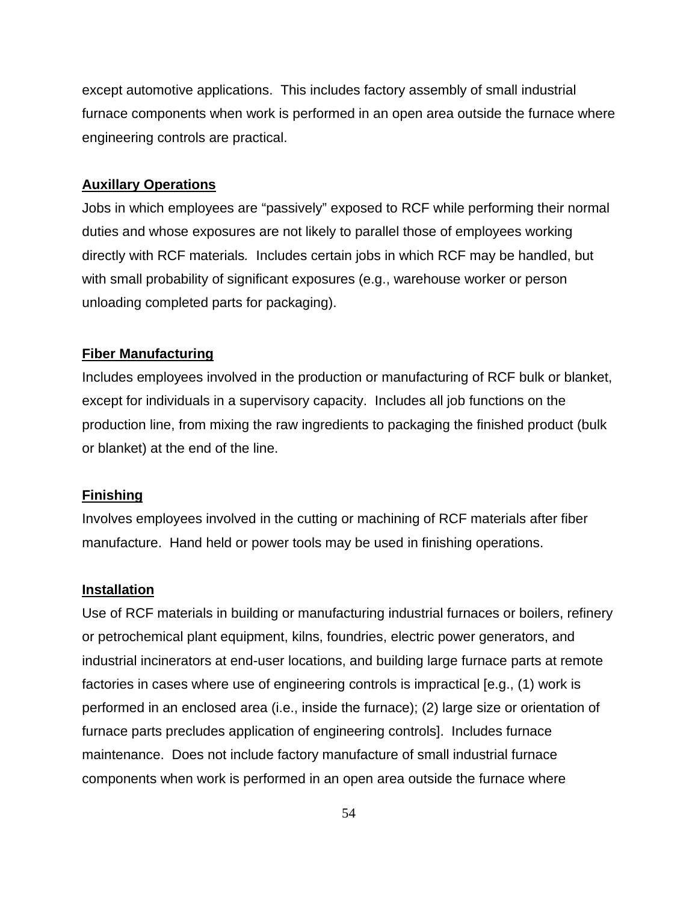except automotive applications. This includes factory assembly of small industrial furnace components when work is performed in an open area outside the furnace where engineering controls are practical.

### **Auxillary Operations**

Jobs in which employees are "passively" exposed to RCF while performing their normal duties and whose exposures are not likely to parallel those of employees working directly with RCF materials*.* Includes certain jobs in which RCF may be handled, but with small probability of significant exposures (e.g., warehouse worker or person unloading completed parts for packaging).

## **Fiber Manufacturing**

Includes employees involved in the production or manufacturing of RCF bulk or blanket, except for individuals in a supervisory capacity. Includes all job functions on the production line, from mixing the raw ingredients to packaging the finished product (bulk or blanket) at the end of the line.

### **Finishing**

Involves employees involved in the cutting or machining of RCF materials after fiber manufacture. Hand held or power tools may be used in finishing operations.

### **Installation**

Use of RCF materials in building or manufacturing industrial furnaces or boilers, refinery or petrochemical plant equipment, kilns, foundries, electric power generators, and industrial incinerators at end-user locations, and building large furnace parts at remote factories in cases where use of engineering controls is impractical [e.g., (1) work is performed in an enclosed area (i.e., inside the furnace); (2) large size or orientation of furnace parts precludes application of engineering controls]. Includes furnace maintenance. Does not include factory manufacture of small industrial furnace components when work is performed in an open area outside the furnace where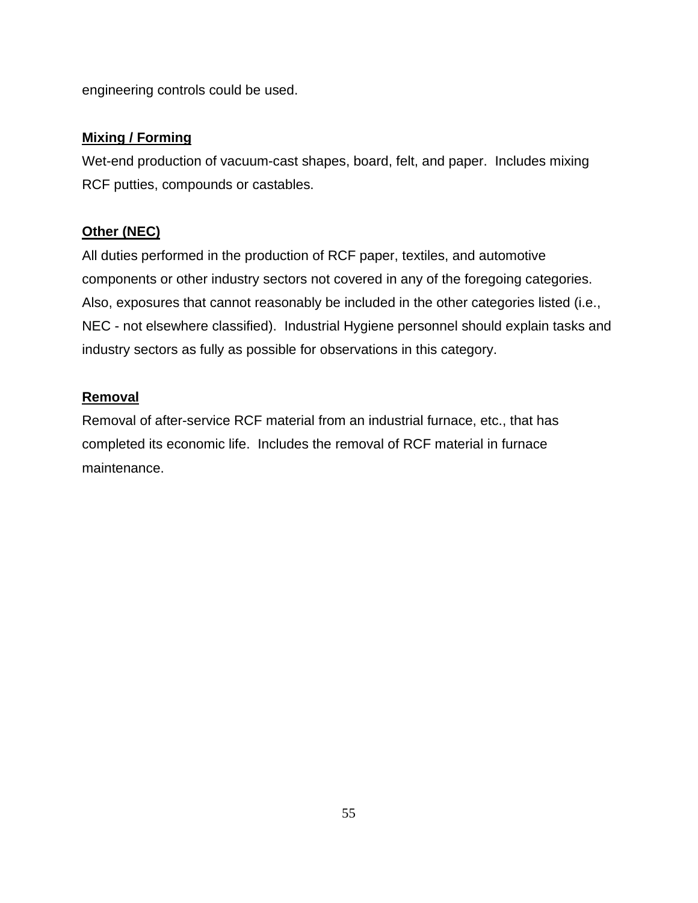engineering controls could be used.

# **Mixing / Forming**

Wet-end production of vacuum-cast shapes, board, felt, and paper. Includes mixing RCF putties, compounds or castables.

# **Other (NEC)**

All duties performed in the production of RCF paper, textiles, and automotive components or other industry sectors not covered in any of the foregoing categories. Also, exposures that cannot reasonably be included in the other categories listed (i.e., NEC - not elsewhere classified). Industrial Hygiene personnel should explain tasks and industry sectors as fully as possible for observations in this category.

# **Removal**

Removal of after-service RCF material from an industrial furnace, etc., that has completed its economic life. Includes the removal of RCF material in furnace maintenance.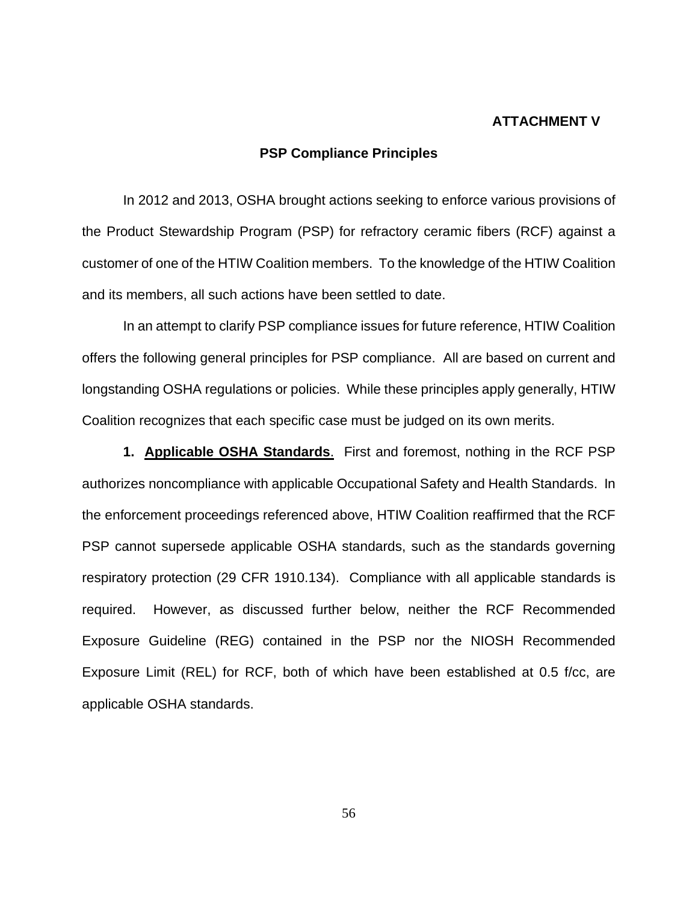# **ATTACHMENT V**

# **PSP Compliance Principles**

In 2012 and 2013, OSHA brought actions seeking to enforce various provisions of the Product Stewardship Program (PSP) for refractory ceramic fibers (RCF) against a customer of one of the HTIW Coalition members. To the knowledge of the HTIW Coalition and its members, all such actions have been settled to date.

In an attempt to clarify PSP compliance issues for future reference, HTIW Coalition offers the following general principles for PSP compliance. All are based on current and longstanding OSHA regulations or policies. While these principles apply generally, HTIW Coalition recognizes that each specific case must be judged on its own merits.

**1. Applicable OSHA Standards**. First and foremost, nothing in the RCF PSP authorizes noncompliance with applicable Occupational Safety and Health Standards. In the enforcement proceedings referenced above, HTIW Coalition reaffirmed that the RCF PSP cannot supersede applicable OSHA standards, such as the standards governing respiratory protection (29 CFR 1910.134). Compliance with all applicable standards is required. However, as discussed further below, neither the RCF Recommended Exposure Guideline (REG) contained in the PSP nor the NIOSH Recommended Exposure Limit (REL) for RCF, both of which have been established at 0.5 f/cc, are applicable OSHA standards.

56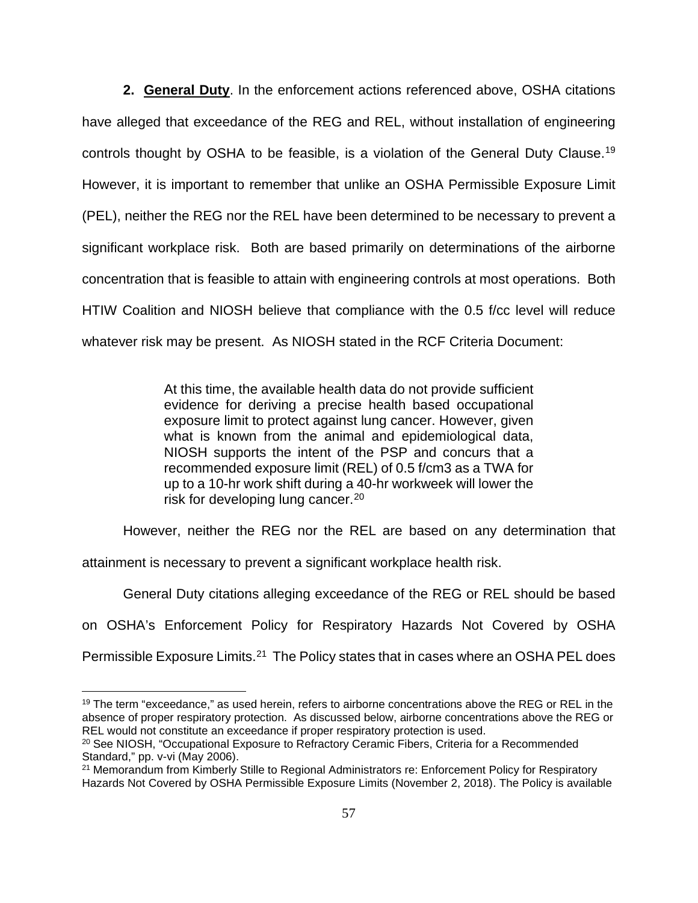**2. General Duty**. In the enforcement actions referenced above, OSHA citations have alleged that exceedance of the REG and REL, without installation of engineering controls thought by OSHA to be feasible, is a violation of the General Duty Clause.[19](#page-57-0) However, it is important to remember that unlike an OSHA Permissible Exposure Limit (PEL), neither the REG nor the REL have been determined to be necessary to prevent a significant workplace risk. Both are based primarily on determinations of the airborne concentration that is feasible to attain with engineering controls at most operations. Both HTIW Coalition and NIOSH believe that compliance with the 0.5 f/cc level will reduce whatever risk may be present. As NIOSH stated in the RCF Criteria Document:

> At this time, the available health data do not provide sufficient evidence for deriving a precise health based occupational exposure limit to protect against lung cancer. However, given what is known from the animal and epidemiological data, NIOSH supports the intent of the PSP and concurs that a recommended exposure limit (REL) of 0.5 f/cm3 as a TWA for up to a 10-hr work shift during a 40-hr workweek will lower the risk for developing lung cancer.[20](#page-57-1)

However, neither the REG nor the REL are based on any determination that

attainment is necessary to prevent a significant workplace health risk.

General Duty citations alleging exceedance of the REG or REL should be based

on OSHA's Enforcement Policy for Respiratory Hazards Not Covered by OSHA

Permissible Exposure Limits.<sup>[21](#page-57-2)</sup> The Policy states that in cases where an OSHA PEL does

<sup>&</sup>lt;sup>19</sup> The term "exceedance," as used herein, refers to airborne concentrations above the REG or REL in the absence of proper respiratory protection. As discussed below, airborne concentrations above the REG or REL would not constitute an exceedance if proper respiratory protection is used.

<sup>&</sup>lt;sup>20</sup> See NIOSH, "Occupational Exposure to Refractory Ceramic Fibers, Criteria for a Recommended Standard," pp. v-vi (May 2006).

<sup>&</sup>lt;sup>21</sup> Memorandum from Kimberly Stille to Regional Administrators re: Enforcement Policy for Respiratory Hazards Not Covered by OSHA Permissible Exposure Limits (November 2, 2018). The Policy is available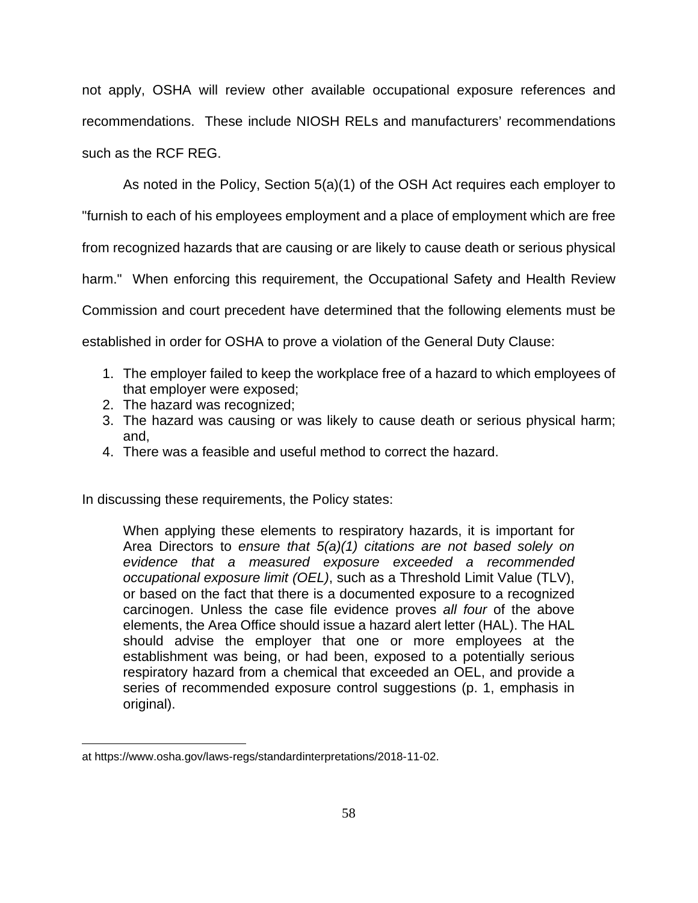not apply, OSHA will review other available occupational exposure references and recommendations. These include NIOSH RELs and manufacturers' recommendations such as the RCF REG.

As noted in the Policy, Section 5(a)(1) of the OSH Act requires each employer to "furnish to each of his employees employment and a place of employment which are free from recognized hazards that are causing or are likely to cause death or serious physical harm." When enforcing this requirement, the Occupational Safety and Health Review Commission and court precedent have determined that the following elements must be established in order for OSHA to prove a violation of the General Duty Clause:

- 1. The employer failed to keep the workplace free of a hazard to which employees of that employer were exposed;
- 2. The hazard was recognized;
- 3. The hazard was causing or was likely to cause death or serious physical harm; and,
- 4. There was a feasible and useful method to correct the hazard.

In discussing these requirements, the Policy states:

When applying these elements to respiratory hazards, it is important for Area Directors to *ensure that 5(a)(1) citations are not based solely on evidence that a measured exposure exceeded a recommended occupational exposure limit (OEL)*, such as a Threshold Limit Value (TLV), or based on the fact that there is a documented exposure to a recognized carcinogen. Unless the case file evidence proves *all four* of the above elements, the Area Office should issue a hazard alert letter (HAL). The HAL should advise the employer that one or more employees at the establishment was being, or had been, exposed to a potentially serious respiratory hazard from a chemical that exceeded an OEL, and provide a series of recommended exposure control suggestions (p. 1, emphasis in original).

<span id="page-57-2"></span><span id="page-57-1"></span><span id="page-57-0"></span>at https://www.osha.gov/laws-regs/standardinterpretations/2018-11-02.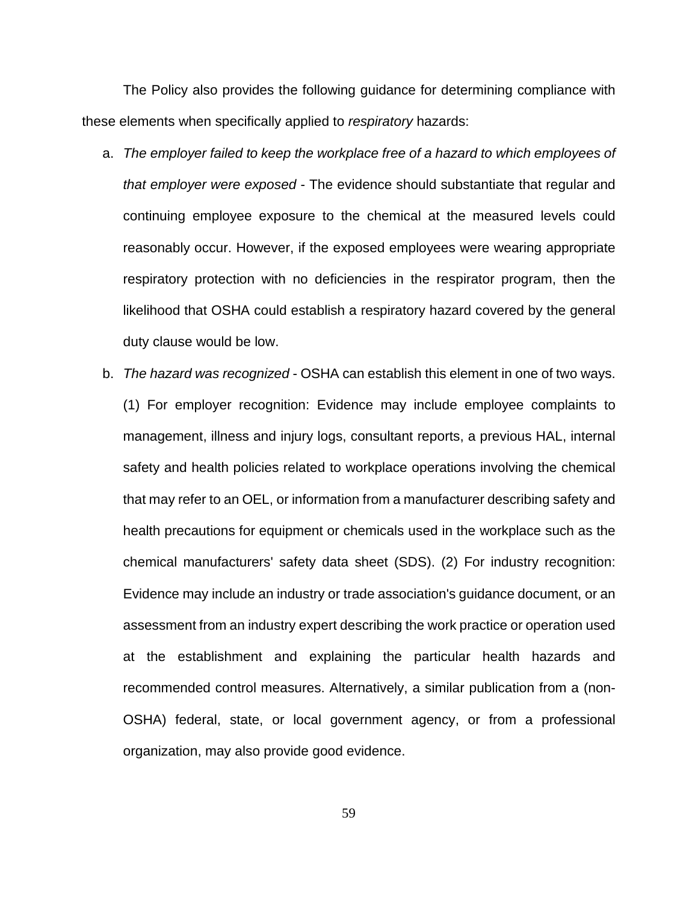The Policy also provides the following guidance for determining compliance with these elements when specifically applied to *respiratory* hazards:

- a. *The employer failed to keep the workplace free of a hazard to which employees of that employer were exposed* - The evidence should substantiate that regular and continuing employee exposure to the chemical at the measured levels could reasonably occur. However, if the exposed employees were wearing appropriate respiratory protection with no deficiencies in the respirator program, then the likelihood that OSHA could establish a respiratory hazard covered by the general duty clause would be low.
- b. *The hazard was recognized* OSHA can establish this element in one of two ways. (1) For employer recognition: Evidence may include employee complaints to management, illness and injury logs, consultant reports, a previous HAL, internal safety and health policies related to workplace operations involving the chemical that may refer to an OEL, or information from a manufacturer describing safety and health precautions for equipment or chemicals used in the workplace such as the chemical manufacturers' safety data sheet (SDS). (2) For industry recognition: Evidence may include an industry or trade association's guidance document, or an assessment from an industry expert describing the work practice or operation used at the establishment and explaining the particular health hazards and recommended control measures. Alternatively, a similar publication from a (non-OSHA) federal, state, or local government agency, or from a professional organization, may also provide good evidence.

59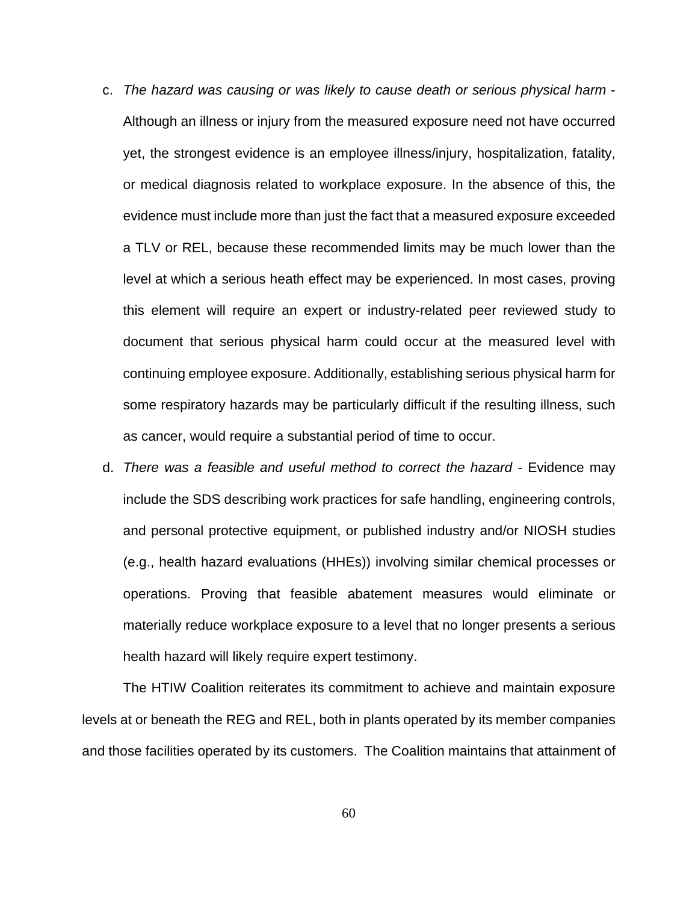- c. *The hazard was causing or was likely to cause death or serious physical harm* Although an illness or injury from the measured exposure need not have occurred yet, the strongest evidence is an employee illness/injury, hospitalization, fatality, or medical diagnosis related to workplace exposure. In the absence of this, the evidence must include more than just the fact that a measured exposure exceeded a TLV or REL, because these recommended limits may be much lower than the level at which a serious heath effect may be experienced. In most cases, proving this element will require an expert or industry-related peer reviewed study to document that serious physical harm could occur at the measured level with continuing employee exposure. Additionally, establishing serious physical harm for some respiratory hazards may be particularly difficult if the resulting illness, such as cancer, would require a substantial period of time to occur.
- d. *There was a feasible and useful method to correct the hazard* Evidence may include the SDS describing work practices for safe handling, engineering controls, and personal protective equipment, or published industry and/or NIOSH studies (e.g., health hazard evaluations (HHEs)) involving similar chemical processes or operations. Proving that feasible abatement measures would eliminate or materially reduce workplace exposure to a level that no longer presents a serious health hazard will likely require expert testimony.

The HTIW Coalition reiterates its commitment to achieve and maintain exposure levels at or beneath the REG and REL, both in plants operated by its member companies and those facilities operated by its customers. The Coalition maintains that attainment of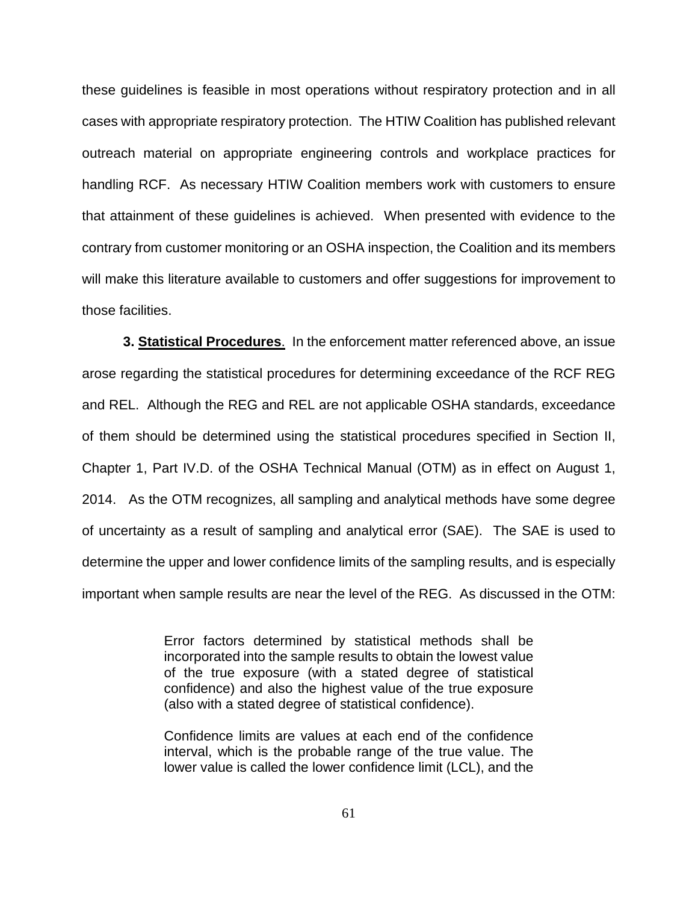these guidelines is feasible in most operations without respiratory protection and in all cases with appropriate respiratory protection. The HTIW Coalition has published relevant outreach material on appropriate engineering controls and workplace practices for handling RCF. As necessary HTIW Coalition members work with customers to ensure that attainment of these guidelines is achieved. When presented with evidence to the contrary from customer monitoring or an OSHA inspection, the Coalition and its members will make this literature available to customers and offer suggestions for improvement to those facilities.

**3. Statistical Procedures**. In the enforcement matter referenced above, an issue arose regarding the statistical procedures for determining exceedance of the RCF REG and REL. Although the REG and REL are not applicable OSHA standards, exceedance of them should be determined using the statistical procedures specified in Section II, Chapter 1, Part IV.D. of the OSHA Technical Manual (OTM) as in effect on August 1, 2014. As the OTM recognizes, all sampling and analytical methods have some degree of uncertainty as a result of sampling and analytical error (SAE). The SAE is used to determine the upper and lower confidence limits of the sampling results, and is especially important when sample results are near the level of the REG. As discussed in the OTM:

> Error factors determined by statistical methods shall be incorporated into the sample results to obtain the lowest value of the true exposure (with a stated degree of statistical confidence) and also the highest value of the true exposure (also with a stated degree of statistical confidence).

> Confidence limits are values at each end of the confidence interval, which is the probable range of the true value. The lower value is called the lower confidence limit (LCL), and the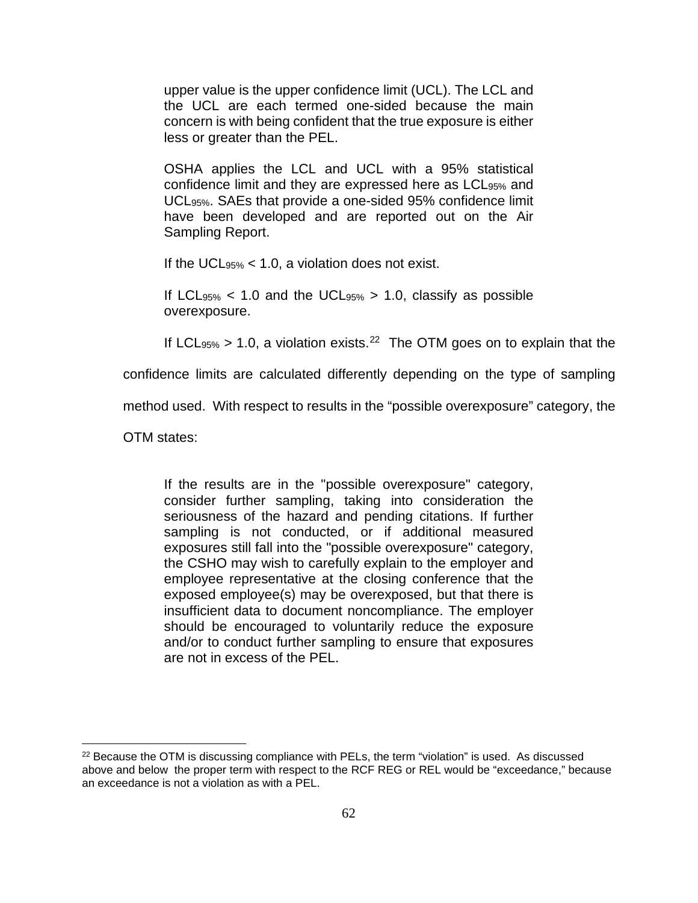upper value is the upper confidence limit (UCL). The LCL and the UCL are each termed one-sided because the main concern is with being confident that the true exposure is either less or greater than the PEL.

OSHA applies the LCL and UCL with a 95% statistical confidence limit and they are expressed here as LCL95% and UCL95%. SAEs that provide a one-sided 95% confidence limit have been developed and are reported out on the Air Sampling Report.

If the UCL95% < 1.0, a violation does not exist.

If LCL<sub>95%</sub>  $\lt$  1.0 and the UCL<sub>95%</sub>  $> 1.0$ , classify as possible overexposure.

If LCL $_{95\%}$  > 1.0, a violation exists.<sup>[22](#page-62-0)</sup> The OTM goes on to explain that the

confidence limits are calculated differently depending on the type of sampling

method used. With respect to results in the "possible overexposure" category, the

OTM states:

If the results are in the "possible overexposure" category, consider further sampling, taking into consideration the seriousness of the hazard and pending citations. If further sampling is not conducted, or if additional measured exposures still fall into the "possible overexposure" category, the CSHO may wish to carefully explain to the employer and employee representative at the closing conference that the exposed employee(s) may be overexposed, but that there is insufficient data to document noncompliance. The employer should be encouraged to voluntarily reduce the exposure and/or to conduct further sampling to ensure that exposures are not in excess of the PEL.

<sup>&</sup>lt;sup>22</sup> Because the OTM is discussing compliance with PELs, the term "violation" is used. As discussed above and below the proper term with respect to the RCF REG or REL would be "exceedance," because an exceedance is not a violation as with a PEL.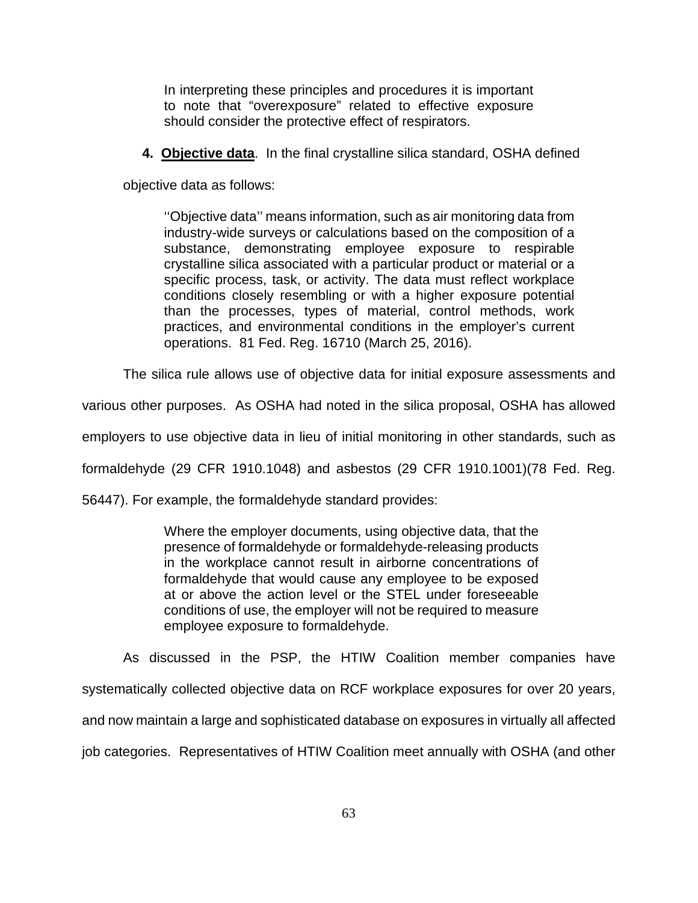In interpreting these principles and procedures it is important to note that "overexposure" related to effective exposure should consider the protective effect of respirators.

 **4. Objective data**. In the final crystalline silica standard, OSHA defined

objective data as follows:

''Objective data'' means information, such as air monitoring data from industry-wide surveys or calculations based on the composition of a substance, demonstrating employee exposure to respirable crystalline silica associated with a particular product or material or a specific process, task, or activity. The data must reflect workplace conditions closely resembling or with a higher exposure potential than the processes, types of material, control methods, work practices, and environmental conditions in the employer's current operations. 81 Fed. Reg. 16710 (March 25, 2016).

The silica rule allows use of objective data for initial exposure assessments and

various other purposes. As OSHA had noted in the silica proposal, OSHA has allowed

employers to use objective data in lieu of initial monitoring in other standards, such as

formaldehyde (29 CFR 1910.1048) and asbestos (29 CFR 1910.1001)(78 Fed. Reg.

56447). For example, the formaldehyde standard provides:

Where the employer documents, using objective data, that the presence of formaldehyde or formaldehyde-releasing products in the workplace cannot result in airborne concentrations of formaldehyde that would cause any employee to be exposed at or above the action level or the STEL under foreseeable conditions of use, the employer will not be required to measure employee exposure to formaldehyde.

<span id="page-62-0"></span>As discussed in the PSP, the HTIW Coalition member companies have systematically collected objective data on RCF workplace exposures for over 20 years, and now maintain a large and sophisticated database on exposures in virtually all affected job categories. Representatives of HTIW Coalition meet annually with OSHA (and other